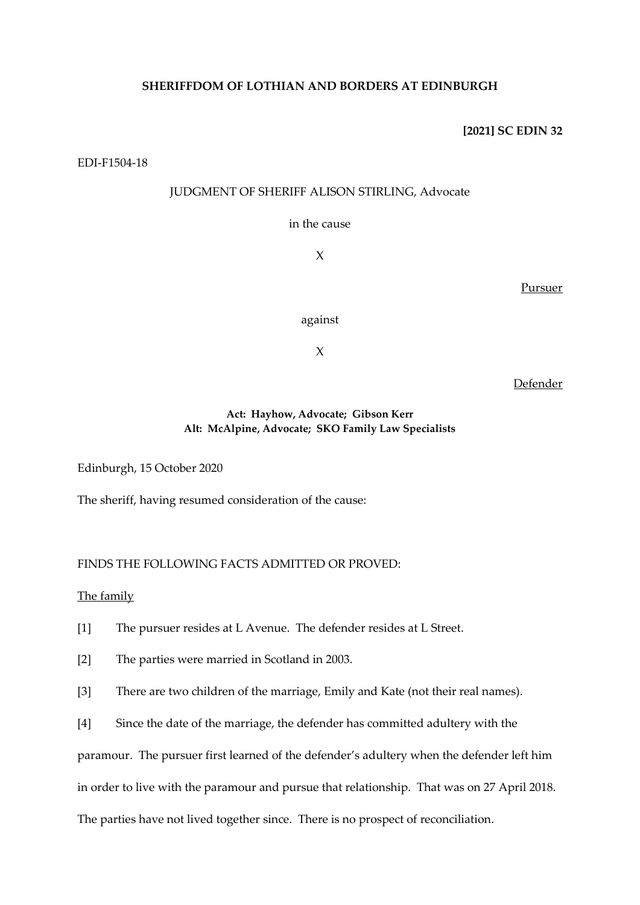# **SHERIFFDOM OF LOTHIAN AND BORDERS AT EDINBURGH**

### **[2021] SC EDIN 32**

### EDI-F1504-18

# JUDGMENT OF SHERIFF ALISON STIRLING, Advocate

in the cause

X

Pursuer

against

X

Defender

# **Act: Hayhow, Advocate; Gibson Kerr Alt: McAlpine, Advocate; SKO Family Law Specialists**

Edinburgh, 15 October 2020

The sheriff, having resumed consideration of the cause:

# FINDS THE FOLLOWING FACTS ADMITTED OR PROVED:

## The family

- [1] The pursuer resides at L Avenue. The defender resides at L Street.
- [2] The parties were married in Scotland in 2003.
- [3] There are two children of the marriage, Emily and Kate (not their real names).
- [4] Since the date of the marriage, the defender has committed adultery with the

paramour. The pursuer first learned of the defender's adultery when the defender left him

in order to live with the paramour and pursue that relationship. That was on 27 April 2018.

The parties have not lived together since. There is no prospect of reconciliation.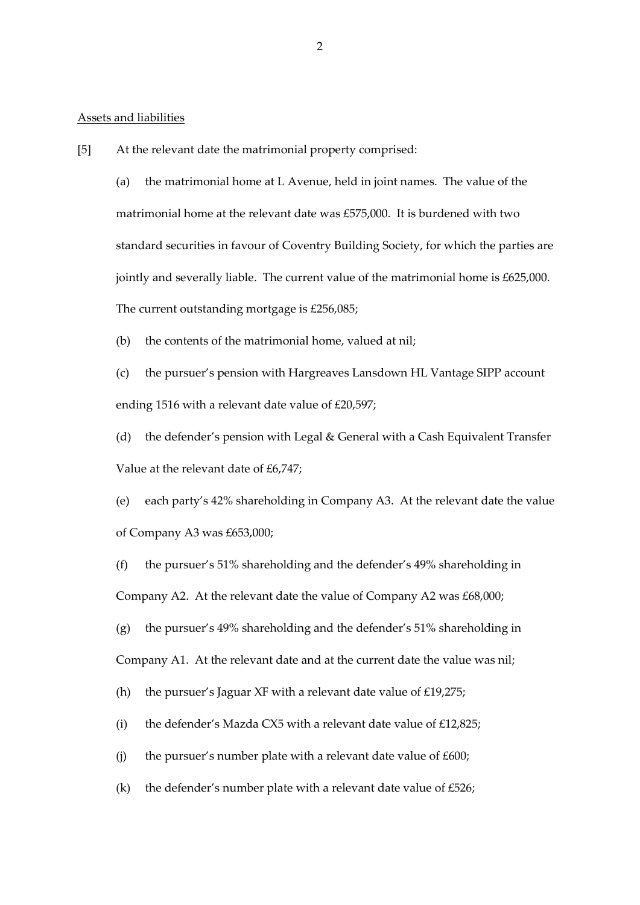#### Assets and liabilities

[5] At the relevant date the matrimonial property comprised:

(a) the matrimonial home at L Avenue, held in joint names. The value of the matrimonial home at the relevant date was £575,000. It is burdened with two standard securities in favour of Coventry Building Society, for which the parties are jointly and severally liable. The current value of the matrimonial home is £625,000. The current outstanding mortgage is £256,085;

(b) the contents of the matrimonial home, valued at nil;

(c) the pursuer's pension with Hargreaves Lansdown HL Vantage SIPP account ending 1516 with a relevant date value of £20,597;

(d) the defender's pension with Legal & General with a Cash Equivalent Transfer Value at the relevant date of £6,747;

(e) each party's 42% shareholding in Company A3. At the relevant date the value of Company A3 was £653,000;

(f) the pursuer's 51% shareholding and the defender's 49% shareholding in Company A2. At the relevant date the value of Company A2 was £68,000;

(g) the pursuer's 49% shareholding and the defender's 51% shareholding in Company A1. At the relevant date and at the current date the value was nil;

(h) the pursuer's Jaguar XF with a relevant date value of  $£19,275;$ 

(i) the defender's Mazda CX5 with a relevant date value of  $£12,825;$ 

(j) the pursuer's number plate with a relevant date value of  $£600;$ 

(k) the defender's number plate with a relevant date value of  $£526;$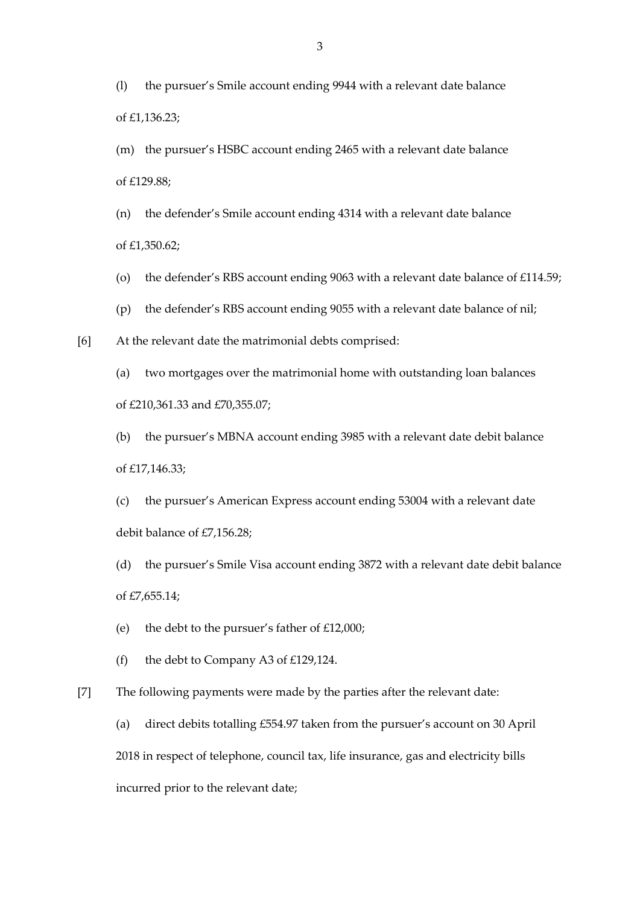(l) the pursuer's Smile account ending 9944 with a relevant date balance of £1,136.23;

(m) the pursuer's HSBC account ending 2465 with a relevant date balance of £129.88;

(n) the defender's Smile account ending 4314 with a relevant date balance of £1,350.62;

- (o) the defender's RBS account ending 9063 with a relevant date balance of £114.59;
- (p) the defender's RBS account ending 9055 with a relevant date balance of nil;

[6] At the relevant date the matrimonial debts comprised:

(a) two mortgages over the matrimonial home with outstanding loan balances of £210,361.33 and £70,355.07;

(b) the pursuer's MBNA account ending 3985 with a relevant date debit balance of £17,146.33;

(c) the pursuer's American Express account ending 53004 with a relevant date debit balance of £7,156.28;

(d) the pursuer's Smile Visa account ending 3872 with a relevant date debit balance of £7,655.14;

- (e) the debt to the pursuer's father of  $£12,000;$
- (f) the debt to Company A3 of  $£129,124$ .

[7] The following payments were made by the parties after the relevant date:

(a) direct debits totalling £554.97 taken from the pursuer's account on 30 April 2018 in respect of telephone, council tax, life insurance, gas and electricity bills incurred prior to the relevant date;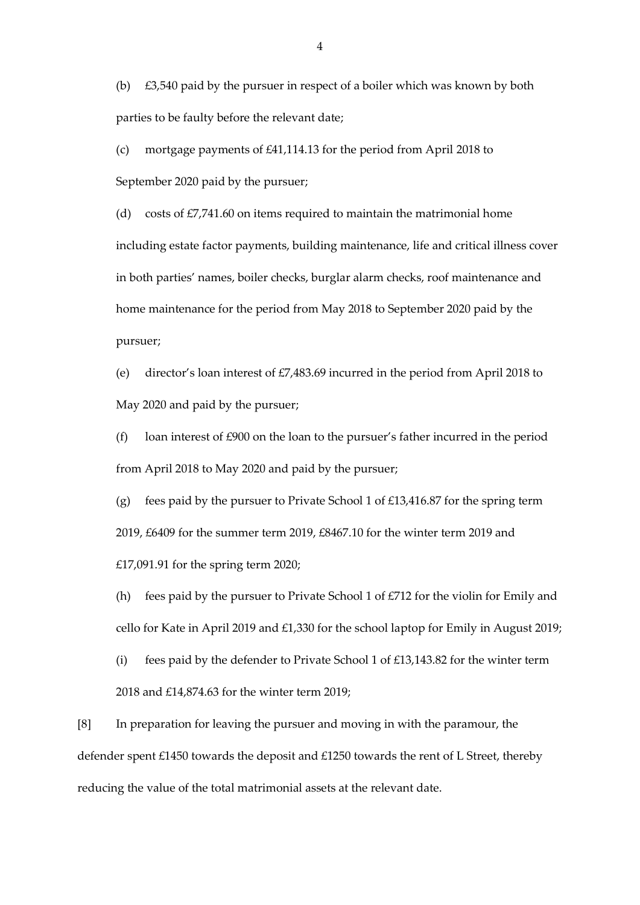(b) £3,540 paid by the pursuer in respect of a boiler which was known by both parties to be faulty before the relevant date;

(c) mortgage payments of £41,114.13 for the period from April 2018 to September 2020 paid by the pursuer;

(d) costs of  $£7,741.60$  on items required to maintain the matrimonial home including estate factor payments, building maintenance, life and critical illness cover in both parties' names, boiler checks, burglar alarm checks, roof maintenance and home maintenance for the period from May 2018 to September 2020 paid by the pursuer;

(e) director's loan interest of £7,483.69 incurred in the period from April 2018 to May 2020 and paid by the pursuer;

(f) loan interest of £900 on the loan to the pursuer's father incurred in the period from April 2018 to May 2020 and paid by the pursuer;

(g) fees paid by the pursuer to Private School 1 of  $£13,416.87$  for the spring term 2019, £6409 for the summer term 2019, £8467.10 for the winter term 2019 and £17,091.91 for the spring term 2020;

(h) fees paid by the pursuer to Private School 1 of  $\text{\textsterling}712$  for the violin for Emily and cello for Kate in April 2019 and £1,330 for the school laptop for Emily in August 2019;

(i) fees paid by the defender to Private School 1 of £13,143.82 for the winter term 2018 and £14,874.63 for the winter term 2019;

[8] In preparation for leaving the pursuer and moving in with the paramour, the defender spent £1450 towards the deposit and £1250 towards the rent of L Street, thereby reducing the value of the total matrimonial assets at the relevant date.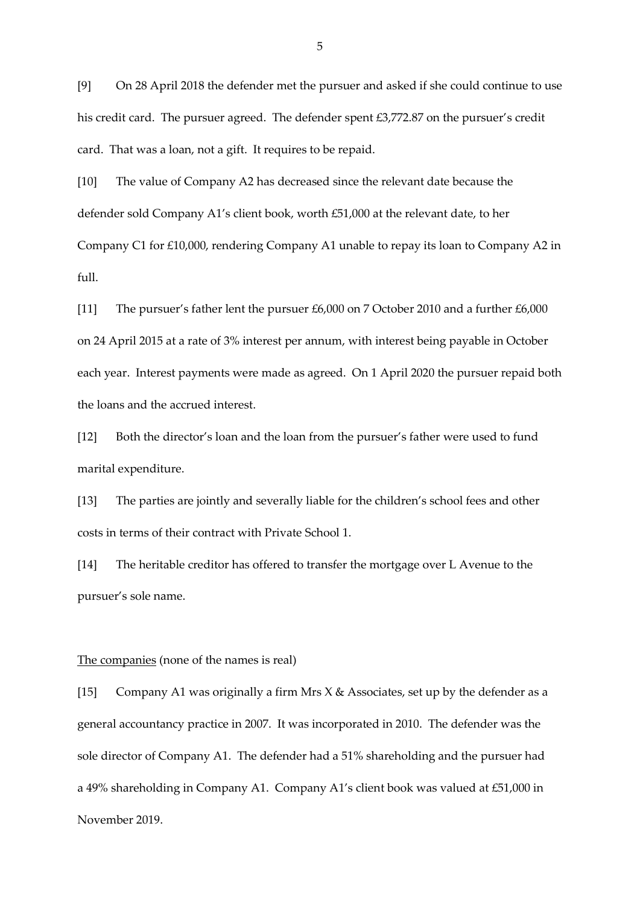[9] On 28 April 2018 the defender met the pursuer and asked if she could continue to use his credit card. The pursuer agreed. The defender spent £3,772.87 on the pursuer's credit card. That was a loan, not a gift. It requires to be repaid.

[10] The value of Company A2 has decreased since the relevant date because the defender sold Company A1's client book, worth £51,000 at the relevant date, to her Company C1 for £10,000, rendering Company A1 unable to repay its loan to Company A2 in full.

[11] The pursuer's father lent the pursuer £6,000 on 7 October 2010 and a further £6,000 on 24 April 2015 at a rate of 3% interest per annum, with interest being payable in October each year. Interest payments were made as agreed. On 1 April 2020 the pursuer repaid both the loans and the accrued interest.

[12] Both the director's loan and the loan from the pursuer's father were used to fund marital expenditure.

[13] The parties are jointly and severally liable for the children's school fees and other costs in terms of their contract with Private School 1.

[14] The heritable creditor has offered to transfer the mortgage over L Avenue to the pursuer's sole name.

#### The companies (none of the names is real)

[15] Company A1 was originally a firm Mrs  $X &$  Associates, set up by the defender as a general accountancy practice in 2007. It was incorporated in 2010. The defender was the sole director of Company A1. The defender had a 51% shareholding and the pursuer had a 49% shareholding in Company A1. Company A1's client book was valued at £51,000 in November 2019.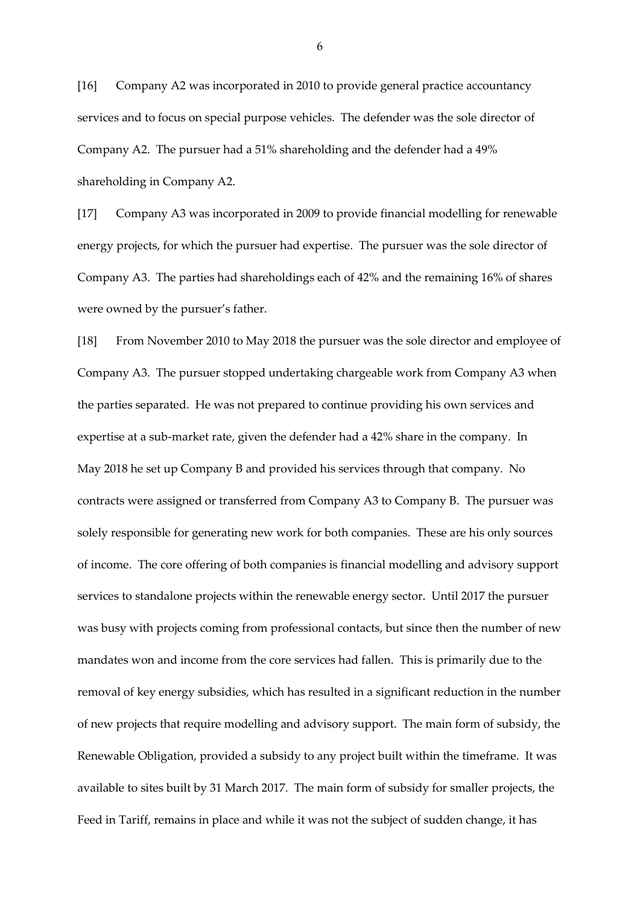[16] Company A2 was incorporated in 2010 to provide general practice accountancy services and to focus on special purpose vehicles. The defender was the sole director of Company A2. The pursuer had a 51% shareholding and the defender had a 49% shareholding in Company A2.

[17] Company A3 was incorporated in 2009 to provide financial modelling for renewable energy projects, for which the pursuer had expertise. The pursuer was the sole director of Company A3. The parties had shareholdings each of 42% and the remaining 16% of shares were owned by the pursuer's father.

[18] From November 2010 to May 2018 the pursuer was the sole director and employee of Company A3. The pursuer stopped undertaking chargeable work from Company A3 when the parties separated. He was not prepared to continue providing his own services and expertise at a sub-market rate, given the defender had a 42% share in the company. In May 2018 he set up Company B and provided his services through that company. No contracts were assigned or transferred from Company A3 to Company B. The pursuer was solely responsible for generating new work for both companies. These are his only sources of income. The core offering of both companies is financial modelling and advisory support services to standalone projects within the renewable energy sector. Until 2017 the pursuer was busy with projects coming from professional contacts, but since then the number of new mandates won and income from the core services had fallen. This is primarily due to the removal of key energy subsidies, which has resulted in a significant reduction in the number of new projects that require modelling and advisory support. The main form of subsidy, the Renewable Obligation, provided a subsidy to any project built within the timeframe. It was available to sites built by 31 March 2017. The main form of subsidy for smaller projects, the Feed in Tariff, remains in place and while it was not the subject of sudden change, it has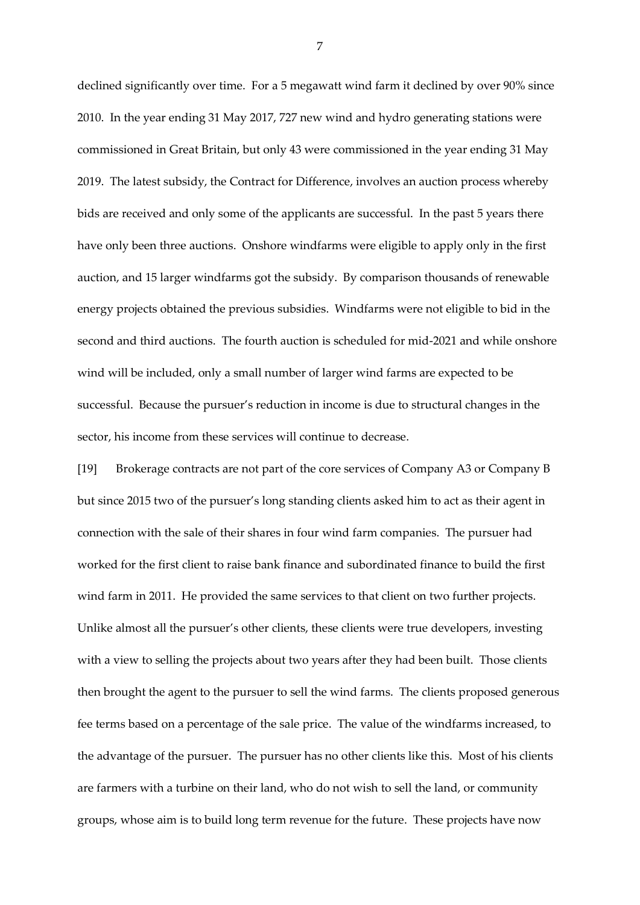declined significantly over time. For a 5 megawatt wind farm it declined by over 90% since 2010. In the year ending 31 May 2017, 727 new wind and hydro generating stations were commissioned in Great Britain, but only 43 were commissioned in the year ending 31 May 2019. The latest subsidy, the Contract for Difference, involves an auction process whereby bids are received and only some of the applicants are successful. In the past 5 years there have only been three auctions. Onshore windfarms were eligible to apply only in the first auction, and 15 larger windfarms got the subsidy. By comparison thousands of renewable energy projects obtained the previous subsidies. Windfarms were not eligible to bid in the second and third auctions. The fourth auction is scheduled for mid-2021 and while onshore wind will be included, only a small number of larger wind farms are expected to be successful. Because the pursuer's reduction in income is due to structural changes in the sector, his income from these services will continue to decrease.

[19] Brokerage contracts are not part of the core services of Company A3 or Company B but since 2015 two of the pursuer's long standing clients asked him to act as their agent in connection with the sale of their shares in four wind farm companies. The pursuer had worked for the first client to raise bank finance and subordinated finance to build the first wind farm in 2011. He provided the same services to that client on two further projects. Unlike almost all the pursuer's other clients, these clients were true developers, investing with a view to selling the projects about two years after they had been built. Those clients then brought the agent to the pursuer to sell the wind farms. The clients proposed generous fee terms based on a percentage of the sale price. The value of the windfarms increased, to the advantage of the pursuer. The pursuer has no other clients like this. Most of his clients are farmers with a turbine on their land, who do not wish to sell the land, or community groups, whose aim is to build long term revenue for the future. These projects have now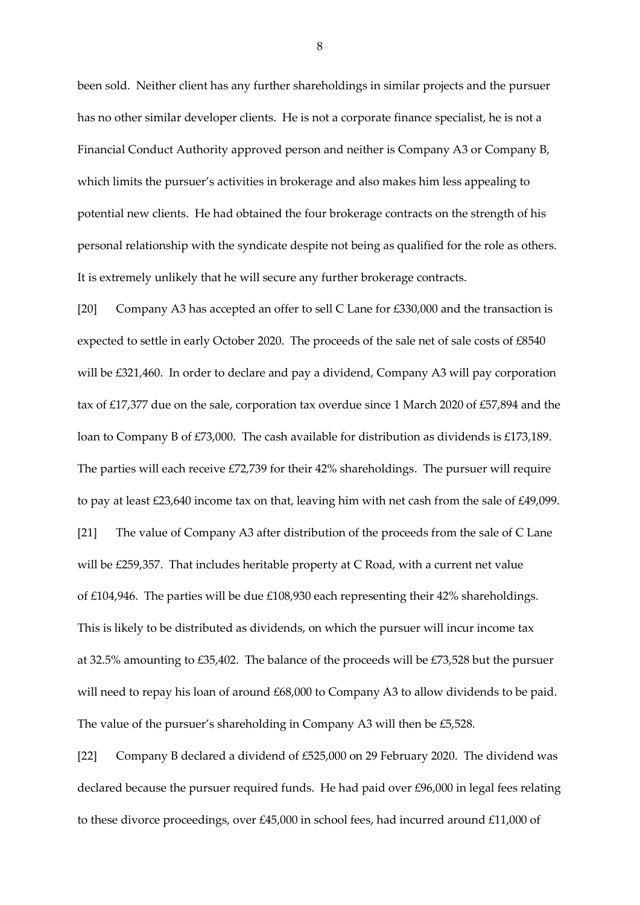been sold. Neither client has any further shareholdings in similar projects and the pursuer has no other similar developer clients. He is not a corporate finance specialist, he is not a Financial Conduct Authority approved person and neither is Company A3 or Company B, which limits the pursuer's activities in brokerage and also makes him less appealing to potential new clients. He had obtained the four brokerage contracts on the strength of his personal relationship with the syndicate despite not being as qualified for the role as others. It is extremely unlikely that he will secure any further brokerage contracts.

[20] Company A3 has accepted an offer to sell C Lane for £330,000 and the transaction is expected to settle in early October 2020. The proceeds of the sale net of sale costs of £8540 will be £321,460. In order to declare and pay a dividend, Company A3 will pay corporation tax of £17,377 due on the sale, corporation tax overdue since 1 March 2020 of £57,894 and the loan to Company B of £73,000. The cash available for distribution as dividends is £173,189. The parties will each receive £72,739 for their 42% shareholdings. The pursuer will require to pay at least £23,640 income tax on that, leaving him with net cash from the sale of £49,099. [21] The value of Company A3 after distribution of the proceeds from the sale of C Lane will be £259,357. That includes heritable property at C Road, with a current net value of £104,946. The parties will be due £108,930 each representing their 42% shareholdings. This is likely to be distributed as dividends, on which the pursuer will incur income tax at 32.5% amounting to £35,402. The balance of the proceeds will be £73,528 but the pursuer will need to repay his loan of around £68,000 to Company A3 to allow dividends to be paid. The value of the pursuer's shareholding in Company A3 will then be £5,528.

[22] Company B declared a dividend of £525,000 on 29 February 2020. The dividend was declared because the pursuer required funds. He had paid over £96,000 in legal fees relating to these divorce proceedings, over £45,000 in school fees, had incurred around £11,000 of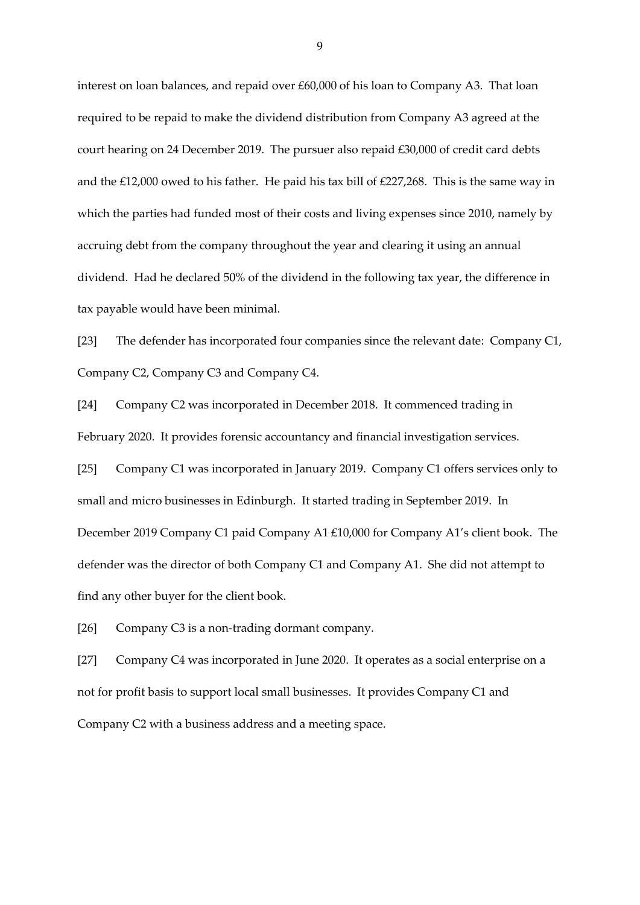interest on loan balances, and repaid over £60,000 of his loan to Company A3. That loan required to be repaid to make the dividend distribution from Company A3 agreed at the court hearing on 24 December 2019. The pursuer also repaid £30,000 of credit card debts and the £12,000 owed to his father. He paid his tax bill of £227,268. This is the same way in which the parties had funded most of their costs and living expenses since 2010, namely by accruing debt from the company throughout the year and clearing it using an annual dividend. Had he declared 50% of the dividend in the following tax year, the difference in tax payable would have been minimal.

[23] The defender has incorporated four companies since the relevant date: Company C1, Company C2, Company C3 and Company C4.

[24] Company C2 was incorporated in December 2018. It commenced trading in February 2020. It provides forensic accountancy and financial investigation services.

[25] Company C1 was incorporated in January 2019. Company C1 offers services only to small and micro businesses in Edinburgh. It started trading in September 2019. In December 2019 Company C1 paid Company A1 £10,000 for Company A1's client book. The defender was the director of both Company C1 and Company A1. She did not attempt to find any other buyer for the client book.

[26] Company C3 is a non-trading dormant company.

[27] Company C4 was incorporated in June 2020. It operates as a social enterprise on a not for profit basis to support local small businesses. It provides Company C1 and Company C2 with a business address and a meeting space.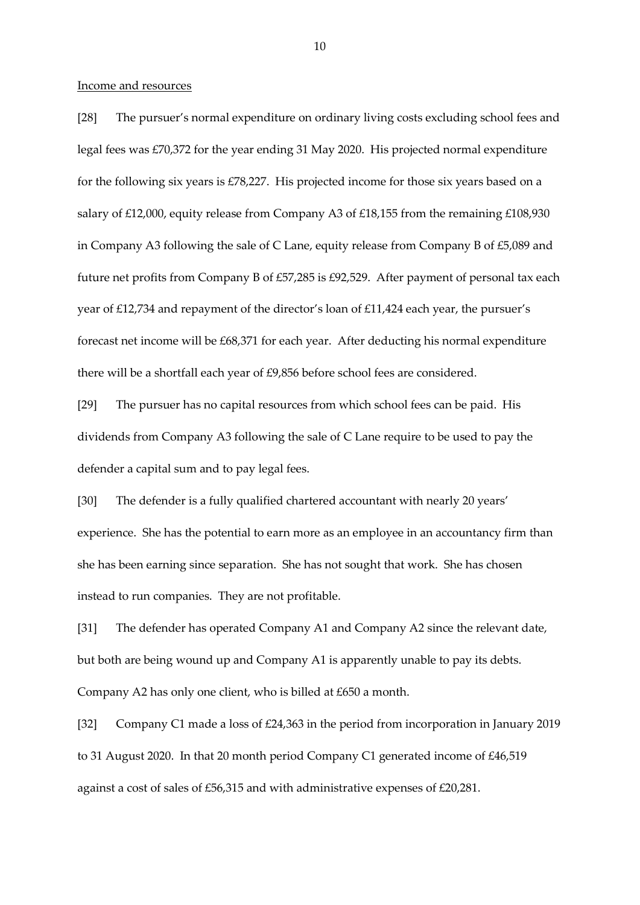#### Income and resources

[28] The pursuer's normal expenditure on ordinary living costs excluding school fees and legal fees was £70,372 for the year ending 31 May 2020. His projected normal expenditure for the following six years is £78,227. His projected income for those six years based on a salary of £12,000, equity release from Company A3 of £18,155 from the remaining £108,930 in Company A3 following the sale of C Lane, equity release from Company B of £5,089 and future net profits from Company B of £57,285 is £92,529. After payment of personal tax each year of £12,734 and repayment of the director's loan of £11,424 each year, the pursuer's forecast net income will be £68,371 for each year. After deducting his normal expenditure there will be a shortfall each year of £9,856 before school fees are considered.

[29] The pursuer has no capital resources from which school fees can be paid. His dividends from Company A3 following the sale of C Lane require to be used to pay the defender a capital sum and to pay legal fees.

[30] The defender is a fully qualified chartered accountant with nearly 20 years' experience. She has the potential to earn more as an employee in an accountancy firm than she has been earning since separation. She has not sought that work. She has chosen instead to run companies. They are not profitable.

[31] The defender has operated Company A1 and Company A2 since the relevant date, but both are being wound up and Company A1 is apparently unable to pay its debts. Company A2 has only one client, who is billed at £650 a month.

[32] Company C1 made a loss of £24,363 in the period from incorporation in January 2019 to 31 August 2020. In that 20 month period Company C1 generated income of £46,519 against a cost of sales of £56,315 and with administrative expenses of £20,281.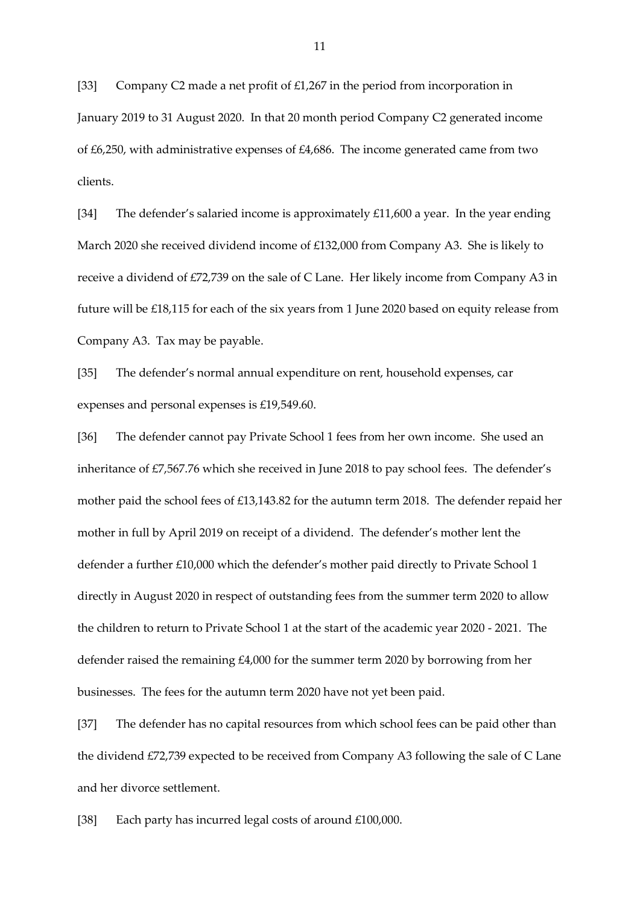[33] Company C2 made a net profit of £1,267 in the period from incorporation in January 2019 to 31 August 2020. In that 20 month period Company C2 generated income of £6,250, with administrative expenses of £4,686. The income generated came from two clients.

[34] The defender's salaried income is approximately £11,600 a year. In the year ending March 2020 she received dividend income of £132,000 from Company A3. She is likely to receive a dividend of £72,739 on the sale of C Lane. Her likely income from Company A3 in future will be £18,115 for each of the six years from 1 June 2020 based on equity release from Company A3. Tax may be payable.

[35] The defender's normal annual expenditure on rent, household expenses, car expenses and personal expenses is £19,549.60.

[36] The defender cannot pay Private School 1 fees from her own income. She used an inheritance of £7,567.76 which she received in June 2018 to pay school fees. The defender's mother paid the school fees of £13,143.82 for the autumn term 2018. The defender repaid her mother in full by April 2019 on receipt of a dividend. The defender's mother lent the defender a further £10,000 which the defender's mother paid directly to Private School 1 directly in August 2020 in respect of outstanding fees from the summer term 2020 to allow the children to return to Private School 1 at the start of the academic year 2020 - 2021. The defender raised the remaining £4,000 for the summer term 2020 by borrowing from her businesses. The fees for the autumn term 2020 have not yet been paid.

[37] The defender has no capital resources from which school fees can be paid other than the dividend £72,739 expected to be received from Company A3 following the sale of C Lane and her divorce settlement.

[38] Each party has incurred legal costs of around £100,000.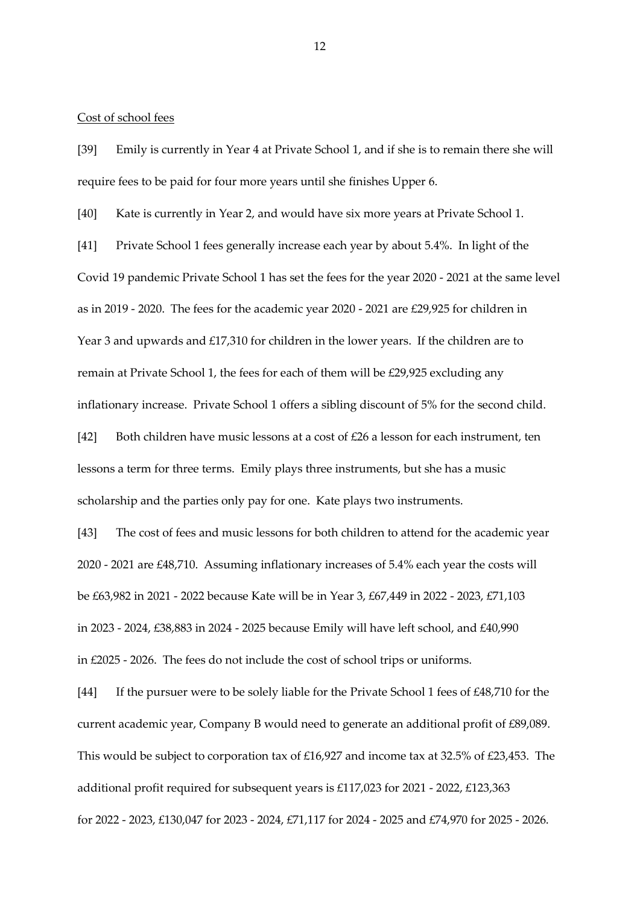#### Cost of school fees

[39] Emily is currently in Year 4 at Private School 1, and if she is to remain there she will require fees to be paid for four more years until she finishes Upper 6.

[40] Kate is currently in Year 2, and would have six more years at Private School 1.

[41] Private School 1 fees generally increase each year by about 5.4%. In light of the Covid 19 pandemic Private School 1 has set the fees for the year 2020 - 2021 at the same level as in 2019 - 2020. The fees for the academic year 2020 - 2021 are £29,925 for children in Year 3 and upwards and £17,310 for children in the lower years. If the children are to remain at Private School 1, the fees for each of them will be £29,925 excluding any inflationary increase. Private School 1 offers a sibling discount of 5% for the second child.

[42] Both children have music lessons at a cost of  $\text{\pounds}26$  a lesson for each instrument, ten lessons a term for three terms. Emily plays three instruments, but she has a music scholarship and the parties only pay for one. Kate plays two instruments.

[43] The cost of fees and music lessons for both children to attend for the academic year 2020 - 2021 are £48,710. Assuming inflationary increases of 5.4% each year the costs will be £63,982 in 2021 - 2022 because Kate will be in Year 3, £67,449 in 2022 - 2023, £71,103 in 2023 - 2024, £38,883 in 2024 - 2025 because Emily will have left school, and £40,990 in £2025 - 2026. The fees do not include the cost of school trips or uniforms.

[44] If the pursuer were to be solely liable for the Private School 1 fees of £48,710 for the current academic year, Company B would need to generate an additional profit of £89,089. This would be subject to corporation tax of £16,927 and income tax at 32.5% of £23,453. The additional profit required for subsequent years is £117,023 for 2021 - 2022, £123,363 for 2022 - 2023, £130,047 for 2023 - 2024, £71,117 for 2024 - 2025 and £74,970 for 2025 - 2026.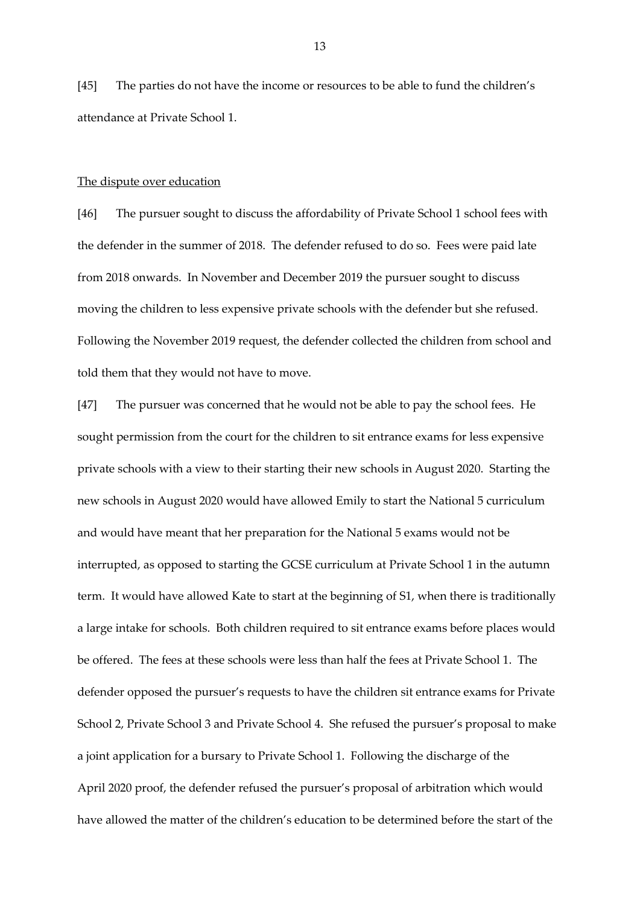[45] The parties do not have the income or resources to be able to fund the children's attendance at Private School 1.

### The dispute over education

[46] The pursuer sought to discuss the affordability of Private School 1 school fees with the defender in the summer of 2018. The defender refused to do so. Fees were paid late from 2018 onwards. In November and December 2019 the pursuer sought to discuss moving the children to less expensive private schools with the defender but she refused. Following the November 2019 request, the defender collected the children from school and told them that they would not have to move.

[47] The pursuer was concerned that he would not be able to pay the school fees. He sought permission from the court for the children to sit entrance exams for less expensive private schools with a view to their starting their new schools in August 2020. Starting the new schools in August 2020 would have allowed Emily to start the National 5 curriculum and would have meant that her preparation for the National 5 exams would not be interrupted, as opposed to starting the GCSE curriculum at Private School 1 in the autumn term. It would have allowed Kate to start at the beginning of S1, when there is traditionally a large intake for schools. Both children required to sit entrance exams before places would be offered. The fees at these schools were less than half the fees at Private School 1. The defender opposed the pursuer's requests to have the children sit entrance exams for Private School 2, Private School 3 and Private School 4. She refused the pursuer's proposal to make a joint application for a bursary to Private School 1. Following the discharge of the April 2020 proof, the defender refused the pursuer's proposal of arbitration which would have allowed the matter of the children's education to be determined before the start of the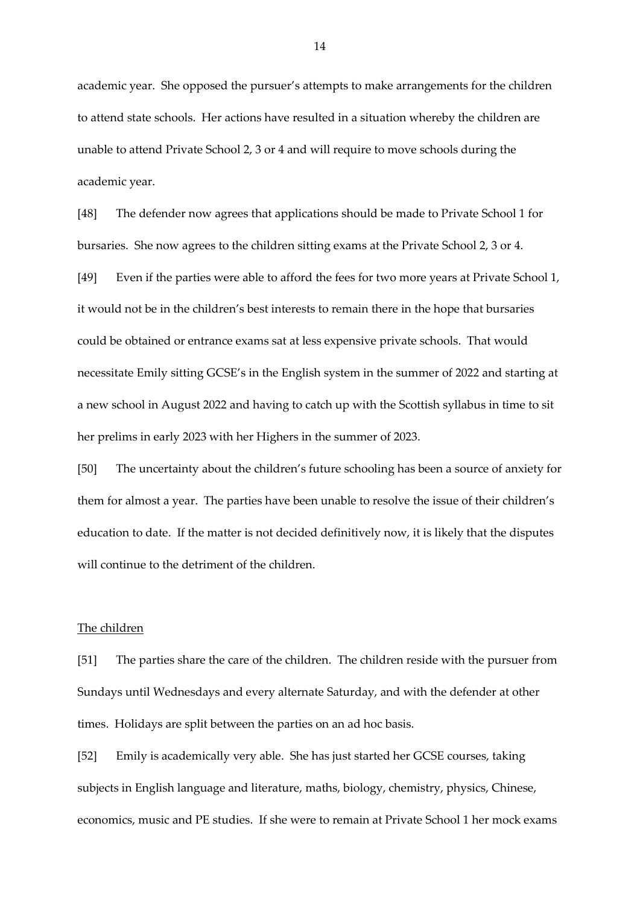academic year. She opposed the pursuer's attempts to make arrangements for the children to attend state schools. Her actions have resulted in a situation whereby the children are unable to attend Private School 2, 3 or 4 and will require to move schools during the academic year.

[48] The defender now agrees that applications should be made to Private School 1 for bursaries. She now agrees to the children sitting exams at the Private School 2, 3 or 4.

[49] Even if the parties were able to afford the fees for two more years at Private School 1, it would not be in the children's best interests to remain there in the hope that bursaries could be obtained or entrance exams sat at less expensive private schools. That would necessitate Emily sitting GCSE's in the English system in the summer of 2022 and starting at a new school in August 2022 and having to catch up with the Scottish syllabus in time to sit her prelims in early 2023 with her Highers in the summer of 2023.

[50] The uncertainty about the children's future schooling has been a source of anxiety for them for almost a year. The parties have been unable to resolve the issue of their children's education to date. If the matter is not decided definitively now, it is likely that the disputes will continue to the detriment of the children.

## The children

[51] The parties share the care of the children. The children reside with the pursuer from Sundays until Wednesdays and every alternate Saturday, and with the defender at other times. Holidays are split between the parties on an ad hoc basis.

[52] Emily is academically very able. She has just started her GCSE courses, taking subjects in English language and literature, maths, biology, chemistry, physics, Chinese, economics, music and PE studies. If she were to remain at Private School 1 her mock exams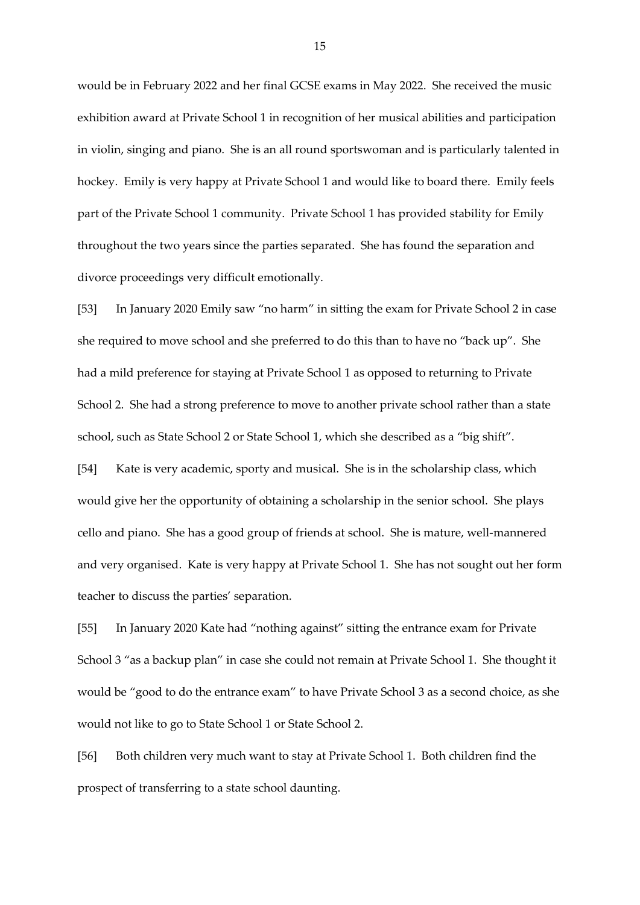would be in February 2022 and her final GCSE exams in May 2022. She received the music exhibition award at Private School 1 in recognition of her musical abilities and participation in violin, singing and piano. She is an all round sportswoman and is particularly talented in hockey. Emily is very happy at Private School 1 and would like to board there. Emily feels part of the Private School 1 community. Private School 1 has provided stability for Emily throughout the two years since the parties separated. She has found the separation and divorce proceedings very difficult emotionally.

[53] In January 2020 Emily saw "no harm" in sitting the exam for Private School 2 in case she required to move school and she preferred to do this than to have no "back up". She had a mild preference for staying at Private School 1 as opposed to returning to Private School 2. She had a strong preference to move to another private school rather than a state school, such as State School 2 or State School 1, which she described as a "big shift".

[54] Kate is very academic, sporty and musical. She is in the scholarship class, which would give her the opportunity of obtaining a scholarship in the senior school. She plays cello and piano. She has a good group of friends at school. She is mature, well-mannered and very organised. Kate is very happy at Private School 1. She has not sought out her form teacher to discuss the parties' separation.

[55] In January 2020 Kate had "nothing against" sitting the entrance exam for Private School 3 "as a backup plan" in case she could not remain at Private School 1. She thought it would be "good to do the entrance exam" to have Private School 3 as a second choice, as she would not like to go to State School 1 or State School 2.

[56] Both children very much want to stay at Private School 1. Both children find the prospect of transferring to a state school daunting.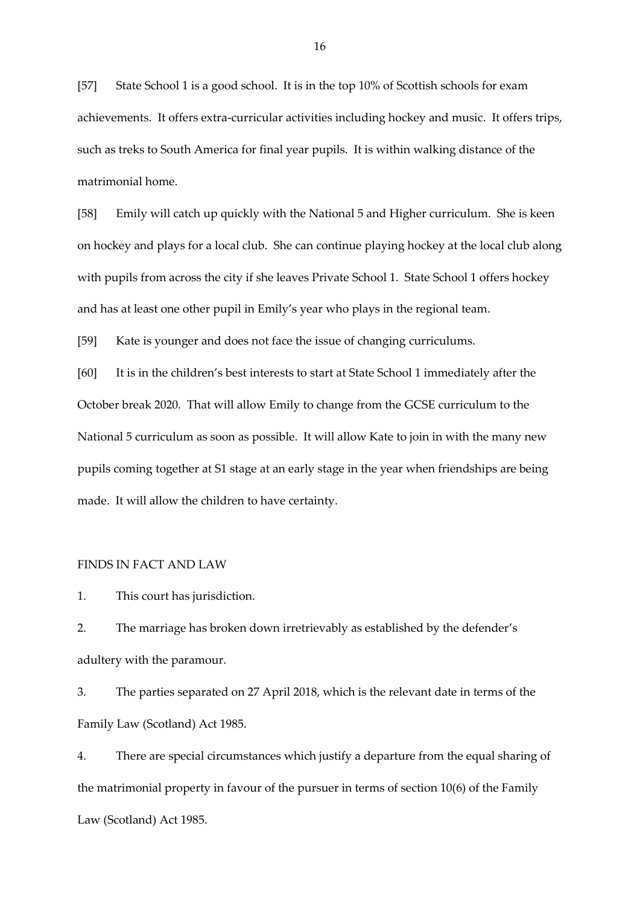[57] State School 1 is a good school. It is in the top 10% of Scottish schools for exam achievements. It offers extra-curricular activities including hockey and music. It offers trips, such as treks to South America for final year pupils. It is within walking distance of the matrimonial home.

[58] Emily will catch up quickly with the National 5 and Higher curriculum. She is keen on hockey and plays for a local club. She can continue playing hockey at the local club along with pupils from across the city if she leaves Private School 1. State School 1 offers hockey and has at least one other pupil in Emily's year who plays in the regional team.

[59] Kate is younger and does not face the issue of changing curriculums.

[60] It is in the children's best interests to start at State School 1 immediately after the October break 2020. That will allow Emily to change from the GCSE curriculum to the National 5 curriculum as soon as possible. It will allow Kate to join in with the many new pupils coming together at S1 stage at an early stage in the year when friendships are being made. It will allow the children to have certainty.

#### FINDS IN FACT AND LAW

1. This court has jurisdiction.

2. The marriage has broken down irretrievably as established by the defender's adultery with the paramour.

3. The parties separated on 27 April 2018, which is the relevant date in terms of the Family Law (Scotland) Act 1985.

4. There are special circumstances which justify a departure from the equal sharing of the matrimonial property in favour of the pursuer in terms of section 10(6) of the Family Law (Scotland) Act 1985.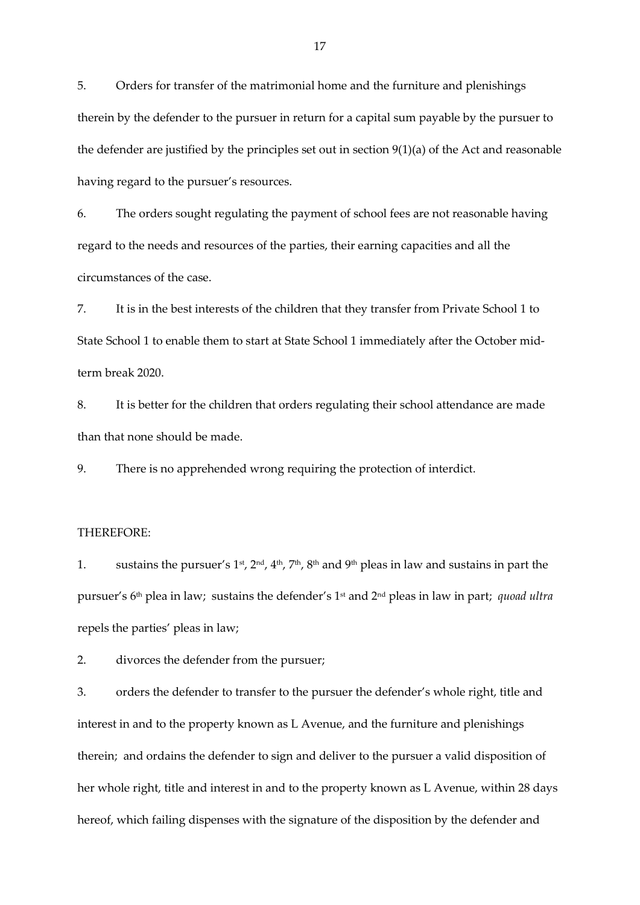5. Orders for transfer of the matrimonial home and the furniture and plenishings therein by the defender to the pursuer in return for a capital sum payable by the pursuer to the defender are justified by the principles set out in section 9(1)(a) of the Act and reasonable having regard to the pursuer's resources.

6. The orders sought regulating the payment of school fees are not reasonable having regard to the needs and resources of the parties, their earning capacities and all the circumstances of the case.

7. It is in the best interests of the children that they transfer from Private School 1 to State School 1 to enable them to start at State School 1 immediately after the October midterm break 2020.

8. It is better for the children that orders regulating their school attendance are made than that none should be made.

9. There is no apprehended wrong requiring the protection of interdict.

## THEREFORE:

1. sustains the pursuer's 1<sup>st</sup>,  $2<sup>nd</sup>$ ,  $4<sup>th</sup>$ ,  $7<sup>th</sup>$ ,  $8<sup>th</sup>$  and  $9<sup>th</sup>$  pleas in law and sustains in part the pursuer's 6th plea in law; sustains the defender's 1st and 2nd pleas in law in part; *quoad ultra*  repels the parties' pleas in law;

2. divorces the defender from the pursuer;

3. orders the defender to transfer to the pursuer the defender's whole right, title and interest in and to the property known as L Avenue, and the furniture and plenishings therein; and ordains the defender to sign and deliver to the pursuer a valid disposition of her whole right, title and interest in and to the property known as L Avenue, within 28 days hereof, which failing dispenses with the signature of the disposition by the defender and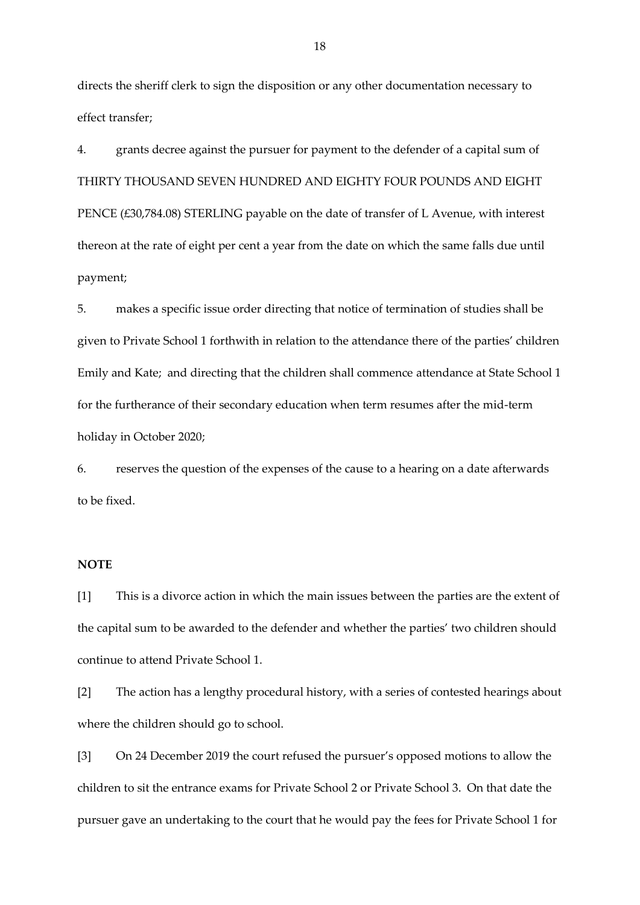directs the sheriff clerk to sign the disposition or any other documentation necessary to effect transfer;

4. grants decree against the pursuer for payment to the defender of a capital sum of THIRTY THOUSAND SEVEN HUNDRED AND EIGHTY FOUR POUNDS AND EIGHT PENCE (£30,784.08) STERLING payable on the date of transfer of L Avenue, with interest thereon at the rate of eight per cent a year from the date on which the same falls due until payment;

5. makes a specific issue order directing that notice of termination of studies shall be given to Private School 1 forthwith in relation to the attendance there of the parties' children Emily and Kate; and directing that the children shall commence attendance at State School 1 for the furtherance of their secondary education when term resumes after the mid-term holiday in October 2020;

6. reserves the question of the expenses of the cause to a hearing on a date afterwards to be fixed.

### **NOTE**

[1] This is a divorce action in which the main issues between the parties are the extent of the capital sum to be awarded to the defender and whether the parties' two children should continue to attend Private School 1.

[2] The action has a lengthy procedural history, with a series of contested hearings about where the children should go to school.

[3] On 24 December 2019 the court refused the pursuer's opposed motions to allow the children to sit the entrance exams for Private School 2 or Private School 3. On that date the pursuer gave an undertaking to the court that he would pay the fees for Private School 1 for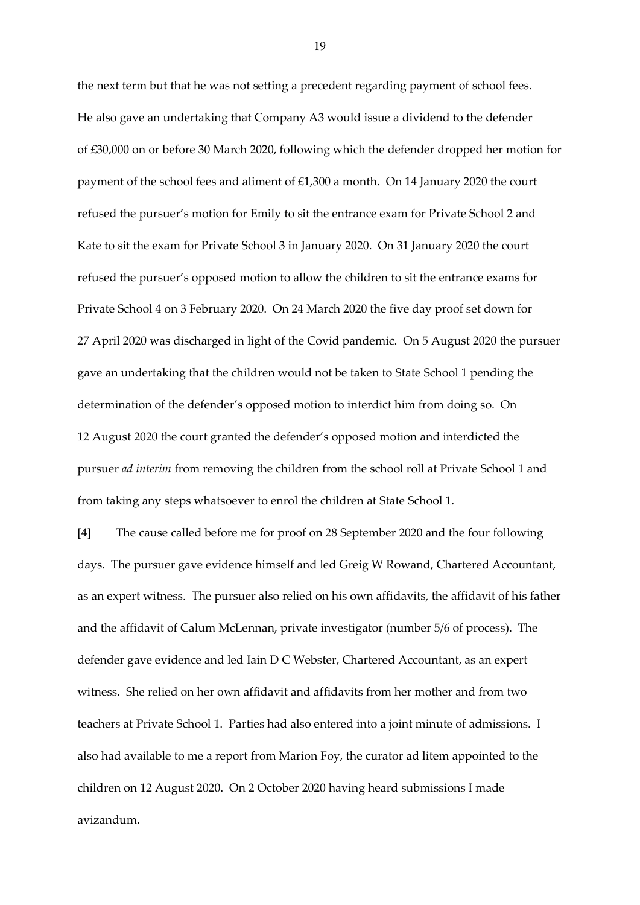the next term but that he was not setting a precedent regarding payment of school fees. He also gave an undertaking that Company A3 would issue a dividend to the defender of £30,000 on or before 30 March 2020, following which the defender dropped her motion for payment of the school fees and aliment of £1,300 a month. On 14 January 2020 the court refused the pursuer's motion for Emily to sit the entrance exam for Private School 2 and Kate to sit the exam for Private School 3 in January 2020. On 31 January 2020 the court refused the pursuer's opposed motion to allow the children to sit the entrance exams for Private School 4 on 3 February 2020. On 24 March 2020 the five day proof set down for 27 April 2020 was discharged in light of the Covid pandemic. On 5 August 2020 the pursuer gave an undertaking that the children would not be taken to State School 1 pending the determination of the defender's opposed motion to interdict him from doing so. On 12 August 2020 the court granted the defender's opposed motion and interdicted the pursuer *ad interim* from removing the children from the school roll at Private School 1 and from taking any steps whatsoever to enrol the children at State School 1.

[4] The cause called before me for proof on 28 September 2020 and the four following days. The pursuer gave evidence himself and led Greig W Rowand, Chartered Accountant, as an expert witness. The pursuer also relied on his own affidavits, the affidavit of his father and the affidavit of Calum McLennan, private investigator (number 5/6 of process). The defender gave evidence and led Iain D C Webster, Chartered Accountant, as an expert witness. She relied on her own affidavit and affidavits from her mother and from two teachers at Private School 1. Parties had also entered into a joint minute of admissions. I also had available to me a report from Marion Foy, the curator ad litem appointed to the children on 12 August 2020. On 2 October 2020 having heard submissions I made avizandum.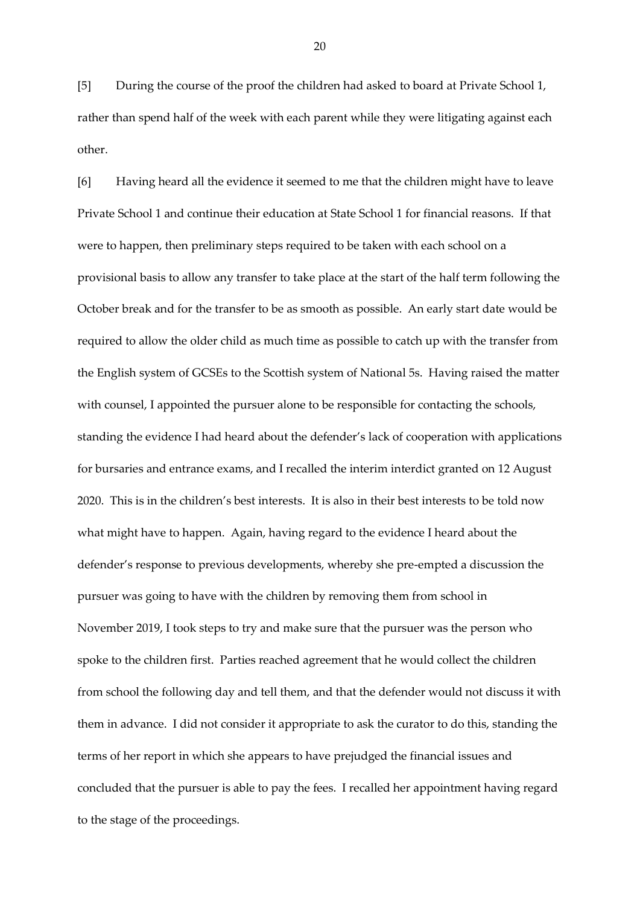[5] During the course of the proof the children had asked to board at Private School 1, rather than spend half of the week with each parent while they were litigating against each other.

[6] Having heard all the evidence it seemed to me that the children might have to leave Private School 1 and continue their education at State School 1 for financial reasons. If that were to happen, then preliminary steps required to be taken with each school on a provisional basis to allow any transfer to take place at the start of the half term following the October break and for the transfer to be as smooth as possible. An early start date would be required to allow the older child as much time as possible to catch up with the transfer from the English system of GCSEs to the Scottish system of National 5s. Having raised the matter with counsel, I appointed the pursuer alone to be responsible for contacting the schools, standing the evidence I had heard about the defender's lack of cooperation with applications for bursaries and entrance exams, and I recalled the interim interdict granted on 12 August 2020. This is in the children's best interests. It is also in their best interests to be told now what might have to happen. Again, having regard to the evidence I heard about the defender's response to previous developments, whereby she pre-empted a discussion the pursuer was going to have with the children by removing them from school in November 2019, I took steps to try and make sure that the pursuer was the person who spoke to the children first. Parties reached agreement that he would collect the children from school the following day and tell them, and that the defender would not discuss it with them in advance. I did not consider it appropriate to ask the curator to do this, standing the terms of her report in which she appears to have prejudged the financial issues and concluded that the pursuer is able to pay the fees. I recalled her appointment having regard to the stage of the proceedings.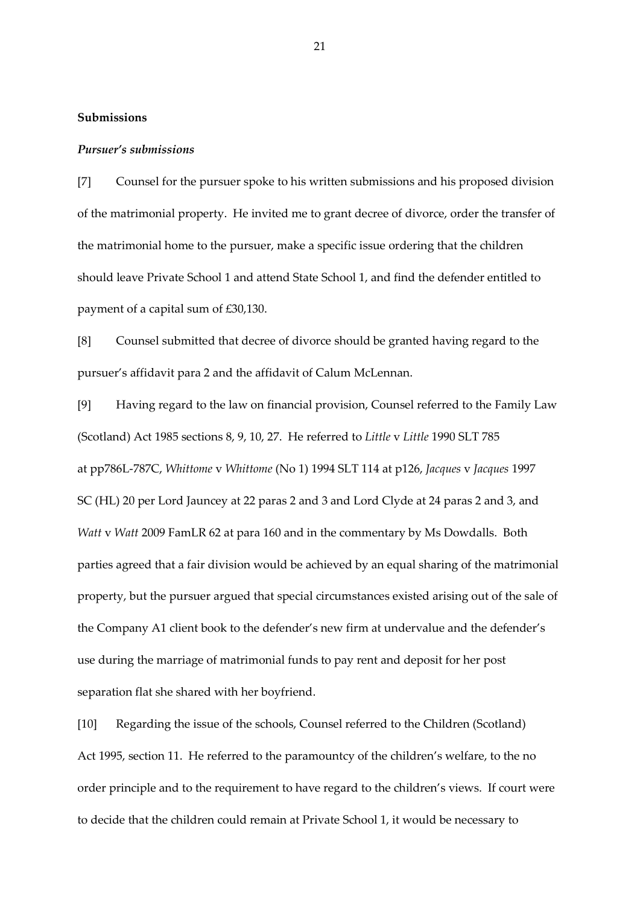## **Submissions**

#### *Pursuer's submissions*

[7] Counsel for the pursuer spoke to his written submissions and his proposed division of the matrimonial property. He invited me to grant decree of divorce, order the transfer of the matrimonial home to the pursuer, make a specific issue ordering that the children should leave Private School 1 and attend State School 1, and find the defender entitled to payment of a capital sum of £30,130.

[8] Counsel submitted that decree of divorce should be granted having regard to the pursuer's affidavit para 2 and the affidavit of Calum McLennan.

[9] Having regard to the law on financial provision, Counsel referred to the Family Law (Scotland) Act 1985 sections 8, 9, 10, 27. He referred to *Little* v *Little* 1990 SLT 785 at pp786L-787C, *Whittome* v *Whittome* (No 1) 1994 SLT 114 at p126, *Jacques* v *Jacques* 1997 SC (HL) 20 per Lord Jauncey at 22 paras 2 and 3 and Lord Clyde at 24 paras 2 and 3, and *Watt* v *Watt* 2009 FamLR 62 at para 160 and in the commentary by Ms Dowdalls. Both parties agreed that a fair division would be achieved by an equal sharing of the matrimonial property, but the pursuer argued that special circumstances existed arising out of the sale of the Company A1 client book to the defender's new firm at undervalue and the defender's use during the marriage of matrimonial funds to pay rent and deposit for her post separation flat she shared with her boyfriend.

[10] Regarding the issue of the schools, Counsel referred to the Children (Scotland) Act 1995, section 11. He referred to the paramountcy of the children's welfare, to the no order principle and to the requirement to have regard to the children's views. If court were to decide that the children could remain at Private School 1, it would be necessary to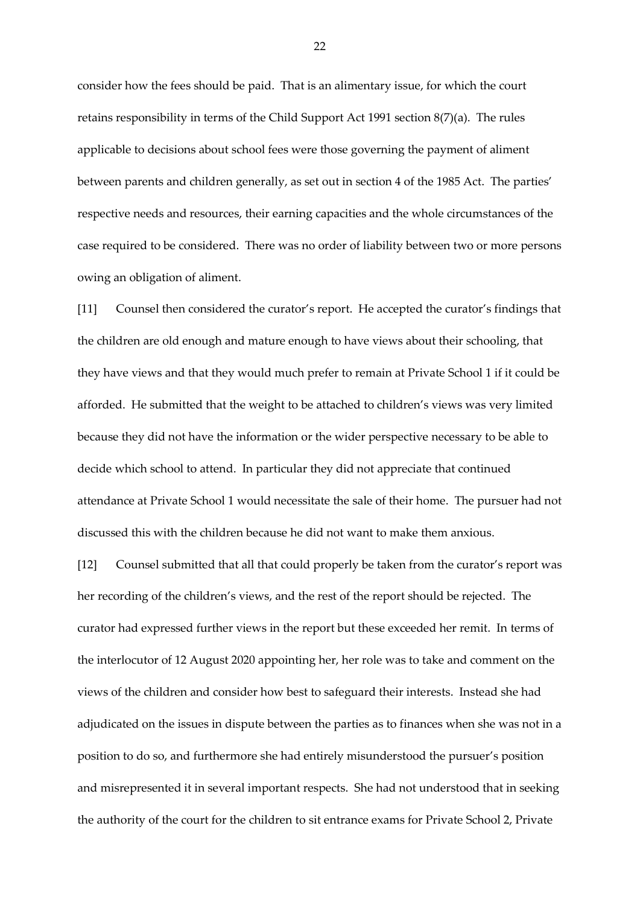consider how the fees should be paid. That is an alimentary issue, for which the court retains responsibility in terms of the Child Support Act 1991 section 8(7)(a). The rules applicable to decisions about school fees were those governing the payment of aliment between parents and children generally, as set out in section 4 of the 1985 Act. The parties' respective needs and resources, their earning capacities and the whole circumstances of the case required to be considered. There was no order of liability between two or more persons owing an obligation of aliment.

[11] Counsel then considered the curator's report. He accepted the curator's findings that the children are old enough and mature enough to have views about their schooling, that they have views and that they would much prefer to remain at Private School 1 if it could be afforded. He submitted that the weight to be attached to children's views was very limited because they did not have the information or the wider perspective necessary to be able to decide which school to attend. In particular they did not appreciate that continued attendance at Private School 1 would necessitate the sale of their home. The pursuer had not discussed this with the children because he did not want to make them anxious.

[12] Counsel submitted that all that could properly be taken from the curator's report was her recording of the children's views, and the rest of the report should be rejected. The curator had expressed further views in the report but these exceeded her remit. In terms of the interlocutor of 12 August 2020 appointing her, her role was to take and comment on the views of the children and consider how best to safeguard their interests. Instead she had adjudicated on the issues in dispute between the parties as to finances when she was not in a position to do so, and furthermore she had entirely misunderstood the pursuer's position and misrepresented it in several important respects. She had not understood that in seeking the authority of the court for the children to sit entrance exams for Private School 2, Private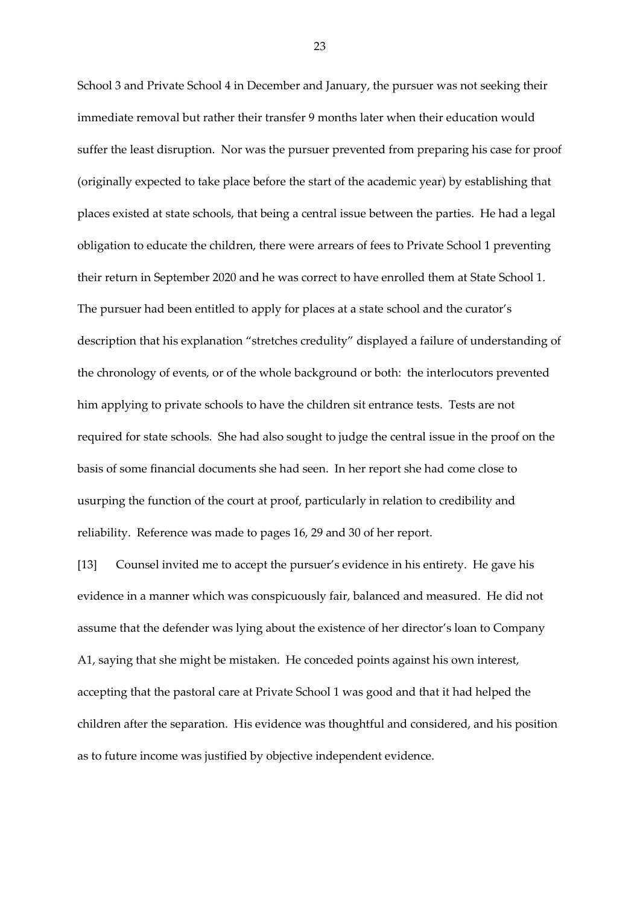School 3 and Private School 4 in December and January, the pursuer was not seeking their immediate removal but rather their transfer 9 months later when their education would suffer the least disruption. Nor was the pursuer prevented from preparing his case for proof (originally expected to take place before the start of the academic year) by establishing that places existed at state schools, that being a central issue between the parties. He had a legal obligation to educate the children, there were arrears of fees to Private School 1 preventing their return in September 2020 and he was correct to have enrolled them at State School 1. The pursuer had been entitled to apply for places at a state school and the curator's description that his explanation "stretches credulity" displayed a failure of understanding of the chronology of events, or of the whole background or both: the interlocutors prevented him applying to private schools to have the children sit entrance tests. Tests are not required for state schools. She had also sought to judge the central issue in the proof on the basis of some financial documents she had seen. In her report she had come close to usurping the function of the court at proof, particularly in relation to credibility and reliability. Reference was made to pages 16, 29 and 30 of her report.

[13] Counsel invited me to accept the pursuer's evidence in his entirety. He gave his evidence in a manner which was conspicuously fair, balanced and measured. He did not assume that the defender was lying about the existence of her director's loan to Company A1, saying that she might be mistaken. He conceded points against his own interest, accepting that the pastoral care at Private School 1 was good and that it had helped the children after the separation. His evidence was thoughtful and considered, and his position as to future income was justified by objective independent evidence.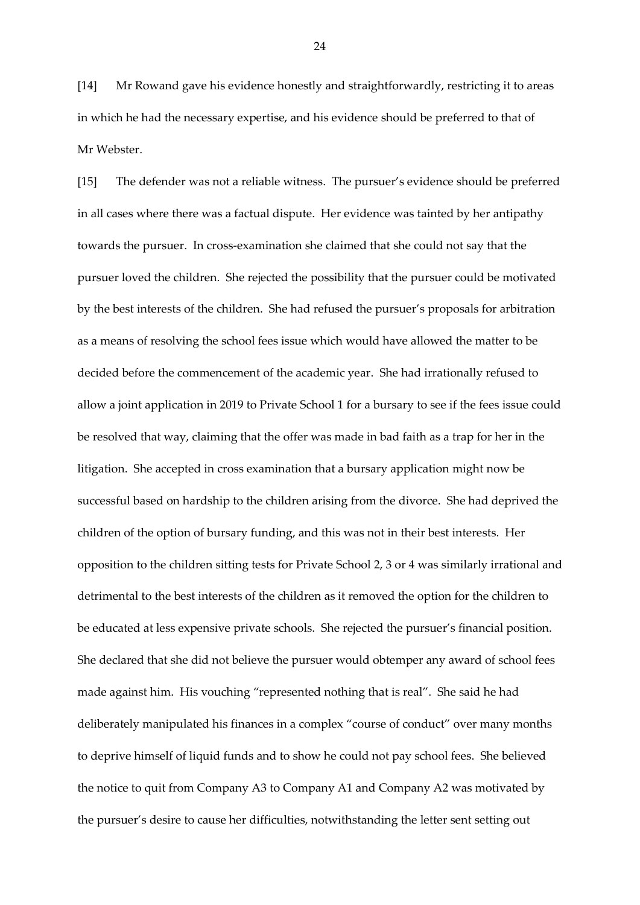[14] Mr Rowand gave his evidence honestly and straightforwardly, restricting it to areas in which he had the necessary expertise, and his evidence should be preferred to that of Mr Webster.

[15] The defender was not a reliable witness. The pursuer's evidence should be preferred in all cases where there was a factual dispute. Her evidence was tainted by her antipathy towards the pursuer. In cross-examination she claimed that she could not say that the pursuer loved the children. She rejected the possibility that the pursuer could be motivated by the best interests of the children. She had refused the pursuer's proposals for arbitration as a means of resolving the school fees issue which would have allowed the matter to be decided before the commencement of the academic year. She had irrationally refused to allow a joint application in 2019 to Private School 1 for a bursary to see if the fees issue could be resolved that way, claiming that the offer was made in bad faith as a trap for her in the litigation. She accepted in cross examination that a bursary application might now be successful based on hardship to the children arising from the divorce. She had deprived the children of the option of bursary funding, and this was not in their best interests. Her opposition to the children sitting tests for Private School 2, 3 or 4 was similarly irrational and detrimental to the best interests of the children as it removed the option for the children to be educated at less expensive private schools. She rejected the pursuer's financial position. She declared that she did not believe the pursuer would obtemper any award of school fees made against him. His vouching "represented nothing that is real". She said he had deliberately manipulated his finances in a complex "course of conduct" over many months to deprive himself of liquid funds and to show he could not pay school fees. She believed the notice to quit from Company A3 to Company A1 and Company A2 was motivated by the pursuer's desire to cause her difficulties, notwithstanding the letter sent setting out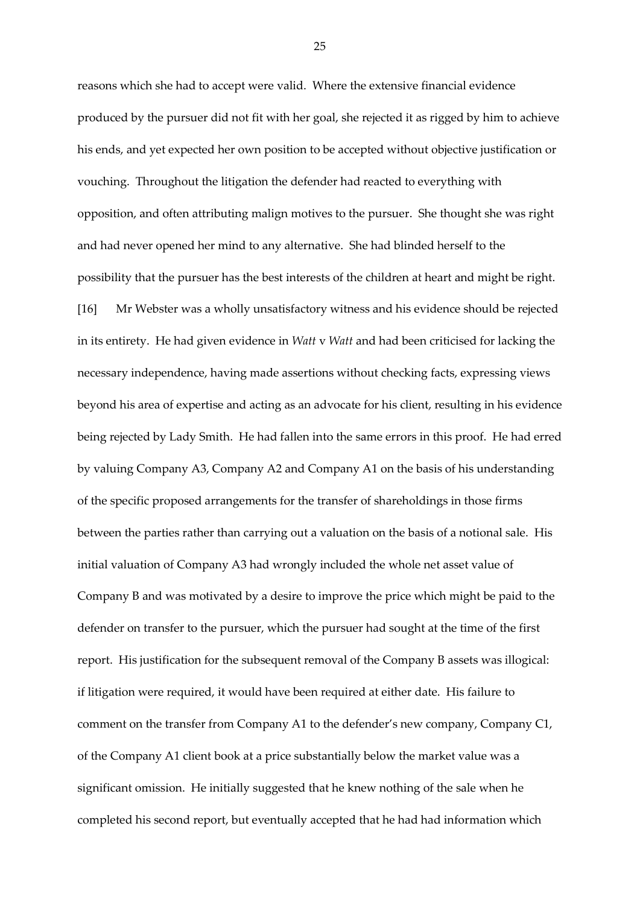reasons which she had to accept were valid. Where the extensive financial evidence produced by the pursuer did not fit with her goal, she rejected it as rigged by him to achieve his ends, and yet expected her own position to be accepted without objective justification or vouching. Throughout the litigation the defender had reacted to everything with opposition, and often attributing malign motives to the pursuer. She thought she was right and had never opened her mind to any alternative. She had blinded herself to the possibility that the pursuer has the best interests of the children at heart and might be right. [16] Mr Webster was a wholly unsatisfactory witness and his evidence should be rejected in its entirety. He had given evidence in *Watt* v *Watt* and had been criticised for lacking the necessary independence, having made assertions without checking facts, expressing views beyond his area of expertise and acting as an advocate for his client, resulting in his evidence being rejected by Lady Smith. He had fallen into the same errors in this proof. He had erred by valuing Company A3, Company A2 and Company A1 on the basis of his understanding of the specific proposed arrangements for the transfer of shareholdings in those firms between the parties rather than carrying out a valuation on the basis of a notional sale. His initial valuation of Company A3 had wrongly included the whole net asset value of Company B and was motivated by a desire to improve the price which might be paid to the defender on transfer to the pursuer, which the pursuer had sought at the time of the first report. His justification for the subsequent removal of the Company B assets was illogical: if litigation were required, it would have been required at either date. His failure to comment on the transfer from Company A1 to the defender's new company, Company C1, of the Company A1 client book at a price substantially below the market value was a significant omission. He initially suggested that he knew nothing of the sale when he completed his second report, but eventually accepted that he had had information which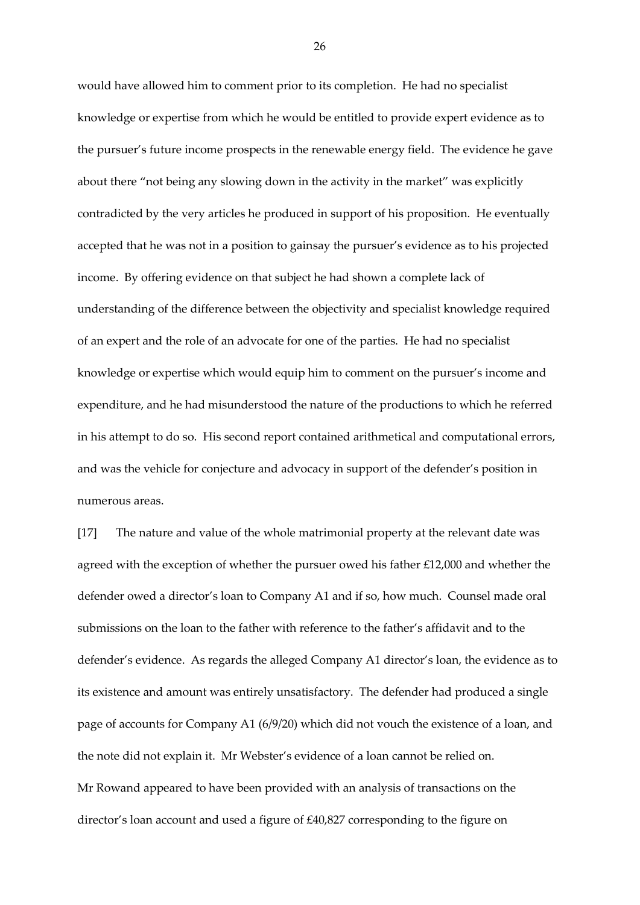would have allowed him to comment prior to its completion. He had no specialist knowledge or expertise from which he would be entitled to provide expert evidence as to the pursuer's future income prospects in the renewable energy field. The evidence he gave about there "not being any slowing down in the activity in the market" was explicitly contradicted by the very articles he produced in support of his proposition. He eventually accepted that he was not in a position to gainsay the pursuer's evidence as to his projected income. By offering evidence on that subject he had shown a complete lack of understanding of the difference between the objectivity and specialist knowledge required of an expert and the role of an advocate for one of the parties. He had no specialist knowledge or expertise which would equip him to comment on the pursuer's income and expenditure, and he had misunderstood the nature of the productions to which he referred in his attempt to do so. His second report contained arithmetical and computational errors, and was the vehicle for conjecture and advocacy in support of the defender's position in numerous areas.

[17] The nature and value of the whole matrimonial property at the relevant date was agreed with the exception of whether the pursuer owed his father £12,000 and whether the defender owed a director's loan to Company A1 and if so, how much. Counsel made oral submissions on the loan to the father with reference to the father's affidavit and to the defender's evidence. As regards the alleged Company A1 director's loan, the evidence as to its existence and amount was entirely unsatisfactory. The defender had produced a single page of accounts for Company A1 (6/9/20) which did not vouch the existence of a loan, and the note did not explain it. Mr Webster's evidence of a loan cannot be relied on. Mr Rowand appeared to have been provided with an analysis of transactions on the director's loan account and used a figure of £40,827 corresponding to the figure on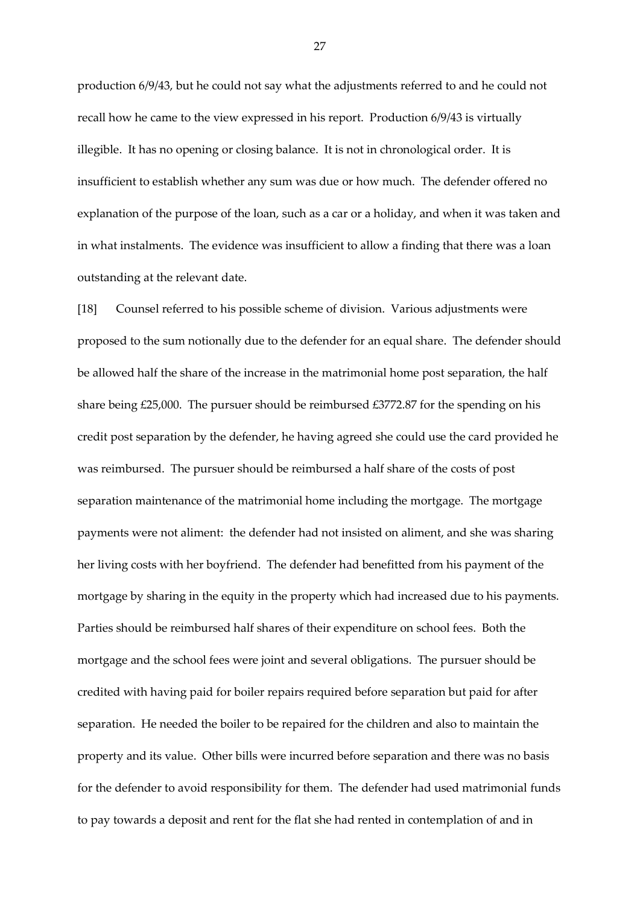production 6/9/43, but he could not say what the adjustments referred to and he could not recall how he came to the view expressed in his report. Production 6/9/43 is virtually illegible. It has no opening or closing balance. It is not in chronological order. It is insufficient to establish whether any sum was due or how much. The defender offered no explanation of the purpose of the loan, such as a car or a holiday, and when it was taken and in what instalments. The evidence was insufficient to allow a finding that there was a loan outstanding at the relevant date.

[18] Counsel referred to his possible scheme of division. Various adjustments were proposed to the sum notionally due to the defender for an equal share. The defender should be allowed half the share of the increase in the matrimonial home post separation, the half share being £25,000. The pursuer should be reimbursed £3772.87 for the spending on his credit post separation by the defender, he having agreed she could use the card provided he was reimbursed. The pursuer should be reimbursed a half share of the costs of post separation maintenance of the matrimonial home including the mortgage. The mortgage payments were not aliment: the defender had not insisted on aliment, and she was sharing her living costs with her boyfriend. The defender had benefitted from his payment of the mortgage by sharing in the equity in the property which had increased due to his payments. Parties should be reimbursed half shares of their expenditure on school fees. Both the mortgage and the school fees were joint and several obligations. The pursuer should be credited with having paid for boiler repairs required before separation but paid for after separation. He needed the boiler to be repaired for the children and also to maintain the property and its value. Other bills were incurred before separation and there was no basis for the defender to avoid responsibility for them. The defender had used matrimonial funds to pay towards a deposit and rent for the flat she had rented in contemplation of and in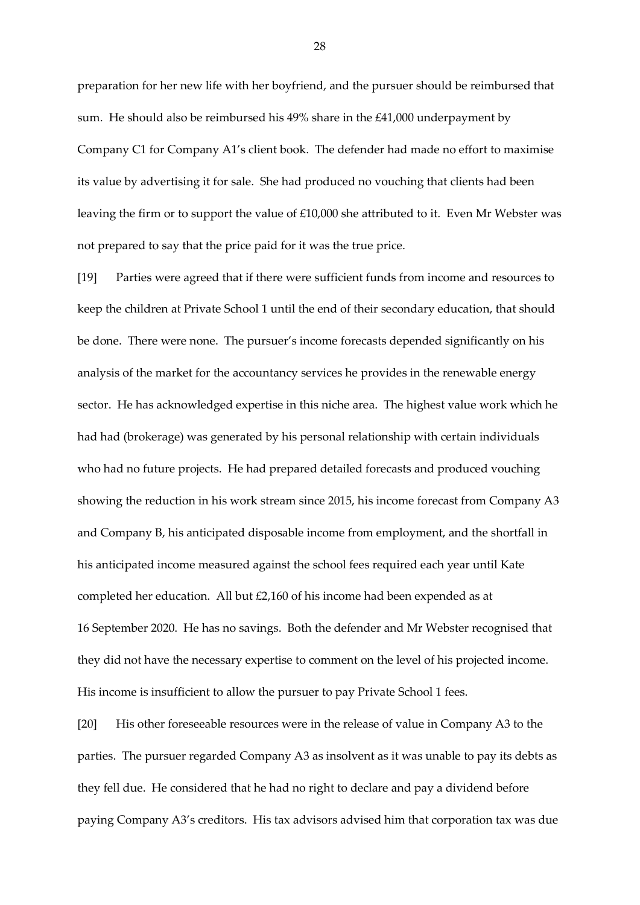preparation for her new life with her boyfriend, and the pursuer should be reimbursed that sum. He should also be reimbursed his 49% share in the £41,000 underpayment by Company C1 for Company A1's client book. The defender had made no effort to maximise its value by advertising it for sale. She had produced no vouching that clients had been leaving the firm or to support the value of £10,000 she attributed to it. Even Mr Webster was not prepared to say that the price paid for it was the true price.

[19] Parties were agreed that if there were sufficient funds from income and resources to keep the children at Private School 1 until the end of their secondary education, that should be done. There were none. The pursuer's income forecasts depended significantly on his analysis of the market for the accountancy services he provides in the renewable energy sector. He has acknowledged expertise in this niche area. The highest value work which he had had (brokerage) was generated by his personal relationship with certain individuals who had no future projects. He had prepared detailed forecasts and produced vouching showing the reduction in his work stream since 2015, his income forecast from Company A3 and Company B, his anticipated disposable income from employment, and the shortfall in his anticipated income measured against the school fees required each year until Kate completed her education. All but £2,160 of his income had been expended as at 16 September 2020. He has no savings. Both the defender and Mr Webster recognised that they did not have the necessary expertise to comment on the level of his projected income. His income is insufficient to allow the pursuer to pay Private School 1 fees.

[20] His other foreseeable resources were in the release of value in Company A3 to the parties. The pursuer regarded Company A3 as insolvent as it was unable to pay its debts as they fell due. He considered that he had no right to declare and pay a dividend before paying Company A3's creditors. His tax advisors advised him that corporation tax was due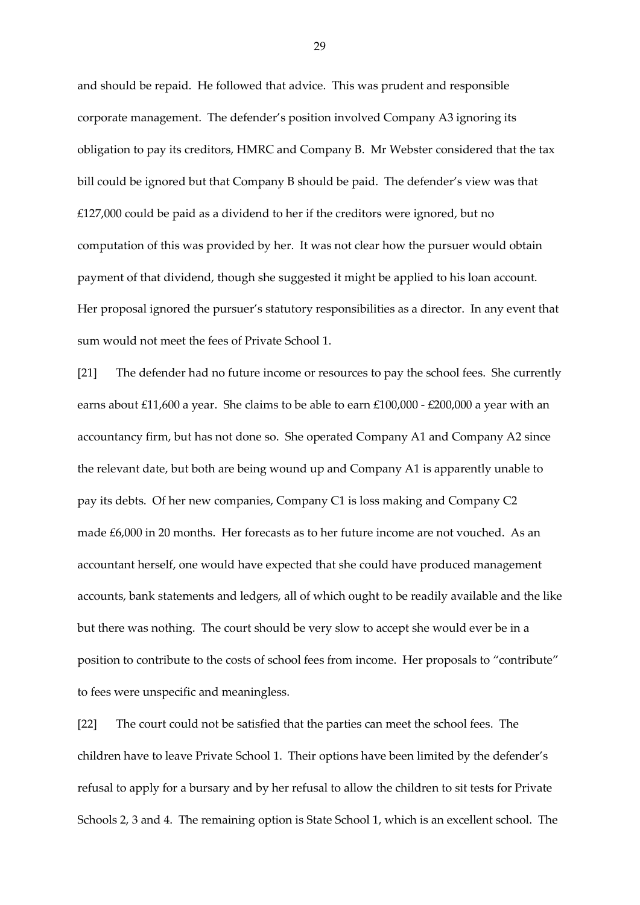and should be repaid. He followed that advice. This was prudent and responsible corporate management. The defender's position involved Company A3 ignoring its obligation to pay its creditors, HMRC and Company B. Mr Webster considered that the tax bill could be ignored but that Company B should be paid. The defender's view was that £127,000 could be paid as a dividend to her if the creditors were ignored, but no computation of this was provided by her. It was not clear how the pursuer would obtain payment of that dividend, though she suggested it might be applied to his loan account. Her proposal ignored the pursuer's statutory responsibilities as a director. In any event that sum would not meet the fees of Private School 1.

[21] The defender had no future income or resources to pay the school fees. She currently earns about £11,600 a year. She claims to be able to earn £100,000 - £200,000 a year with an accountancy firm, but has not done so. She operated Company A1 and Company A2 since the relevant date, but both are being wound up and Company A1 is apparently unable to pay its debts. Of her new companies, Company C1 is loss making and Company C2 made £6,000 in 20 months. Her forecasts as to her future income are not vouched. As an accountant herself, one would have expected that she could have produced management accounts, bank statements and ledgers, all of which ought to be readily available and the like but there was nothing. The court should be very slow to accept she would ever be in a position to contribute to the costs of school fees from income. Her proposals to "contribute" to fees were unspecific and meaningless.

[22] The court could not be satisfied that the parties can meet the school fees. The children have to leave Private School 1. Their options have been limited by the defender's refusal to apply for a bursary and by her refusal to allow the children to sit tests for Private Schools 2, 3 and 4. The remaining option is State School 1, which is an excellent school. The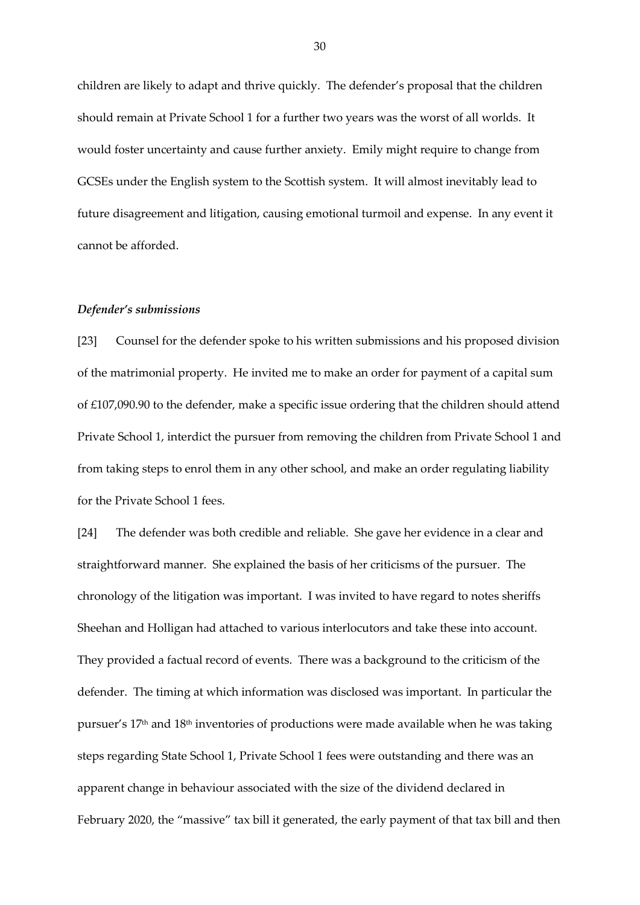children are likely to adapt and thrive quickly. The defender's proposal that the children should remain at Private School 1 for a further two years was the worst of all worlds. It would foster uncertainty and cause further anxiety. Emily might require to change from GCSEs under the English system to the Scottish system. It will almost inevitably lead to future disagreement and litigation, causing emotional turmoil and expense. In any event it cannot be afforded.

#### *Defender's submissions*

[23] Counsel for the defender spoke to his written submissions and his proposed division of the matrimonial property. He invited me to make an order for payment of a capital sum of £107,090.90 to the defender, make a specific issue ordering that the children should attend Private School 1, interdict the pursuer from removing the children from Private School 1 and from taking steps to enrol them in any other school, and make an order regulating liability for the Private School 1 fees.

[24] The defender was both credible and reliable. She gave her evidence in a clear and straightforward manner. She explained the basis of her criticisms of the pursuer. The chronology of the litigation was important. I was invited to have regard to notes sheriffs Sheehan and Holligan had attached to various interlocutors and take these into account. They provided a factual record of events. There was a background to the criticism of the defender. The timing at which information was disclosed was important. In particular the pursuer's 17th and 18th inventories of productions were made available when he was taking steps regarding State School 1, Private School 1 fees were outstanding and there was an apparent change in behaviour associated with the size of the dividend declared in February 2020, the "massive" tax bill it generated, the early payment of that tax bill and then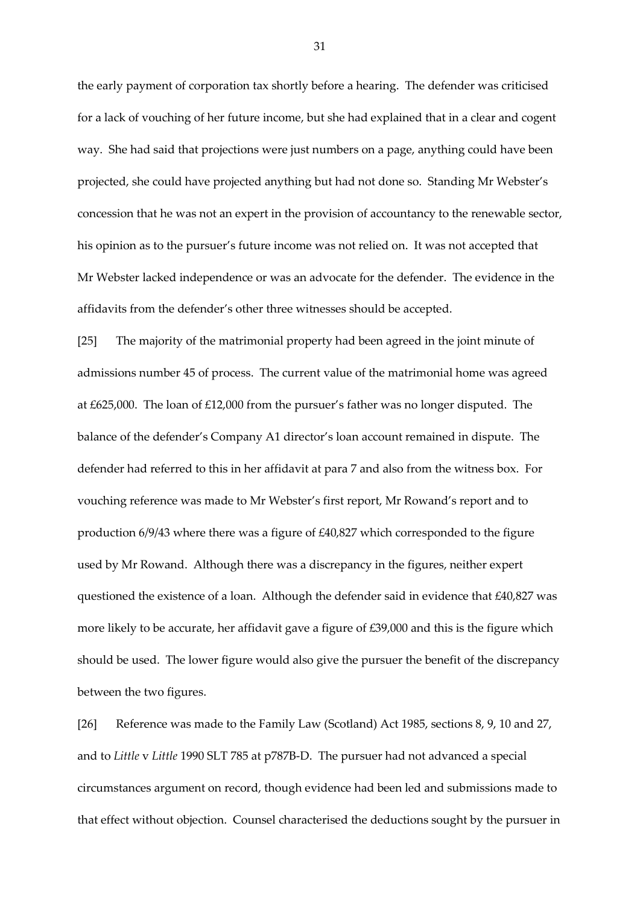the early payment of corporation tax shortly before a hearing. The defender was criticised for a lack of vouching of her future income, but she had explained that in a clear and cogent way. She had said that projections were just numbers on a page, anything could have been projected, she could have projected anything but had not done so. Standing Mr Webster's concession that he was not an expert in the provision of accountancy to the renewable sector, his opinion as to the pursuer's future income was not relied on. It was not accepted that Mr Webster lacked independence or was an advocate for the defender. The evidence in the affidavits from the defender's other three witnesses should be accepted.

[25] The majority of the matrimonial property had been agreed in the joint minute of admissions number 45 of process. The current value of the matrimonial home was agreed at £625,000. The loan of £12,000 from the pursuer's father was no longer disputed. The balance of the defender's Company A1 director's loan account remained in dispute. The defender had referred to this in her affidavit at para 7 and also from the witness box. For vouching reference was made to Mr Webster's first report, Mr Rowand's report and to production 6/9/43 where there was a figure of £40,827 which corresponded to the figure used by Mr Rowand. Although there was a discrepancy in the figures, neither expert questioned the existence of a loan. Although the defender said in evidence that £40,827 was more likely to be accurate, her affidavit gave a figure of £39,000 and this is the figure which should be used. The lower figure would also give the pursuer the benefit of the discrepancy between the two figures.

[26] Reference was made to the Family Law (Scotland) Act 1985, sections 8, 9, 10 and 27, and to *Little* v *Little* 1990 SLT 785 at p787B-D. The pursuer had not advanced a special circumstances argument on record, though evidence had been led and submissions made to that effect without objection. Counsel characterised the deductions sought by the pursuer in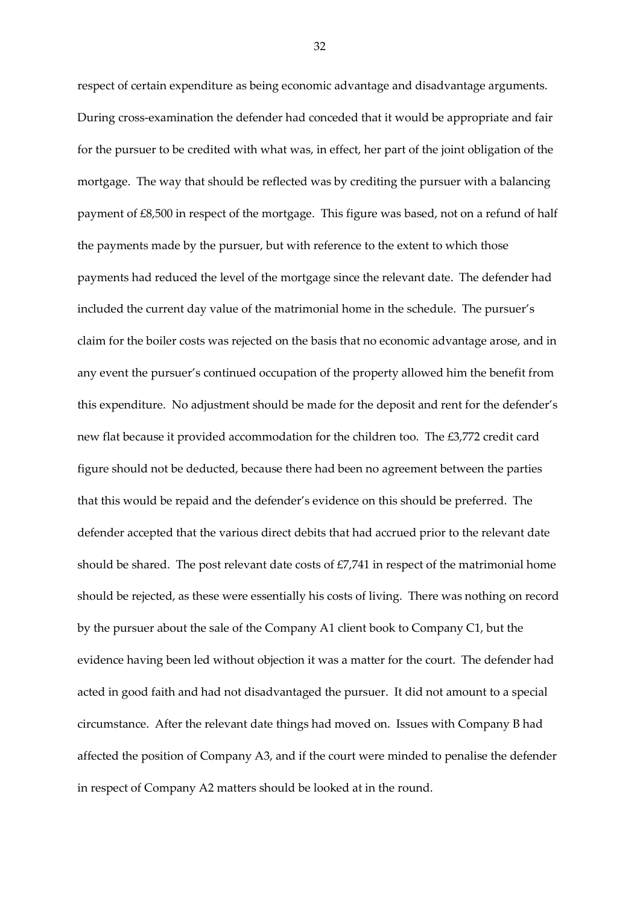respect of certain expenditure as being economic advantage and disadvantage arguments. During cross-examination the defender had conceded that it would be appropriate and fair for the pursuer to be credited with what was, in effect, her part of the joint obligation of the mortgage. The way that should be reflected was by crediting the pursuer with a balancing payment of £8,500 in respect of the mortgage. This figure was based, not on a refund of half the payments made by the pursuer, but with reference to the extent to which those payments had reduced the level of the mortgage since the relevant date. The defender had included the current day value of the matrimonial home in the schedule. The pursuer's claim for the boiler costs was rejected on the basis that no economic advantage arose, and in any event the pursuer's continued occupation of the property allowed him the benefit from this expenditure. No adjustment should be made for the deposit and rent for the defender's new flat because it provided accommodation for the children too. The £3,772 credit card figure should not be deducted, because there had been no agreement between the parties that this would be repaid and the defender's evidence on this should be preferred. The defender accepted that the various direct debits that had accrued prior to the relevant date should be shared. The post relevant date costs of £7,741 in respect of the matrimonial home should be rejected, as these were essentially his costs of living. There was nothing on record by the pursuer about the sale of the Company A1 client book to Company C1, but the evidence having been led without objection it was a matter for the court. The defender had acted in good faith and had not disadvantaged the pursuer. It did not amount to a special circumstance. After the relevant date things had moved on. Issues with Company B had affected the position of Company A3, and if the court were minded to penalise the defender in respect of Company A2 matters should be looked at in the round.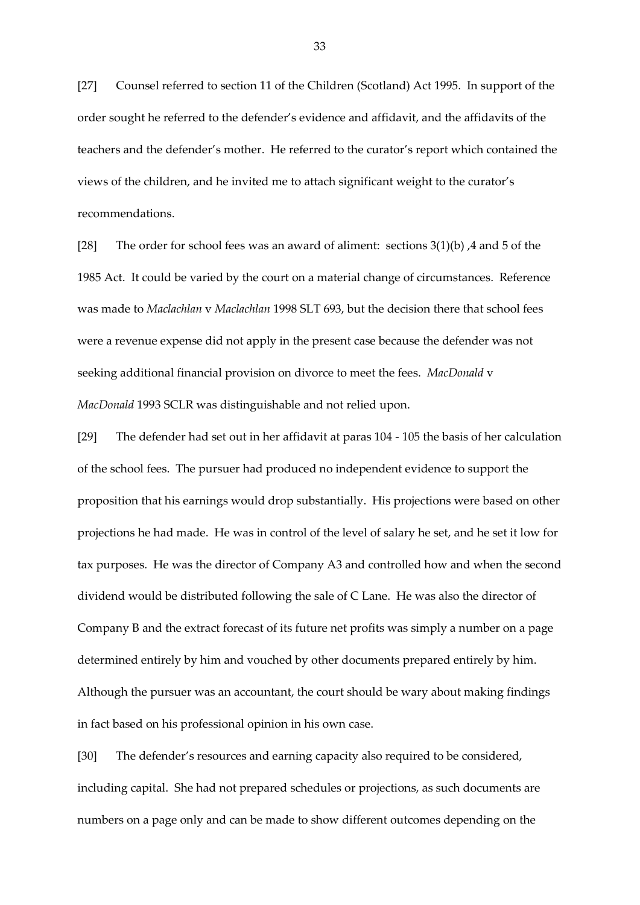[27] Counsel referred to section 11 of the Children (Scotland) Act 1995. In support of the order sought he referred to the defender's evidence and affidavit, and the affidavits of the teachers and the defender's mother. He referred to the curator's report which contained the views of the children, and he invited me to attach significant weight to the curator's recommendations.

[28] The order for school fees was an award of aliment: sections 3(1)(b) ,4 and 5 of the 1985 Act. It could be varied by the court on a material change of circumstances. Reference was made to *Maclachlan* v *Maclachlan* 1998 SLT 693, but the decision there that school fees were a revenue expense did not apply in the present case because the defender was not seeking additional financial provision on divorce to meet the fees. *MacDonald* v *MacDonald* 1993 SCLR was distinguishable and not relied upon.

[29] The defender had set out in her affidavit at paras 104 - 105 the basis of her calculation of the school fees. The pursuer had produced no independent evidence to support the proposition that his earnings would drop substantially. His projections were based on other projections he had made. He was in control of the level of salary he set, and he set it low for tax purposes. He was the director of Company A3 and controlled how and when the second dividend would be distributed following the sale of C Lane. He was also the director of Company B and the extract forecast of its future net profits was simply a number on a page determined entirely by him and vouched by other documents prepared entirely by him. Although the pursuer was an accountant, the court should be wary about making findings in fact based on his professional opinion in his own case.

[30] The defender's resources and earning capacity also required to be considered, including capital. She had not prepared schedules or projections, as such documents are numbers on a page only and can be made to show different outcomes depending on the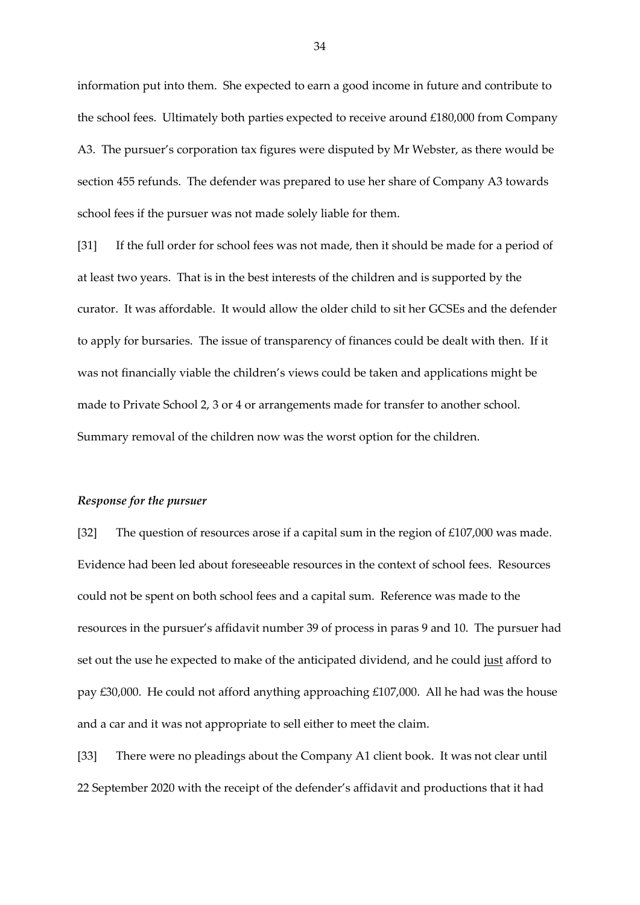information put into them. She expected to earn a good income in future and contribute to the school fees. Ultimately both parties expected to receive around £180,000 from Company A3. The pursuer's corporation tax figures were disputed by Mr Webster, as there would be section 455 refunds. The defender was prepared to use her share of Company A3 towards school fees if the pursuer was not made solely liable for them.

[31] If the full order for school fees was not made, then it should be made for a period of at least two years. That is in the best interests of the children and is supported by the curator. It was affordable. It would allow the older child to sit her GCSEs and the defender to apply for bursaries. The issue of transparency of finances could be dealt with then. If it was not financially viable the children's views could be taken and applications might be made to Private School 2, 3 or 4 or arrangements made for transfer to another school. Summary removal of the children now was the worst option for the children.

#### *Response for the pursuer*

[32] The question of resources arose if a capital sum in the region of £107,000 was made. Evidence had been led about foreseeable resources in the context of school fees. Resources could not be spent on both school fees and a capital sum. Reference was made to the resources in the pursuer's affidavit number 39 of process in paras 9 and 10. The pursuer had set out the use he expected to make of the anticipated dividend, and he could just afford to pay £30,000. He could not afford anything approaching £107,000. All he had was the house and a car and it was not appropriate to sell either to meet the claim.

[33] There were no pleadings about the Company A1 client book. It was not clear until 22 September 2020 with the receipt of the defender's affidavit and productions that it had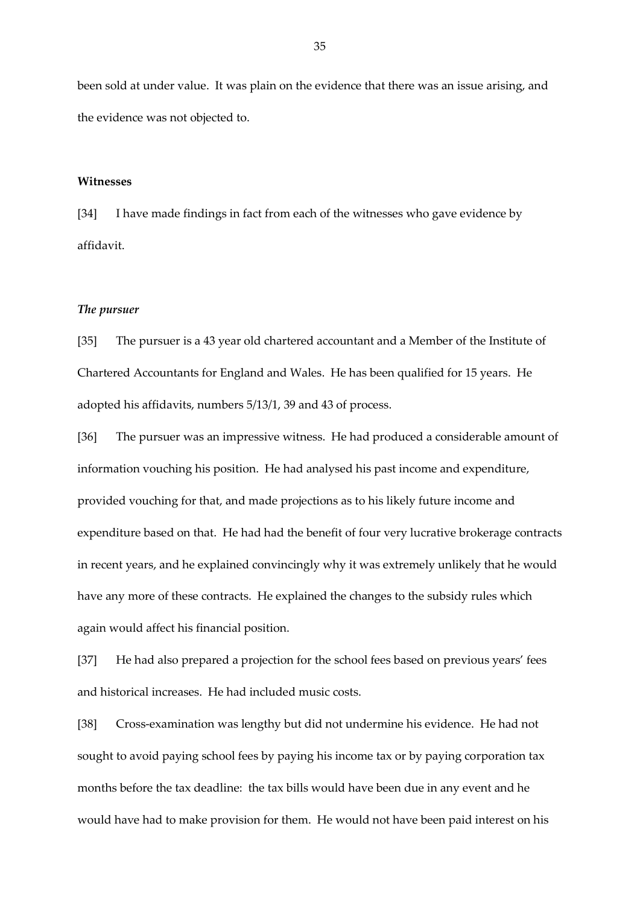been sold at under value. It was plain on the evidence that there was an issue arising, and the evidence was not objected to.

### **Witnesses**

[34] I have made findings in fact from each of the witnesses who gave evidence by affidavit.

#### *The pursuer*

[35] The pursuer is a 43 year old chartered accountant and a Member of the Institute of Chartered Accountants for England and Wales. He has been qualified for 15 years. He adopted his affidavits, numbers 5/13/1, 39 and 43 of process.

[36] The pursuer was an impressive witness. He had produced a considerable amount of information vouching his position. He had analysed his past income and expenditure, provided vouching for that, and made projections as to his likely future income and expenditure based on that. He had had the benefit of four very lucrative brokerage contracts in recent years, and he explained convincingly why it was extremely unlikely that he would have any more of these contracts. He explained the changes to the subsidy rules which again would affect his financial position.

[37] He had also prepared a projection for the school fees based on previous years' fees and historical increases. He had included music costs.

[38] Cross-examination was lengthy but did not undermine his evidence. He had not sought to avoid paying school fees by paying his income tax or by paying corporation tax months before the tax deadline: the tax bills would have been due in any event and he would have had to make provision for them. He would not have been paid interest on his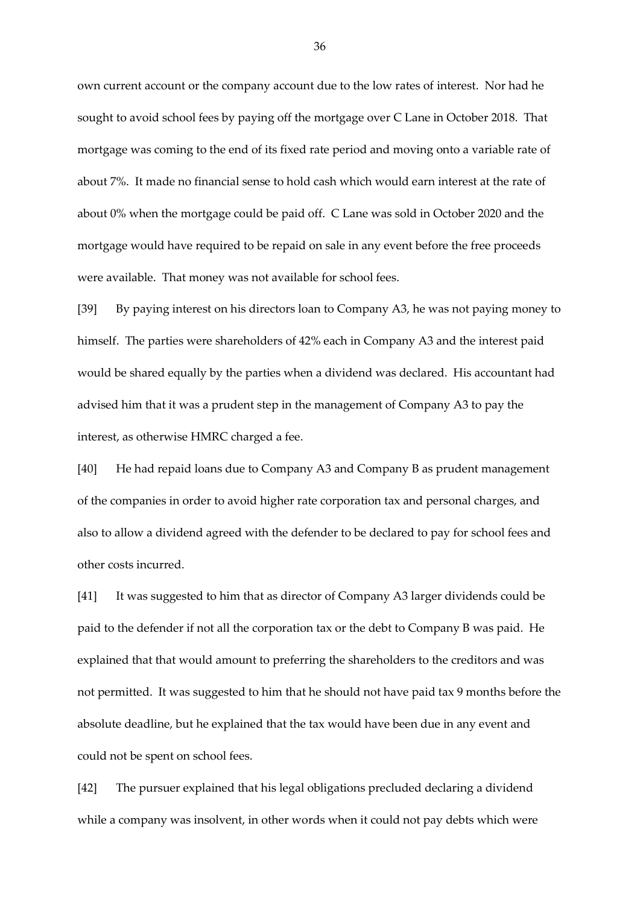own current account or the company account due to the low rates of interest. Nor had he sought to avoid school fees by paying off the mortgage over C Lane in October 2018. That mortgage was coming to the end of its fixed rate period and moving onto a variable rate of about 7%. It made no financial sense to hold cash which would earn interest at the rate of about 0% when the mortgage could be paid off. C Lane was sold in October 2020 and the mortgage would have required to be repaid on sale in any event before the free proceeds were available. That money was not available for school fees.

[39] By paying interest on his directors loan to Company A3, he was not paying money to himself. The parties were shareholders of 42% each in Company A3 and the interest paid would be shared equally by the parties when a dividend was declared. His accountant had advised him that it was a prudent step in the management of Company A3 to pay the interest, as otherwise HMRC charged a fee.

[40] He had repaid loans due to Company A3 and Company B as prudent management of the companies in order to avoid higher rate corporation tax and personal charges, and also to allow a dividend agreed with the defender to be declared to pay for school fees and other costs incurred.

[41] It was suggested to him that as director of Company A3 larger dividends could be paid to the defender if not all the corporation tax or the debt to Company B was paid. He explained that that would amount to preferring the shareholders to the creditors and was not permitted. It was suggested to him that he should not have paid tax 9 months before the absolute deadline, but he explained that the tax would have been due in any event and could not be spent on school fees.

[42] The pursuer explained that his legal obligations precluded declaring a dividend while a company was insolvent, in other words when it could not pay debts which were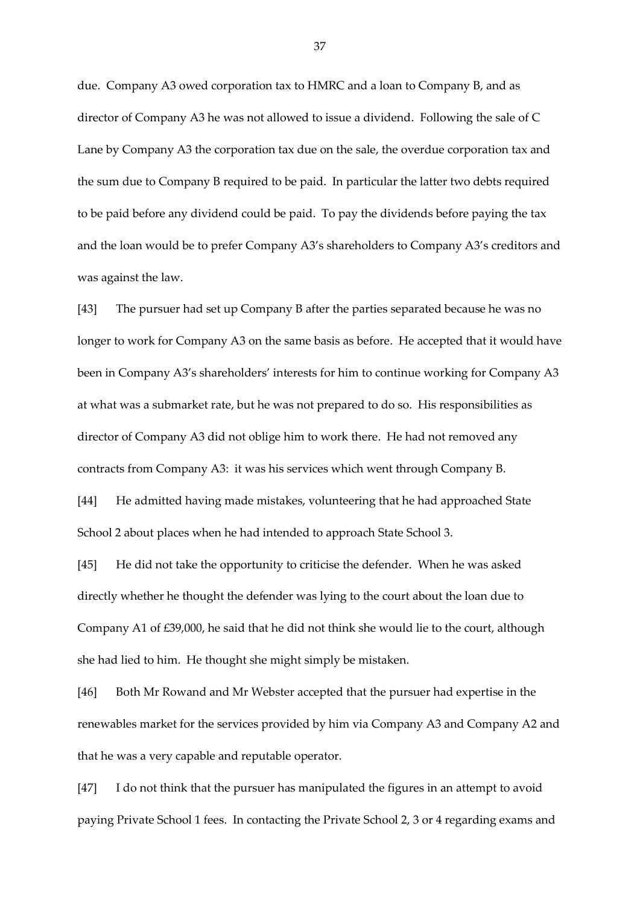due. Company A3 owed corporation tax to HMRC and a loan to Company B, and as director of Company A3 he was not allowed to issue a dividend. Following the sale of C Lane by Company A3 the corporation tax due on the sale, the overdue corporation tax and the sum due to Company B required to be paid. In particular the latter two debts required to be paid before any dividend could be paid. To pay the dividends before paying the tax and the loan would be to prefer Company A3's shareholders to Company A3's creditors and was against the law.

[43] The pursuer had set up Company B after the parties separated because he was no longer to work for Company A3 on the same basis as before. He accepted that it would have been in Company A3's shareholders' interests for him to continue working for Company A3 at what was a submarket rate, but he was not prepared to do so. His responsibilities as director of Company A3 did not oblige him to work there. He had not removed any contracts from Company A3: it was his services which went through Company B.

[44] He admitted having made mistakes, volunteering that he had approached State School 2 about places when he had intended to approach State School 3.

[45] He did not take the opportunity to criticise the defender. When he was asked directly whether he thought the defender was lying to the court about the loan due to Company A1 of £39,000, he said that he did not think she would lie to the court, although she had lied to him. He thought she might simply be mistaken.

[46] Both Mr Rowand and Mr Webster accepted that the pursuer had expertise in the renewables market for the services provided by him via Company A3 and Company A2 and that he was a very capable and reputable operator.

[47] I do not think that the pursuer has manipulated the figures in an attempt to avoid paying Private School 1 fees. In contacting the Private School 2, 3 or 4 regarding exams and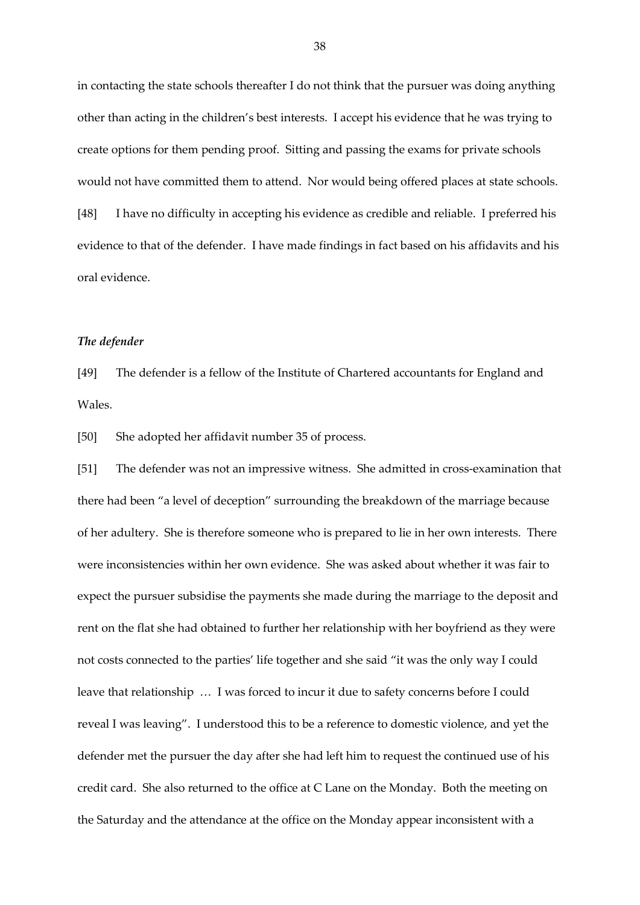in contacting the state schools thereafter I do not think that the pursuer was doing anything other than acting in the children's best interests. I accept his evidence that he was trying to create options for them pending proof. Sitting and passing the exams for private schools would not have committed them to attend. Nor would being offered places at state schools. [48] I have no difficulty in accepting his evidence as credible and reliable. I preferred his evidence to that of the defender. I have made findings in fact based on his affidavits and his oral evidence.

### *The defender*

[49] The defender is a fellow of the Institute of Chartered accountants for England and Wales.

[50] She adopted her affidavit number 35 of process.

[51] The defender was not an impressive witness. She admitted in cross-examination that there had been "a level of deception" surrounding the breakdown of the marriage because of her adultery. She is therefore someone who is prepared to lie in her own interests. There were inconsistencies within her own evidence. She was asked about whether it was fair to expect the pursuer subsidise the payments she made during the marriage to the deposit and rent on the flat she had obtained to further her relationship with her boyfriend as they were not costs connected to the parties' life together and she said "it was the only way I could leave that relationship … I was forced to incur it due to safety concerns before I could reveal I was leaving". I understood this to be a reference to domestic violence, and yet the defender met the pursuer the day after she had left him to request the continued use of his credit card. She also returned to the office at C Lane on the Monday. Both the meeting on the Saturday and the attendance at the office on the Monday appear inconsistent with a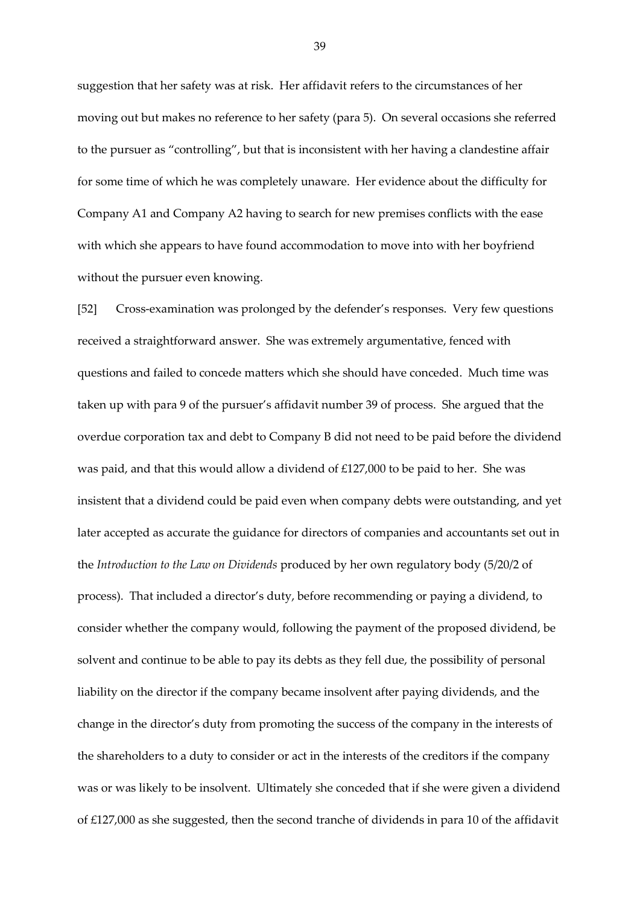suggestion that her safety was at risk. Her affidavit refers to the circumstances of her moving out but makes no reference to her safety (para 5). On several occasions she referred to the pursuer as "controlling", but that is inconsistent with her having a clandestine affair for some time of which he was completely unaware. Her evidence about the difficulty for Company A1 and Company A2 having to search for new premises conflicts with the ease with which she appears to have found accommodation to move into with her boyfriend without the pursuer even knowing.

[52] Cross-examination was prolonged by the defender's responses. Very few questions received a straightforward answer. She was extremely argumentative, fenced with questions and failed to concede matters which she should have conceded. Much time was taken up with para 9 of the pursuer's affidavit number 39 of process. She argued that the overdue corporation tax and debt to Company B did not need to be paid before the dividend was paid, and that this would allow a dividend of £127,000 to be paid to her. She was insistent that a dividend could be paid even when company debts were outstanding, and yet later accepted as accurate the guidance for directors of companies and accountants set out in the *Introduction to the Law on Dividends* produced by her own regulatory body (5/20/2 of process). That included a director's duty, before recommending or paying a dividend, to consider whether the company would, following the payment of the proposed dividend, be solvent and continue to be able to pay its debts as they fell due, the possibility of personal liability on the director if the company became insolvent after paying dividends, and the change in the director's duty from promoting the success of the company in the interests of the shareholders to a duty to consider or act in the interests of the creditors if the company was or was likely to be insolvent. Ultimately she conceded that if she were given a dividend of £127,000 as she suggested, then the second tranche of dividends in para 10 of the affidavit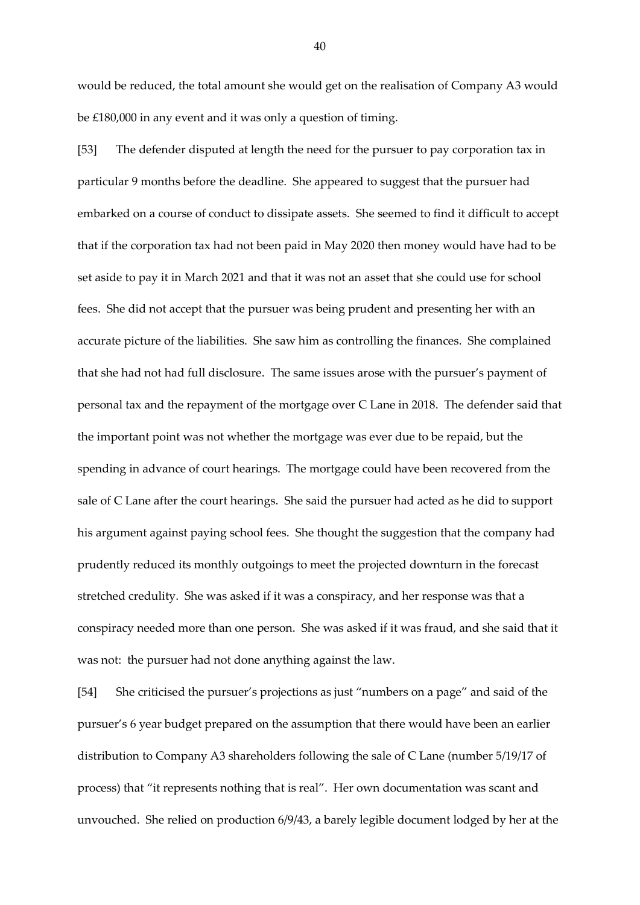would be reduced, the total amount she would get on the realisation of Company A3 would be £180,000 in any event and it was only a question of timing.

[53] The defender disputed at length the need for the pursuer to pay corporation tax in particular 9 months before the deadline. She appeared to suggest that the pursuer had embarked on a course of conduct to dissipate assets. She seemed to find it difficult to accept that if the corporation tax had not been paid in May 2020 then money would have had to be set aside to pay it in March 2021 and that it was not an asset that she could use for school fees. She did not accept that the pursuer was being prudent and presenting her with an accurate picture of the liabilities. She saw him as controlling the finances. She complained that she had not had full disclosure. The same issues arose with the pursuer's payment of personal tax and the repayment of the mortgage over C Lane in 2018. The defender said that the important point was not whether the mortgage was ever due to be repaid, but the spending in advance of court hearings. The mortgage could have been recovered from the sale of C Lane after the court hearings. She said the pursuer had acted as he did to support his argument against paying school fees. She thought the suggestion that the company had prudently reduced its monthly outgoings to meet the projected downturn in the forecast stretched credulity. She was asked if it was a conspiracy, and her response was that a conspiracy needed more than one person. She was asked if it was fraud, and she said that it was not: the pursuer had not done anything against the law.

[54] She criticised the pursuer's projections as just "numbers on a page" and said of the pursuer's 6 year budget prepared on the assumption that there would have been an earlier distribution to Company A3 shareholders following the sale of C Lane (number 5/19/17 of process) that "it represents nothing that is real". Her own documentation was scant and unvouched. She relied on production 6/9/43, a barely legible document lodged by her at the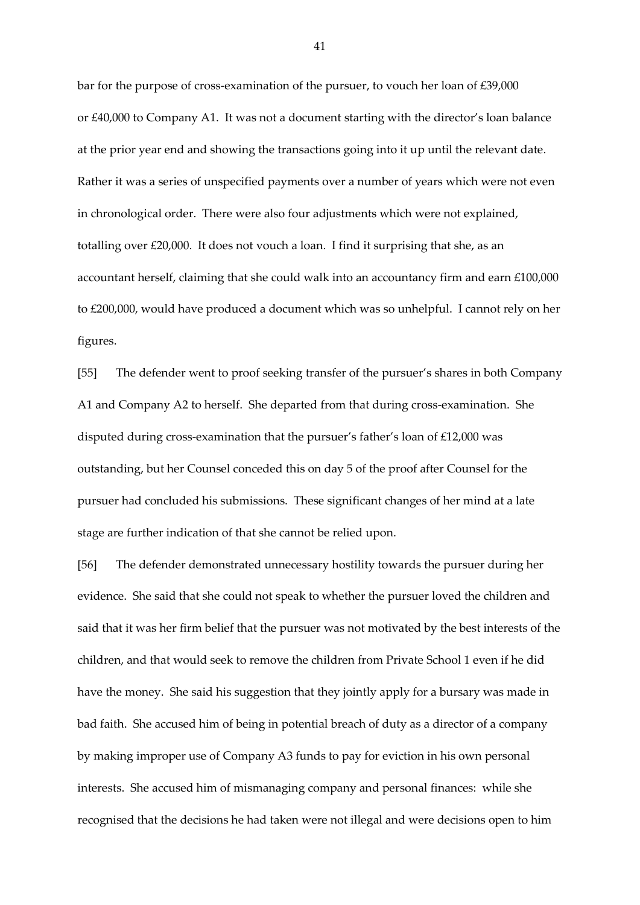bar for the purpose of cross-examination of the pursuer, to vouch her loan of £39,000 or £40,000 to Company A1. It was not a document starting with the director's loan balance at the prior year end and showing the transactions going into it up until the relevant date. Rather it was a series of unspecified payments over a number of years which were not even in chronological order. There were also four adjustments which were not explained, totalling over £20,000. It does not vouch a loan. I find it surprising that she, as an accountant herself, claiming that she could walk into an accountancy firm and earn £100,000 to £200,000, would have produced a document which was so unhelpful. I cannot rely on her figures.

[55] The defender went to proof seeking transfer of the pursuer's shares in both Company A1 and Company A2 to herself. She departed from that during cross-examination. She disputed during cross-examination that the pursuer's father's loan of £12,000 was outstanding, but her Counsel conceded this on day 5 of the proof after Counsel for the pursuer had concluded his submissions. These significant changes of her mind at a late stage are further indication of that she cannot be relied upon.

[56] The defender demonstrated unnecessary hostility towards the pursuer during her evidence. She said that she could not speak to whether the pursuer loved the children and said that it was her firm belief that the pursuer was not motivated by the best interests of the children, and that would seek to remove the children from Private School 1 even if he did have the money. She said his suggestion that they jointly apply for a bursary was made in bad faith. She accused him of being in potential breach of duty as a director of a company by making improper use of Company A3 funds to pay for eviction in his own personal interests. She accused him of mismanaging company and personal finances: while she recognised that the decisions he had taken were not illegal and were decisions open to him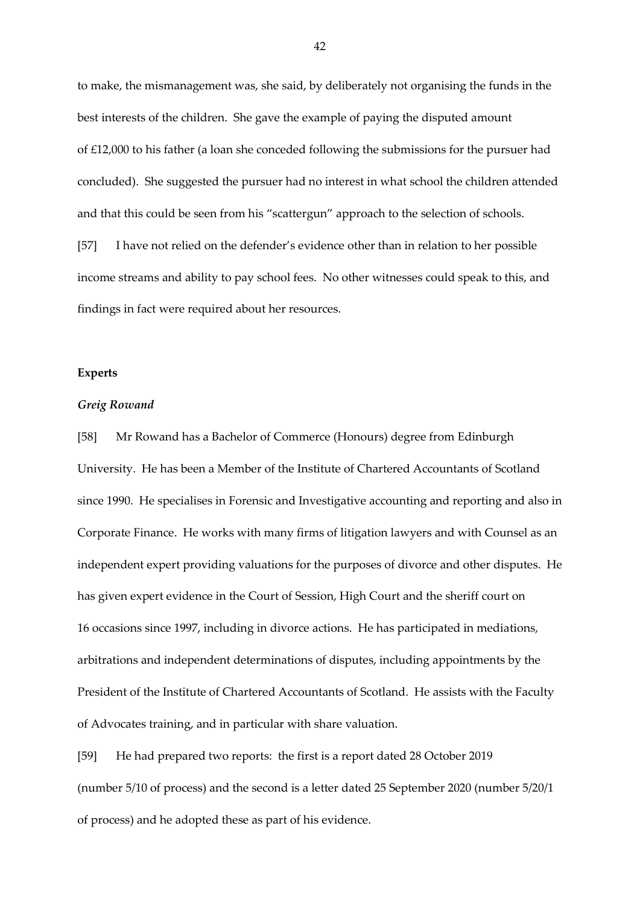to make, the mismanagement was, she said, by deliberately not organising the funds in the best interests of the children. She gave the example of paying the disputed amount of £12,000 to his father (a loan she conceded following the submissions for the pursuer had concluded). She suggested the pursuer had no interest in what school the children attended and that this could be seen from his "scattergun" approach to the selection of schools. [57] I have not relied on the defender's evidence other than in relation to her possible income streams and ability to pay school fees. No other witnesses could speak to this, and findings in fact were required about her resources.

#### **Experts**

### *Greig Rowand*

[58] Mr Rowand has a Bachelor of Commerce (Honours) degree from Edinburgh University. He has been a Member of the Institute of Chartered Accountants of Scotland since 1990. He specialises in Forensic and Investigative accounting and reporting and also in Corporate Finance. He works with many firms of litigation lawyers and with Counsel as an independent expert providing valuations for the purposes of divorce and other disputes. He has given expert evidence in the Court of Session, High Court and the sheriff court on 16 occasions since 1997, including in divorce actions. He has participated in mediations, arbitrations and independent determinations of disputes, including appointments by the President of the Institute of Chartered Accountants of Scotland. He assists with the Faculty of Advocates training, and in particular with share valuation.

[59] He had prepared two reports: the first is a report dated 28 October 2019 (number 5/10 of process) and the second is a letter dated 25 September 2020 (number 5/20/1 of process) and he adopted these as part of his evidence.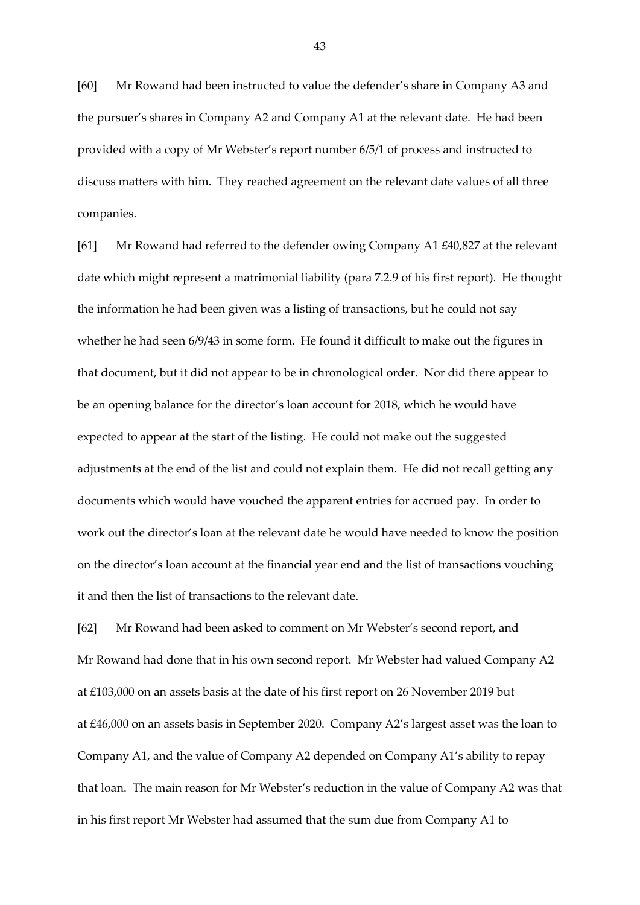[60] Mr Rowand had been instructed to value the defender's share in Company A3 and the pursuer's shares in Company A2 and Company A1 at the relevant date. He had been provided with a copy of Mr Webster's report number 6/5/1 of process and instructed to discuss matters with him. They reached agreement on the relevant date values of all three companies.

[61] Mr Rowand had referred to the defender owing Company A1 £40,827 at the relevant date which might represent a matrimonial liability (para 7.2.9 of his first report). He thought the information he had been given was a listing of transactions, but he could not say whether he had seen 6/9/43 in some form. He found it difficult to make out the figures in that document, but it did not appear to be in chronological order. Nor did there appear to be an opening balance for the director's loan account for 2018, which he would have expected to appear at the start of the listing. He could not make out the suggested adjustments at the end of the list and could not explain them. He did not recall getting any documents which would have vouched the apparent entries for accrued pay. In order to work out the director's loan at the relevant date he would have needed to know the position on the director's loan account at the financial year end and the list of transactions vouching it and then the list of transactions to the relevant date.

[62] Mr Rowand had been asked to comment on Mr Webster's second report, and Mr Rowand had done that in his own second report. Mr Webster had valued Company A2 at £103,000 on an assets basis at the date of his first report on 26 November 2019 but at £46,000 on an assets basis in September 2020. Company A2's largest asset was the loan to Company A1, and the value of Company A2 depended on Company A1's ability to repay that loan. The main reason for Mr Webster's reduction in the value of Company A2 was that in his first report Mr Webster had assumed that the sum due from Company A1 to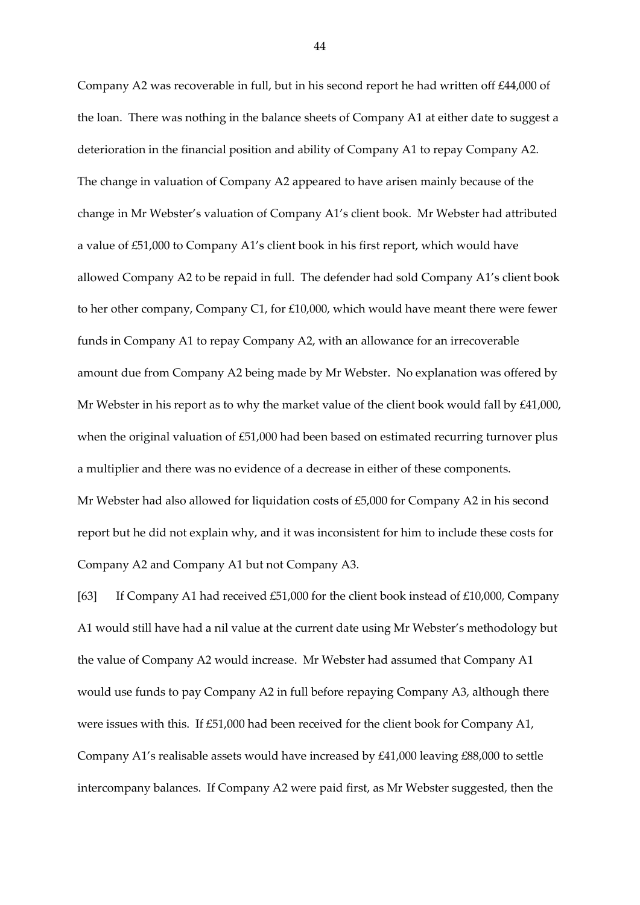Company A2 was recoverable in full, but in his second report he had written off £44,000 of the loan. There was nothing in the balance sheets of Company A1 at either date to suggest a deterioration in the financial position and ability of Company A1 to repay Company A2. The change in valuation of Company A2 appeared to have arisen mainly because of the change in Mr Webster's valuation of Company A1's client book. Mr Webster had attributed a value of £51,000 to Company A1's client book in his first report, which would have allowed Company A2 to be repaid in full. The defender had sold Company A1's client book to her other company, Company C1, for £10,000, which would have meant there were fewer funds in Company A1 to repay Company A2, with an allowance for an irrecoverable amount due from Company A2 being made by Mr Webster. No explanation was offered by Mr Webster in his report as to why the market value of the client book would fall by £41,000, when the original valuation of £51,000 had been based on estimated recurring turnover plus a multiplier and there was no evidence of a decrease in either of these components. Mr Webster had also allowed for liquidation costs of £5,000 for Company A2 in his second report but he did not explain why, and it was inconsistent for him to include these costs for Company A2 and Company A1 but not Company A3.

[63] If Company A1 had received £51,000 for the client book instead of £10,000, Company A1 would still have had a nil value at the current date using Mr Webster's methodology but the value of Company A2 would increase. Mr Webster had assumed that Company A1 would use funds to pay Company A2 in full before repaying Company A3, although there were issues with this. If £51,000 had been received for the client book for Company A1, Company A1's realisable assets would have increased by £41,000 leaving £88,000 to settle intercompany balances. If Company A2 were paid first, as Mr Webster suggested, then the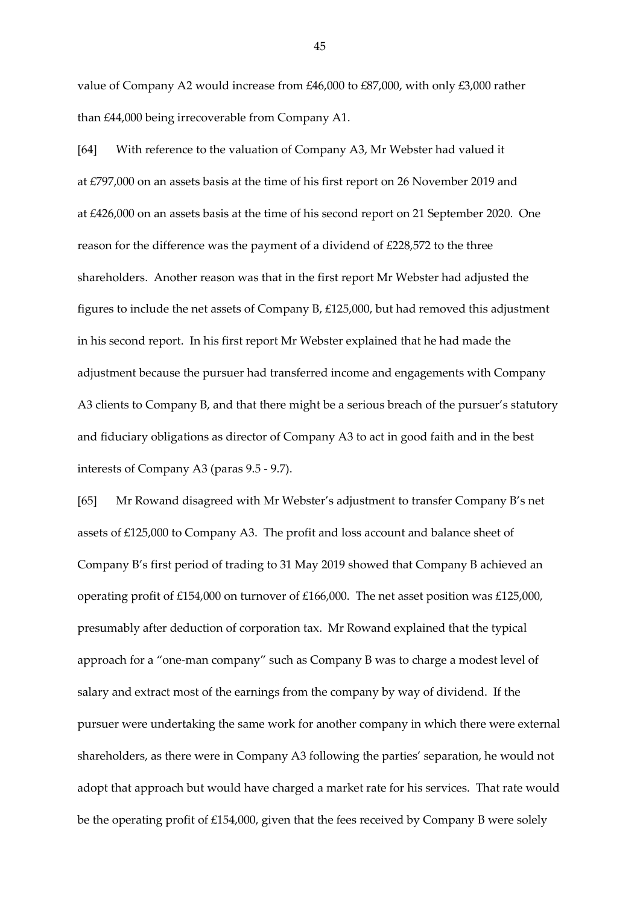value of Company A2 would increase from £46,000 to £87,000, with only £3,000 rather than £44,000 being irrecoverable from Company A1.

[64] With reference to the valuation of Company A3, Mr Webster had valued it at £797,000 on an assets basis at the time of his first report on 26 November 2019 and at £426,000 on an assets basis at the time of his second report on 21 September 2020. One reason for the difference was the payment of a dividend of £228,572 to the three shareholders. Another reason was that in the first report Mr Webster had adjusted the figures to include the net assets of Company B, £125,000, but had removed this adjustment in his second report. In his first report Mr Webster explained that he had made the adjustment because the pursuer had transferred income and engagements with Company A3 clients to Company B, and that there might be a serious breach of the pursuer's statutory and fiduciary obligations as director of Company A3 to act in good faith and in the best interests of Company A3 (paras 9.5 - 9.7).

[65] Mr Rowand disagreed with Mr Webster's adjustment to transfer Company B's net assets of £125,000 to Company A3. The profit and loss account and balance sheet of Company B's first period of trading to 31 May 2019 showed that Company B achieved an operating profit of £154,000 on turnover of £166,000. The net asset position was £125,000, presumably after deduction of corporation tax. Mr Rowand explained that the typical approach for a "one-man company" such as Company B was to charge a modest level of salary and extract most of the earnings from the company by way of dividend. If the pursuer were undertaking the same work for another company in which there were external shareholders, as there were in Company A3 following the parties' separation, he would not adopt that approach but would have charged a market rate for his services. That rate would be the operating profit of £154,000, given that the fees received by Company B were solely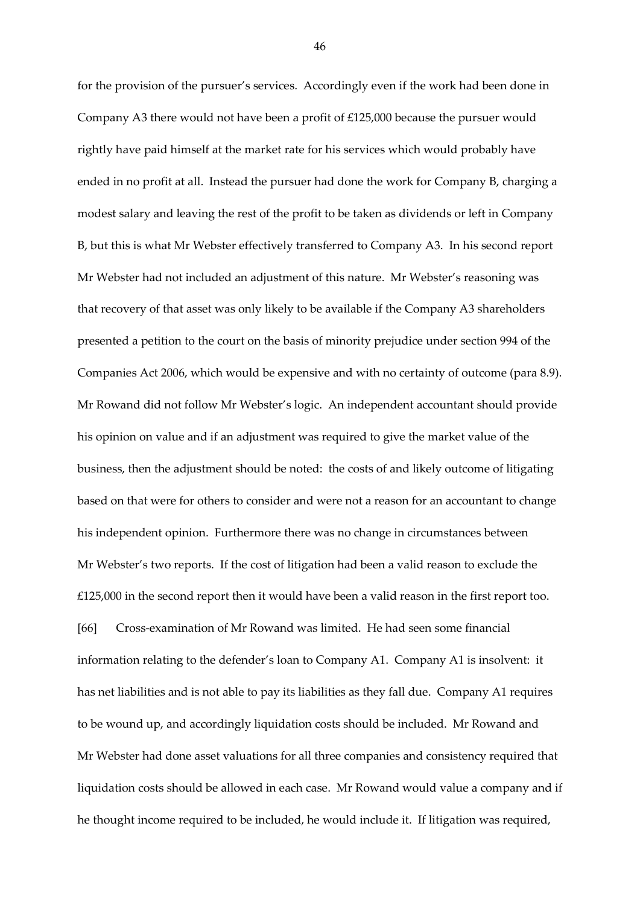for the provision of the pursuer's services. Accordingly even if the work had been done in Company A3 there would not have been a profit of £125,000 because the pursuer would rightly have paid himself at the market rate for his services which would probably have ended in no profit at all. Instead the pursuer had done the work for Company B, charging a modest salary and leaving the rest of the profit to be taken as dividends or left in Company B, but this is what Mr Webster effectively transferred to Company A3. In his second report Mr Webster had not included an adjustment of this nature. Mr Webster's reasoning was that recovery of that asset was only likely to be available if the Company A3 shareholders presented a petition to the court on the basis of minority prejudice under section 994 of the Companies Act 2006, which would be expensive and with no certainty of outcome (para 8.9). Mr Rowand did not follow Mr Webster's logic. An independent accountant should provide his opinion on value and if an adjustment was required to give the market value of the business, then the adjustment should be noted: the costs of and likely outcome of litigating based on that were for others to consider and were not a reason for an accountant to change his independent opinion. Furthermore there was no change in circumstances between Mr Webster's two reports. If the cost of litigation had been a valid reason to exclude the £125,000 in the second report then it would have been a valid reason in the first report too. [66] Cross-examination of Mr Rowand was limited. He had seen some financial information relating to the defender's loan to Company A1. Company A1 is insolvent: it has net liabilities and is not able to pay its liabilities as they fall due. Company A1 requires to be wound up, and accordingly liquidation costs should be included. Mr Rowand and Mr Webster had done asset valuations for all three companies and consistency required that liquidation costs should be allowed in each case. Mr Rowand would value a company and if he thought income required to be included, he would include it. If litigation was required,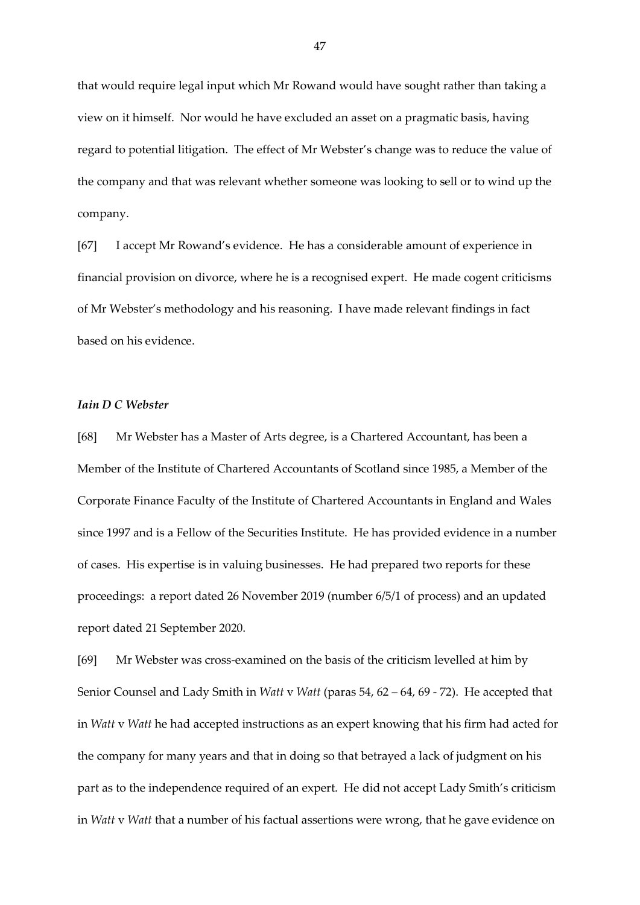that would require legal input which Mr Rowand would have sought rather than taking a view on it himself. Nor would he have excluded an asset on a pragmatic basis, having regard to potential litigation. The effect of Mr Webster's change was to reduce the value of the company and that was relevant whether someone was looking to sell or to wind up the company.

[67] I accept Mr Rowand's evidence. He has a considerable amount of experience in financial provision on divorce, where he is a recognised expert. He made cogent criticisms of Mr Webster's methodology and his reasoning. I have made relevant findings in fact based on his evidence.

## *Iain D C Webster*

[68] Mr Webster has a Master of Arts degree, is a Chartered Accountant, has been a Member of the Institute of Chartered Accountants of Scotland since 1985, a Member of the Corporate Finance Faculty of the Institute of Chartered Accountants in England and Wales since 1997 and is a Fellow of the Securities Institute. He has provided evidence in a number of cases. His expertise is in valuing businesses. He had prepared two reports for these proceedings: a report dated 26 November 2019 (number 6/5/1 of process) and an updated report dated 21 September 2020.

[69] Mr Webster was cross-examined on the basis of the criticism levelled at him by Senior Counsel and Lady Smith in *Watt* v *Watt* (paras 54, 62 – 64, 69 - 72). He accepted that in *Watt* v *Watt* he had accepted instructions as an expert knowing that his firm had acted for the company for many years and that in doing so that betrayed a lack of judgment on his part as to the independence required of an expert. He did not accept Lady Smith's criticism in *Watt* v *Watt* that a number of his factual assertions were wrong, that he gave evidence on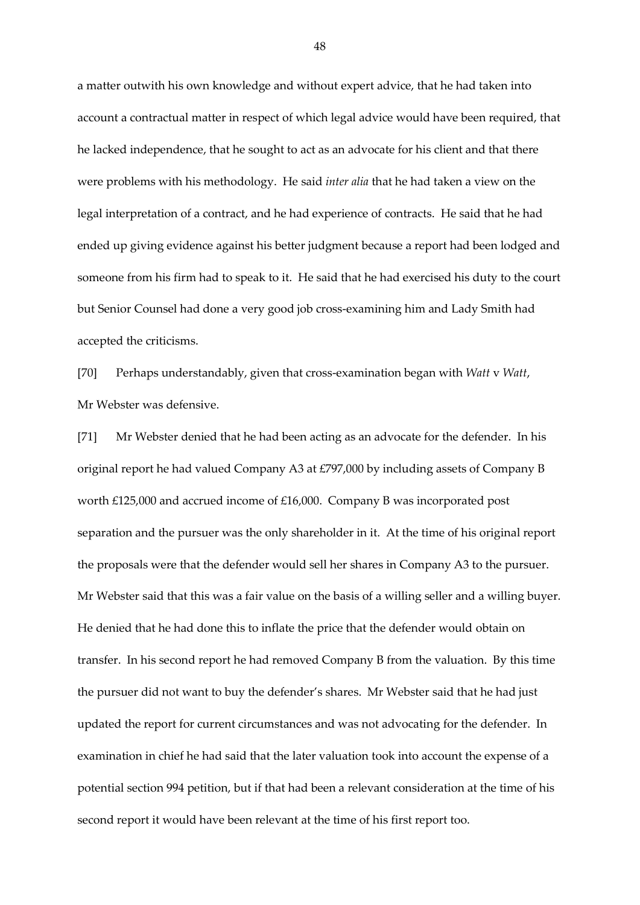a matter outwith his own knowledge and without expert advice, that he had taken into account a contractual matter in respect of which legal advice would have been required, that he lacked independence, that he sought to act as an advocate for his client and that there were problems with his methodology. He said *inter alia* that he had taken a view on the legal interpretation of a contract, and he had experience of contracts. He said that he had ended up giving evidence against his better judgment because a report had been lodged and someone from his firm had to speak to it. He said that he had exercised his duty to the court but Senior Counsel had done a very good job cross-examining him and Lady Smith had accepted the criticisms.

[70] Perhaps understandably, given that cross-examination began with *Watt* v *Watt*, Mr Webster was defensive.

[71] Mr Webster denied that he had been acting as an advocate for the defender. In his original report he had valued Company A3 at £797,000 by including assets of Company B worth £125,000 and accrued income of £16,000. Company B was incorporated post separation and the pursuer was the only shareholder in it. At the time of his original report the proposals were that the defender would sell her shares in Company A3 to the pursuer. Mr Webster said that this was a fair value on the basis of a willing seller and a willing buyer. He denied that he had done this to inflate the price that the defender would obtain on transfer. In his second report he had removed Company B from the valuation. By this time the pursuer did not want to buy the defender's shares. Mr Webster said that he had just updated the report for current circumstances and was not advocating for the defender. In examination in chief he had said that the later valuation took into account the expense of a potential section 994 petition, but if that had been a relevant consideration at the time of his second report it would have been relevant at the time of his first report too.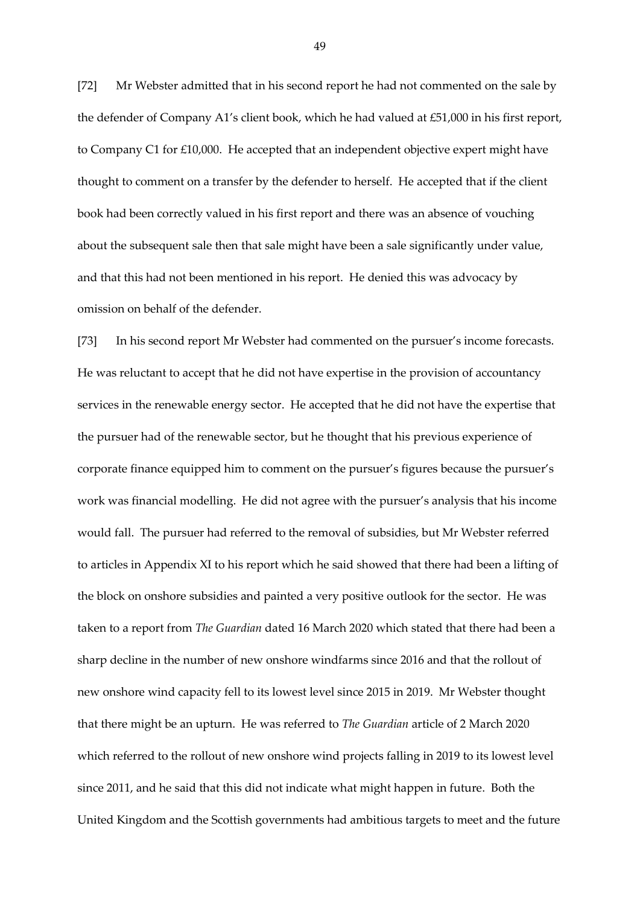[72] Mr Webster admitted that in his second report he had not commented on the sale by the defender of Company A1's client book, which he had valued at £51,000 in his first report, to Company C1 for £10,000. He accepted that an independent objective expert might have thought to comment on a transfer by the defender to herself. He accepted that if the client book had been correctly valued in his first report and there was an absence of vouching about the subsequent sale then that sale might have been a sale significantly under value, and that this had not been mentioned in his report. He denied this was advocacy by omission on behalf of the defender.

[73] In his second report Mr Webster had commented on the pursuer's income forecasts. He was reluctant to accept that he did not have expertise in the provision of accountancy services in the renewable energy sector. He accepted that he did not have the expertise that the pursuer had of the renewable sector, but he thought that his previous experience of corporate finance equipped him to comment on the pursuer's figures because the pursuer's work was financial modelling. He did not agree with the pursuer's analysis that his income would fall. The pursuer had referred to the removal of subsidies, but Mr Webster referred to articles in Appendix XI to his report which he said showed that there had been a lifting of the block on onshore subsidies and painted a very positive outlook for the sector. He was taken to a report from *The Guardian* dated 16 March 2020 which stated that there had been a sharp decline in the number of new onshore windfarms since 2016 and that the rollout of new onshore wind capacity fell to its lowest level since 2015 in 2019. Mr Webster thought that there might be an upturn. He was referred to *The Guardian* article of 2 March 2020 which referred to the rollout of new onshore wind projects falling in 2019 to its lowest level since 2011, and he said that this did not indicate what might happen in future. Both the United Kingdom and the Scottish governments had ambitious targets to meet and the future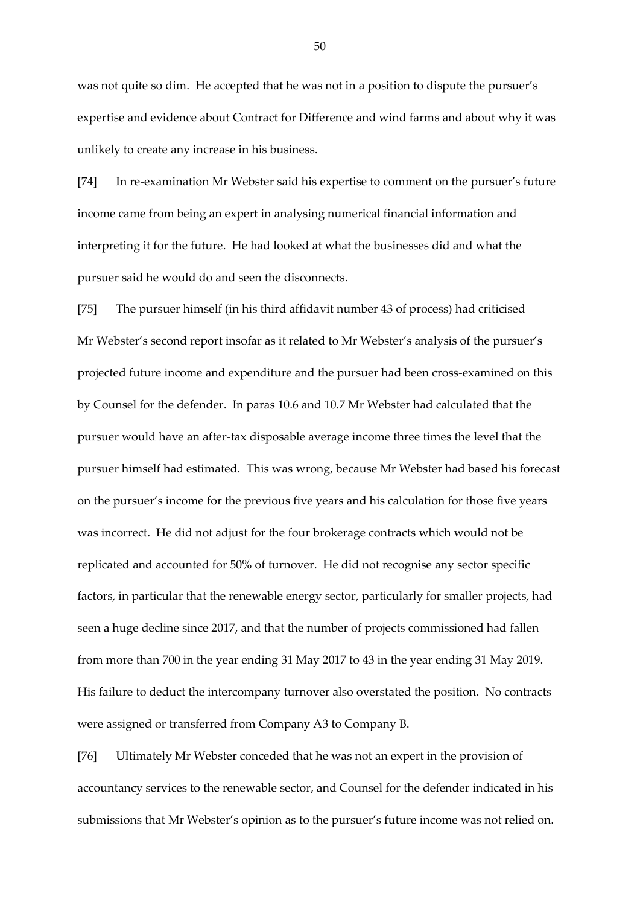was not quite so dim. He accepted that he was not in a position to dispute the pursuer's expertise and evidence about Contract for Difference and wind farms and about why it was unlikely to create any increase in his business.

[74] In re-examination Mr Webster said his expertise to comment on the pursuer's future income came from being an expert in analysing numerical financial information and interpreting it for the future. He had looked at what the businesses did and what the pursuer said he would do and seen the disconnects.

[75] The pursuer himself (in his third affidavit number 43 of process) had criticised Mr Webster's second report insofar as it related to Mr Webster's analysis of the pursuer's projected future income and expenditure and the pursuer had been cross-examined on this by Counsel for the defender. In paras 10.6 and 10.7 Mr Webster had calculated that the pursuer would have an after-tax disposable average income three times the level that the pursuer himself had estimated. This was wrong, because Mr Webster had based his forecast on the pursuer's income for the previous five years and his calculation for those five years was incorrect. He did not adjust for the four brokerage contracts which would not be replicated and accounted for 50% of turnover. He did not recognise any sector specific factors, in particular that the renewable energy sector, particularly for smaller projects, had seen a huge decline since 2017, and that the number of projects commissioned had fallen from more than 700 in the year ending 31 May 2017 to 43 in the year ending 31 May 2019. His failure to deduct the intercompany turnover also overstated the position. No contracts were assigned or transferred from Company A3 to Company B.

[76] Ultimately Mr Webster conceded that he was not an expert in the provision of accountancy services to the renewable sector, and Counsel for the defender indicated in his submissions that Mr Webster's opinion as to the pursuer's future income was not relied on.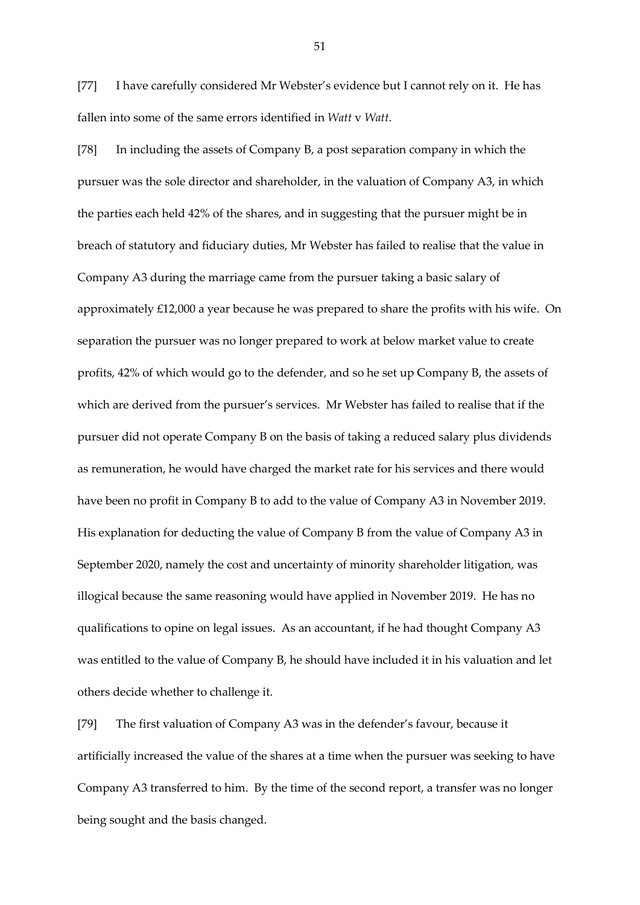[77] I have carefully considered Mr Webster's evidence but I cannot rely on it. He has fallen into some of the same errors identified in *Watt* v *Watt*.

[78] In including the assets of Company B, a post separation company in which the pursuer was the sole director and shareholder, in the valuation of Company A3, in which the parties each held 42% of the shares, and in suggesting that the pursuer might be in breach of statutory and fiduciary duties, Mr Webster has failed to realise that the value in Company A3 during the marriage came from the pursuer taking a basic salary of approximately £12,000 a year because he was prepared to share the profits with his wife. On separation the pursuer was no longer prepared to work at below market value to create profits, 42% of which would go to the defender, and so he set up Company B, the assets of which are derived from the pursuer's services. Mr Webster has failed to realise that if the pursuer did not operate Company B on the basis of taking a reduced salary plus dividends as remuneration, he would have charged the market rate for his services and there would have been no profit in Company B to add to the value of Company A3 in November 2019. His explanation for deducting the value of Company B from the value of Company A3 in September 2020, namely the cost and uncertainty of minority shareholder litigation, was illogical because the same reasoning would have applied in November 2019. He has no qualifications to opine on legal issues. As an accountant, if he had thought Company A3 was entitled to the value of Company B, he should have included it in his valuation and let others decide whether to challenge it.

[79] The first valuation of Company A3 was in the defender's favour, because it artificially increased the value of the shares at a time when the pursuer was seeking to have Company A3 transferred to him. By the time of the second report, a transfer was no longer being sought and the basis changed.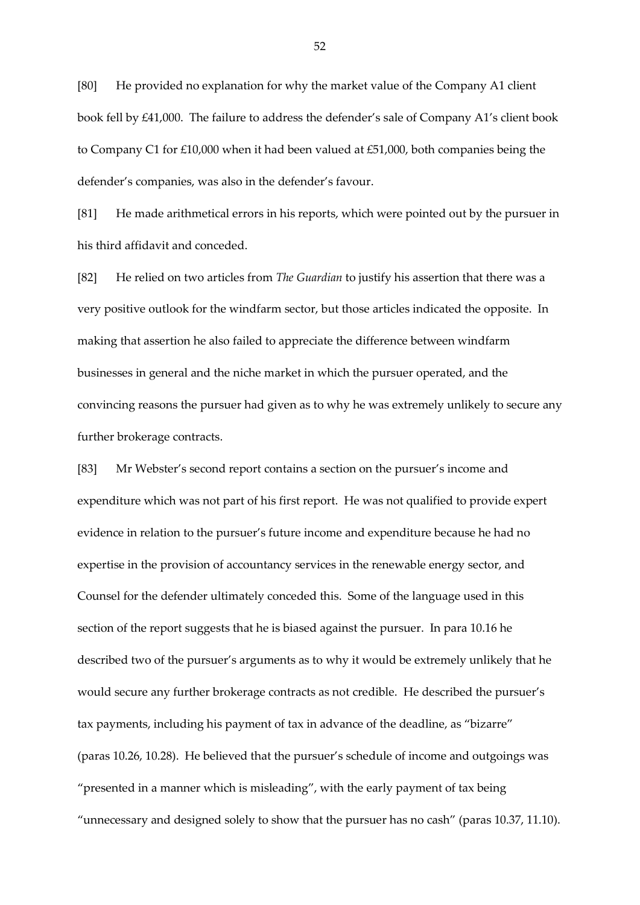[80] He provided no explanation for why the market value of the Company A1 client book fell by £41,000. The failure to address the defender's sale of Company A1's client book to Company C1 for £10,000 when it had been valued at £51,000, both companies being the defender's companies, was also in the defender's favour.

[81] He made arithmetical errors in his reports, which were pointed out by the pursuer in his third affidavit and conceded.

[82] He relied on two articles from *The Guardian* to justify his assertion that there was a very positive outlook for the windfarm sector, but those articles indicated the opposite. In making that assertion he also failed to appreciate the difference between windfarm businesses in general and the niche market in which the pursuer operated, and the convincing reasons the pursuer had given as to why he was extremely unlikely to secure any further brokerage contracts.

[83] Mr Webster's second report contains a section on the pursuer's income and expenditure which was not part of his first report. He was not qualified to provide expert evidence in relation to the pursuer's future income and expenditure because he had no expertise in the provision of accountancy services in the renewable energy sector, and Counsel for the defender ultimately conceded this. Some of the language used in this section of the report suggests that he is biased against the pursuer. In para 10.16 he described two of the pursuer's arguments as to why it would be extremely unlikely that he would secure any further brokerage contracts as not credible. He described the pursuer's tax payments, including his payment of tax in advance of the deadline, as "bizarre" (paras 10.26, 10.28). He believed that the pursuer's schedule of income and outgoings was "presented in a manner which is misleading", with the early payment of tax being "unnecessary and designed solely to show that the pursuer has no cash" (paras 10.37, 11.10).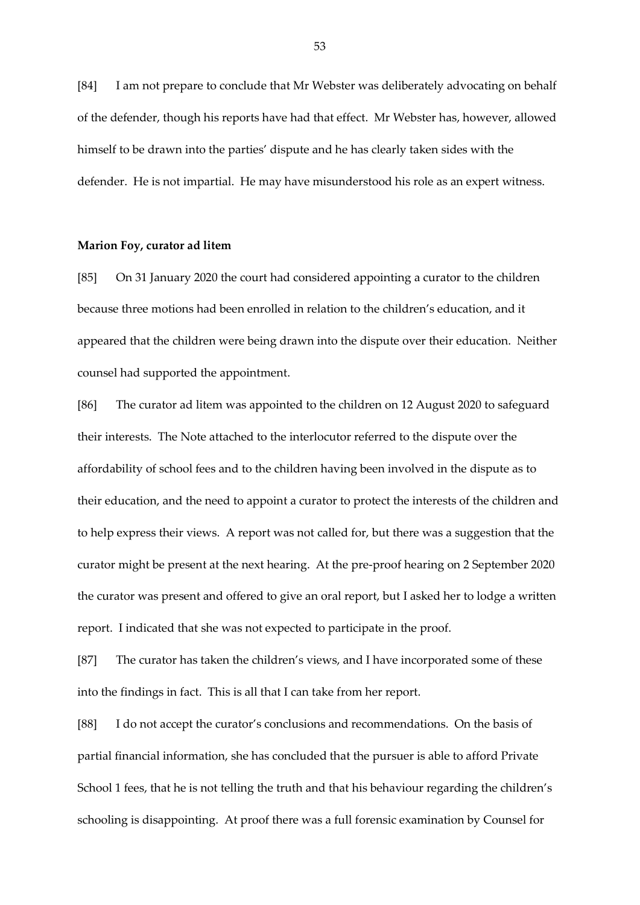[84] I am not prepare to conclude that Mr Webster was deliberately advocating on behalf of the defender, though his reports have had that effect. Mr Webster has, however, allowed himself to be drawn into the parties' dispute and he has clearly taken sides with the defender. He is not impartial. He may have misunderstood his role as an expert witness.

## **Marion Foy, curator ad litem**

[85] On 31 January 2020 the court had considered appointing a curator to the children because three motions had been enrolled in relation to the children's education, and it appeared that the children were being drawn into the dispute over their education. Neither counsel had supported the appointment.

[86] The curator ad litem was appointed to the children on 12 August 2020 to safeguard their interests. The Note attached to the interlocutor referred to the dispute over the affordability of school fees and to the children having been involved in the dispute as to their education, and the need to appoint a curator to protect the interests of the children and to help express their views. A report was not called for, but there was a suggestion that the curator might be present at the next hearing. At the pre-proof hearing on 2 September 2020 the curator was present and offered to give an oral report, but I asked her to lodge a written report. I indicated that she was not expected to participate in the proof.

[87] The curator has taken the children's views, and I have incorporated some of these into the findings in fact. This is all that I can take from her report.

[88] I do not accept the curator's conclusions and recommendations. On the basis of partial financial information, she has concluded that the pursuer is able to afford Private School 1 fees, that he is not telling the truth and that his behaviour regarding the children's schooling is disappointing. At proof there was a full forensic examination by Counsel for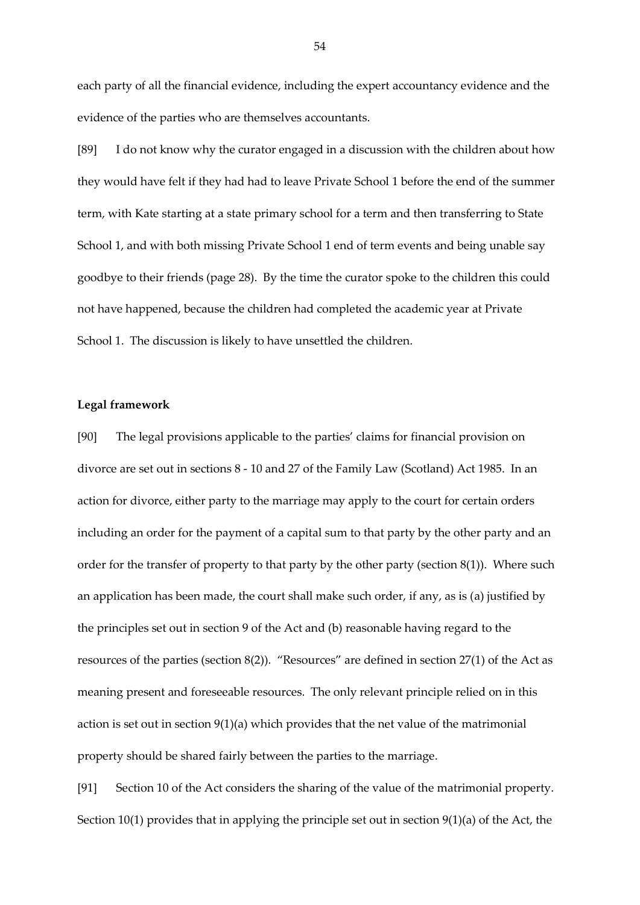each party of all the financial evidence, including the expert accountancy evidence and the evidence of the parties who are themselves accountants.

[89] I do not know why the curator engaged in a discussion with the children about how they would have felt if they had had to leave Private School 1 before the end of the summer term, with Kate starting at a state primary school for a term and then transferring to State School 1, and with both missing Private School 1 end of term events and being unable say goodbye to their friends (page 28). By the time the curator spoke to the children this could not have happened, because the children had completed the academic year at Private School 1. The discussion is likely to have unsettled the children.

# **Legal framework**

[90] The legal provisions applicable to the parties' claims for financial provision on divorce are set out in sections 8 - 10 and 27 of the Family Law (Scotland) Act 1985. In an action for divorce, either party to the marriage may apply to the court for certain orders including an order for the payment of a capital sum to that party by the other party and an order for the transfer of property to that party by the other party (section 8(1)). Where such an application has been made, the court shall make such order, if any, as is (a) justified by the principles set out in section 9 of the Act and (b) reasonable having regard to the resources of the parties (section 8(2)). "Resources" are defined in section 27(1) of the Act as meaning present and foreseeable resources. The only relevant principle relied on in this action is set out in section 9(1)(a) which provides that the net value of the matrimonial property should be shared fairly between the parties to the marriage.

[91] Section 10 of the Act considers the sharing of the value of the matrimonial property. Section 10(1) provides that in applying the principle set out in section 9(1)(a) of the Act, the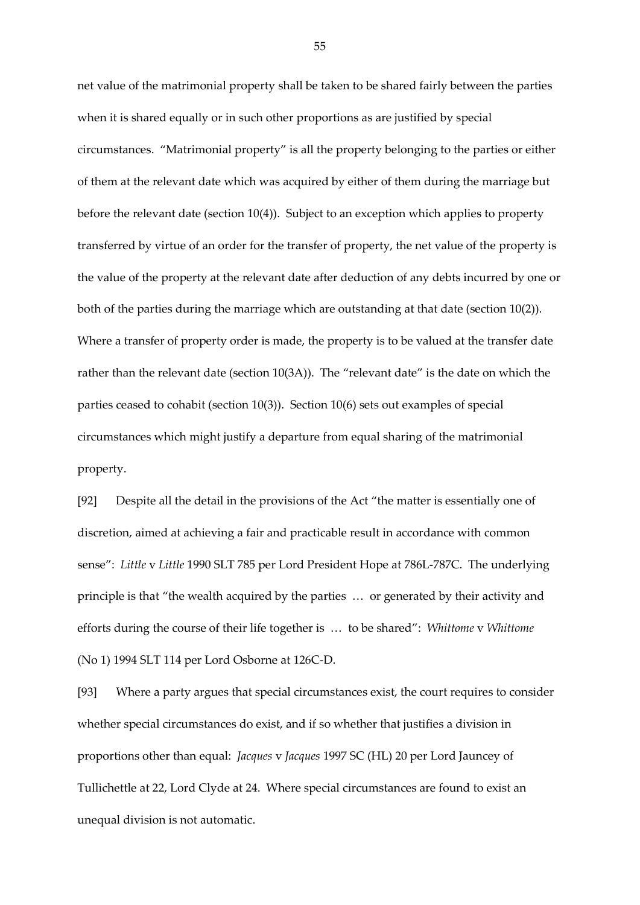net value of the matrimonial property shall be taken to be shared fairly between the parties when it is shared equally or in such other proportions as are justified by special circumstances. "Matrimonial property" is all the property belonging to the parties or either of them at the relevant date which was acquired by either of them during the marriage but before the relevant date (section 10(4)). Subject to an exception which applies to property transferred by virtue of an order for the transfer of property, the net value of the property is the value of the property at the relevant date after deduction of any debts incurred by one or both of the parties during the marriage which are outstanding at that date (section 10(2)). Where a transfer of property order is made, the property is to be valued at the transfer date rather than the relevant date (section 10(3A)). The "relevant date" is the date on which the parties ceased to cohabit (section 10(3)). Section 10(6) sets out examples of special circumstances which might justify a departure from equal sharing of the matrimonial property.

[92] Despite all the detail in the provisions of the Act "the matter is essentially one of discretion, aimed at achieving a fair and practicable result in accordance with common sense": *Little* v *Little* 1990 SLT 785 per Lord President Hope at 786L-787C. The underlying principle is that "the wealth acquired by the parties … or generated by their activity and efforts during the course of their life together is … to be shared": *Whittome* v *Whittome* (No 1) 1994 SLT 114 per Lord Osborne at 126C-D.

[93] Where a party argues that special circumstances exist, the court requires to consider whether special circumstances do exist, and if so whether that justifies a division in proportions other than equal: *Jacques* v *Jacques* 1997 SC (HL) 20 per Lord Jauncey of Tullichettle at 22, Lord Clyde at 24. Where special circumstances are found to exist an unequal division is not automatic.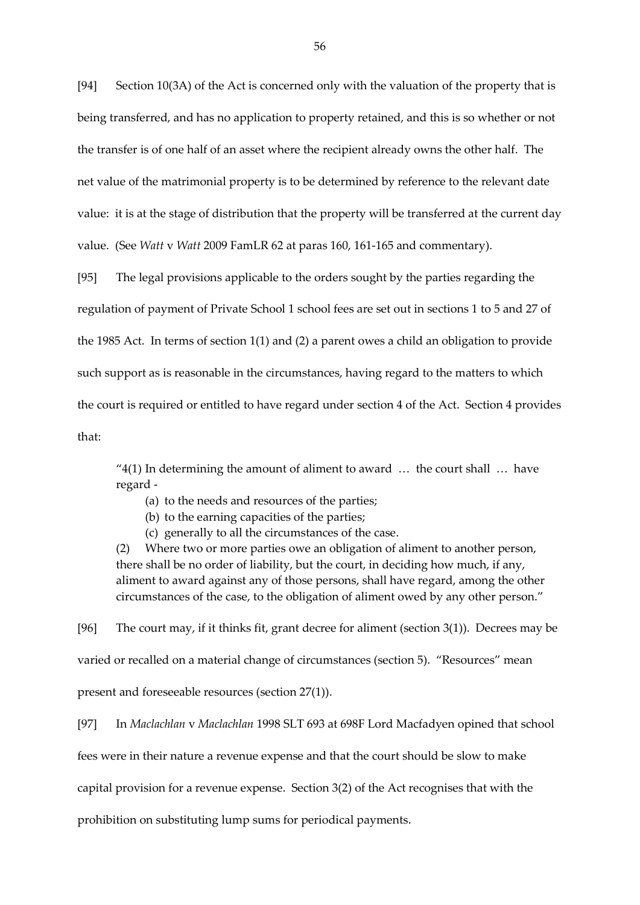[94] Section 10(3A) of the Act is concerned only with the valuation of the property that is being transferred, and has no application to property retained, and this is so whether or not the transfer is of one half of an asset where the recipient already owns the other half. The net value of the matrimonial property is to be determined by reference to the relevant date value: it is at the stage of distribution that the property will be transferred at the current day value. (See *Watt* v *Watt* 2009 FamLR 62 at paras 160, 161-165 and commentary).

[95] The legal provisions applicable to the orders sought by the parties regarding the regulation of payment of Private School 1 school fees are set out in sections 1 to 5 and 27 of the 1985 Act. In terms of section 1(1) and (2) a parent owes a child an obligation to provide such support as is reasonable in the circumstances, having regard to the matters to which the court is required or entitled to have regard under section 4 of the Act. Section 4 provides that:

"4(1) In determining the amount of aliment to award  $\ldots$  the court shall  $\ldots$  have regard -

(a) to the needs and resources of the parties;

(b) to the earning capacities of the parties;

(c) generally to all the circumstances of the case.

(2) Where two or more parties owe an obligation of aliment to another person, there shall be no order of liability, but the court, in deciding how much, if any, aliment to award against any of those persons, shall have regard, among the other circumstances of the case, to the obligation of aliment owed by any other person."

[96] The court may, if it thinks fit, grant decree for aliment (section 3(1)). Decrees may be varied or recalled on a material change of circumstances (section 5). "Resources" mean present and foreseeable resources (section 27(1)).

[97] In *Maclachlan* v *Maclachlan* 1998 SLT 693 at 698F Lord Macfadyen opined that school fees were in their nature a revenue expense and that the court should be slow to make capital provision for a revenue expense. Section 3(2) of the Act recognises that with the prohibition on substituting lump sums for periodical payments.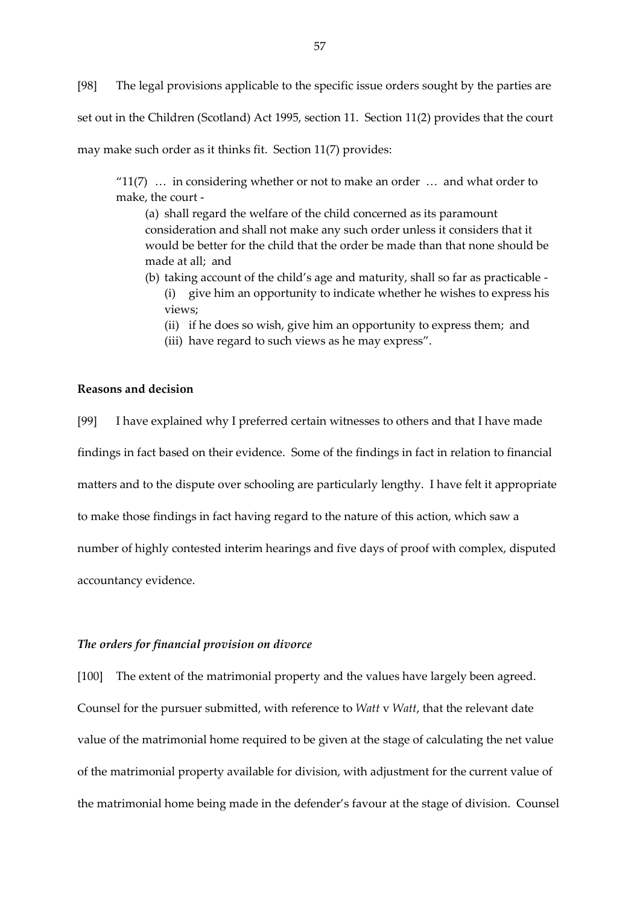[98] The legal provisions applicable to the specific issue orders sought by the parties are set out in the Children (Scotland) Act 1995, section 11. Section 11(2) provides that the court may make such order as it thinks fit. Section 11(7) provides:

" $11(7)$  ... in considering whether or not to make an order ... and what order to make, the court -

(a) shall regard the welfare of the child concerned as its paramount consideration and shall not make any such order unless it considers that it would be better for the child that the order be made than that none should be made at all; and

- (b) taking account of the child's age and maturity, shall so far as practicable (i) give him an opportunity to indicate whether he wishes to express his views;
	- (ii) if he does so wish, give him an opportunity to express them; and
	- (iii) have regard to such views as he may express".

# **Reasons and decision**

[99] I have explained why I preferred certain witnesses to others and that I have made findings in fact based on their evidence. Some of the findings in fact in relation to financial matters and to the dispute over schooling are particularly lengthy. I have felt it appropriate to make those findings in fact having regard to the nature of this action, which saw a number of highly contested interim hearings and five days of proof with complex, disputed accountancy evidence.

# *The orders for financial provision on divorce*

[100] The extent of the matrimonial property and the values have largely been agreed. Counsel for the pursuer submitted, with reference to *Watt* v *Watt*, that the relevant date value of the matrimonial home required to be given at the stage of calculating the net value of the matrimonial property available for division, with adjustment for the current value of the matrimonial home being made in the defender's favour at the stage of division. Counsel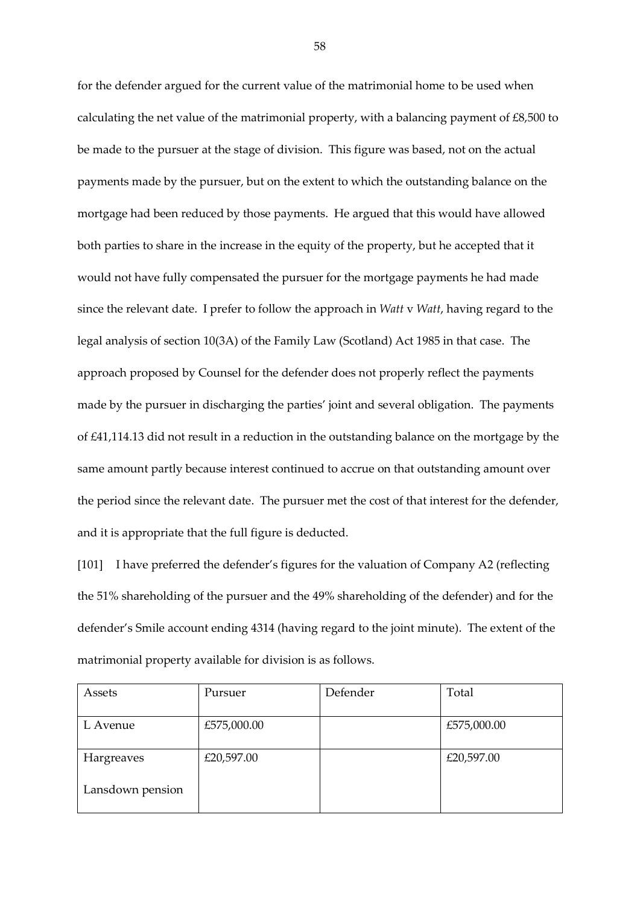for the defender argued for the current value of the matrimonial home to be used when calculating the net value of the matrimonial property, with a balancing payment of  $\text{\pounds}8,500$  to be made to the pursuer at the stage of division. This figure was based, not on the actual payments made by the pursuer, but on the extent to which the outstanding balance on the mortgage had been reduced by those payments. He argued that this would have allowed both parties to share in the increase in the equity of the property, but he accepted that it would not have fully compensated the pursuer for the mortgage payments he had made since the relevant date. I prefer to follow the approach in *Watt* v *Watt*, having regard to the legal analysis of section 10(3A) of the Family Law (Scotland) Act 1985 in that case. The approach proposed by Counsel for the defender does not properly reflect the payments made by the pursuer in discharging the parties' joint and several obligation. The payments of £41,114.13 did not result in a reduction in the outstanding balance on the mortgage by the same amount partly because interest continued to accrue on that outstanding amount over the period since the relevant date. The pursuer met the cost of that interest for the defender, and it is appropriate that the full figure is deducted.

[101] I have preferred the defender's figures for the valuation of Company A2 (reflecting the 51% shareholding of the pursuer and the 49% shareholding of the defender) and for the defender's Smile account ending 4314 (having regard to the joint minute). The extent of the matrimonial property available for division is as follows.

| Assets           | Pursuer     | Defender | Total       |
|------------------|-------------|----------|-------------|
| L Avenue         | £575,000.00 |          | £575,000.00 |
| Hargreaves       | £20,597.00  |          | £20,597.00  |
| Lansdown pension |             |          |             |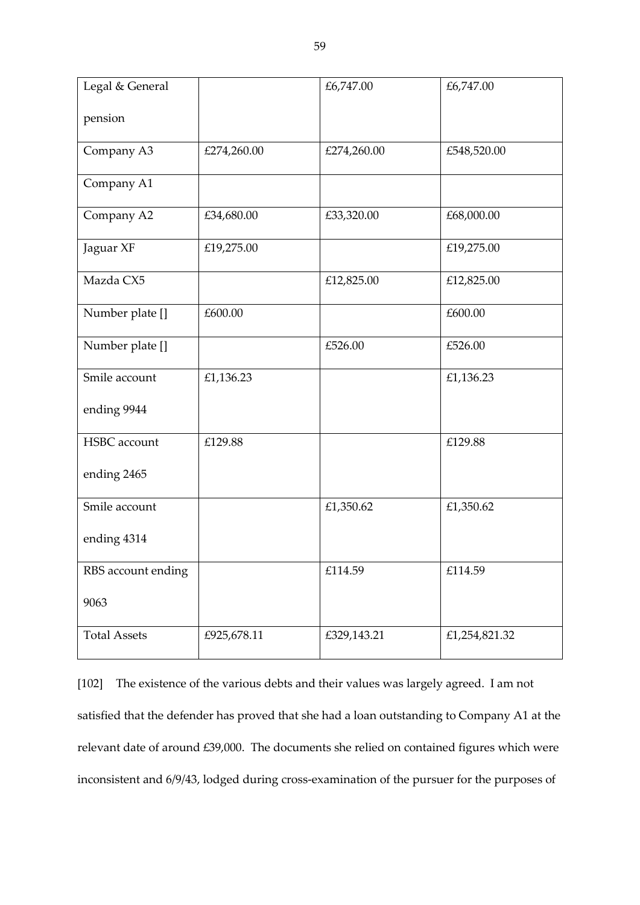| Legal & General     |             | £6,747.00   | £6,747.00     |
|---------------------|-------------|-------------|---------------|
| pension             |             |             |               |
| Company A3          | £274,260.00 | £274,260.00 | £548,520.00   |
| Company A1          |             |             |               |
| Company A2          | £34,680.00  | £33,320.00  | £68,000.00    |
| Jaguar XF           | £19,275.00  |             | £19,275.00    |
| Mazda CX5           |             | £12,825.00  | £12,825.00    |
| Number plate []     | £600.00     |             | £600.00       |
| Number plate []     |             | £526.00     | £526.00       |
| Smile account       | £1,136.23   |             | £1,136.23     |
| ending 9944         |             |             |               |
| <b>HSBC</b> account | £129.88     |             | £129.88       |
| ending 2465         |             |             |               |
| Smile account       |             | £1,350.62   | £1,350.62     |
| ending 4314         |             |             |               |
| RBS account ending  |             | £114.59     | £114.59       |
| 9063                |             |             |               |
| <b>Total Assets</b> | £925,678.11 | £329,143.21 | £1,254,821.32 |

[102] The existence of the various debts and their values was largely agreed. I am not satisfied that the defender has proved that she had a loan outstanding to Company A1 at the relevant date of around £39,000. The documents she relied on contained figures which were inconsistent and 6/9/43, lodged during cross-examination of the pursuer for the purposes of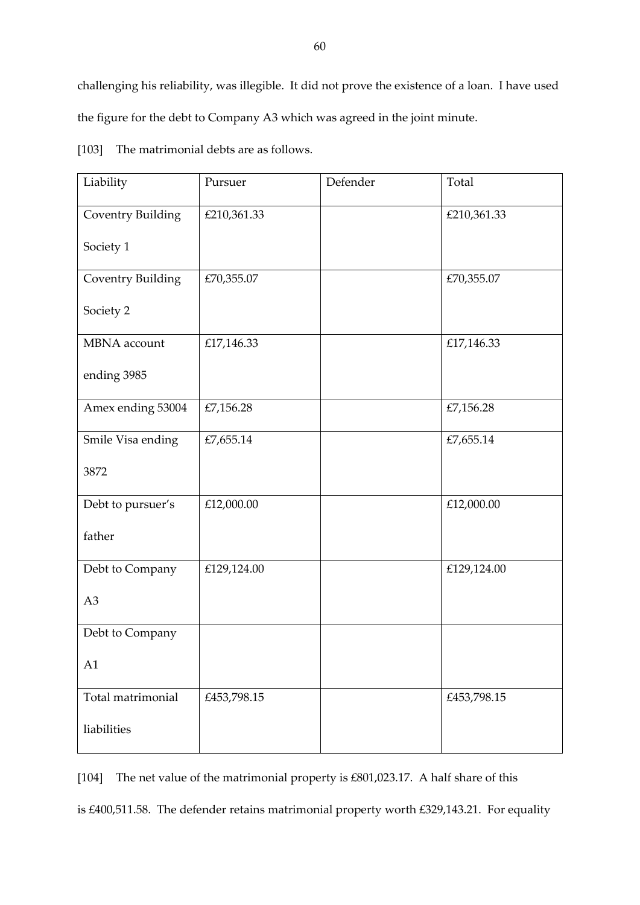challenging his reliability, was illegible. It did not prove the existence of a loan. I have used the figure for the debt to Company A3 which was agreed in the joint minute.

| Liability                | Pursuer     | Defender | Total       |
|--------------------------|-------------|----------|-------------|
| <b>Coventry Building</b> | £210,361.33 |          | £210,361.33 |
| Society 1                |             |          |             |
| <b>Coventry Building</b> | £70,355.07  |          | £70,355.07  |
| Society 2                |             |          |             |
| MBNA account             | £17,146.33  |          | £17,146.33  |
| ending 3985              |             |          |             |
| Amex ending 53004        | £7,156.28   |          | £7,156.28   |
| Smile Visa ending        | £7,655.14   |          | £7,655.14   |
| 3872                     |             |          |             |
| Debt to pursuer's        | £12,000.00  |          | £12,000.00  |
| father                   |             |          |             |
| Debt to Company          | £129,124.00 |          | £129,124.00 |
| A <sub>3</sub>           |             |          |             |
| Debt to Company          |             |          |             |
| A1                       |             |          |             |
| Total matrimonial        | £453,798.15 |          | £453,798.15 |
| liabilities              |             |          |             |

[103] The matrimonial debts are as follows.

[104] The net value of the matrimonial property is £801,023.17. A half share of this is £400,511.58. The defender retains matrimonial property worth £329,143.21. For equality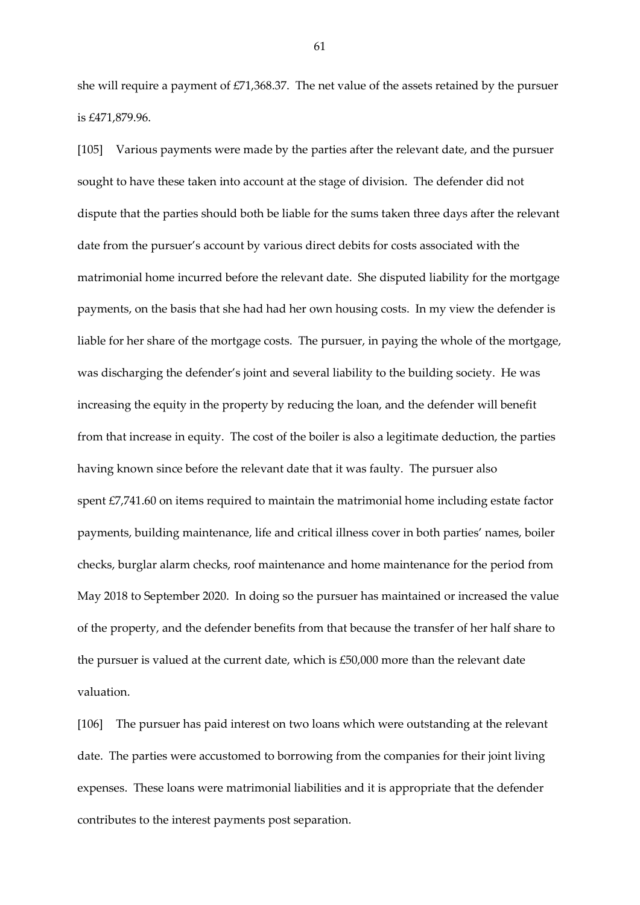she will require a payment of £71,368.37. The net value of the assets retained by the pursuer is £471,879.96.

[105] Various payments were made by the parties after the relevant date, and the pursuer sought to have these taken into account at the stage of division. The defender did not dispute that the parties should both be liable for the sums taken three days after the relevant date from the pursuer's account by various direct debits for costs associated with the matrimonial home incurred before the relevant date. She disputed liability for the mortgage payments, on the basis that she had had her own housing costs. In my view the defender is liable for her share of the mortgage costs. The pursuer, in paying the whole of the mortgage, was discharging the defender's joint and several liability to the building society. He was increasing the equity in the property by reducing the loan, and the defender will benefit from that increase in equity. The cost of the boiler is also a legitimate deduction, the parties having known since before the relevant date that it was faulty. The pursuer also spent £7,741.60 on items required to maintain the matrimonial home including estate factor payments, building maintenance, life and critical illness cover in both parties' names, boiler checks, burglar alarm checks, roof maintenance and home maintenance for the period from May 2018 to September 2020. In doing so the pursuer has maintained or increased the value of the property, and the defender benefits from that because the transfer of her half share to the pursuer is valued at the current date, which is £50,000 more than the relevant date valuation.

[106] The pursuer has paid interest on two loans which were outstanding at the relevant date. The parties were accustomed to borrowing from the companies for their joint living expenses. These loans were matrimonial liabilities and it is appropriate that the defender contributes to the interest payments post separation.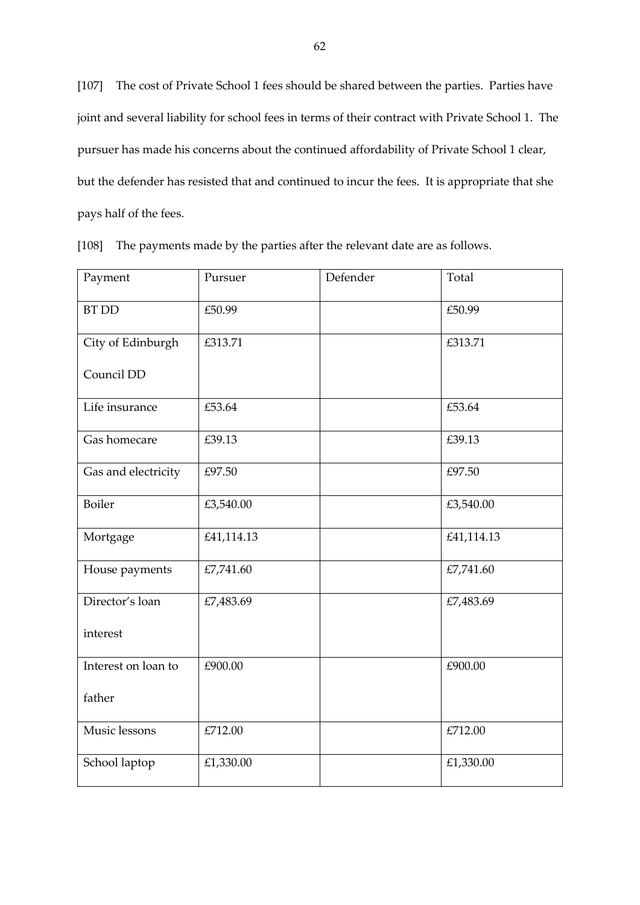[107] The cost of Private School 1 fees should be shared between the parties. Parties have joint and several liability for school fees in terms of their contract with Private School 1. The pursuer has made his concerns about the continued affordability of Private School 1 clear, but the defender has resisted that and continued to incur the fees. It is appropriate that she pays half of the fees.

| Payment             | Pursuer    | Defender | Total      |
|---------------------|------------|----------|------------|
| <b>BT DD</b>        | £50.99     |          | £50.99     |
| City of Edinburgh   | £313.71    |          | £313.71    |
| Council DD          |            |          |            |
| Life insurance      | £53.64     |          | £53.64     |
| Gas homecare        | £39.13     |          | £39.13     |
| Gas and electricity | £97.50     |          | £97.50     |
| <b>Boiler</b>       | £3,540.00  |          | £3,540.00  |
| Mortgage            | £41,114.13 |          | £41,114.13 |
| House payments      | £7,741.60  |          | £7,741.60  |
| Director's loan     | £7,483.69  |          | £7,483.69  |
| interest            |            |          |            |
| Interest on loan to | £900.00    |          | £900.00    |
| father              |            |          |            |
| Music lessons       | £712.00    |          | £712.00    |
| School laptop       | £1,330.00  |          | £1,330.00  |

[108] The payments made by the parties after the relevant date are as follows.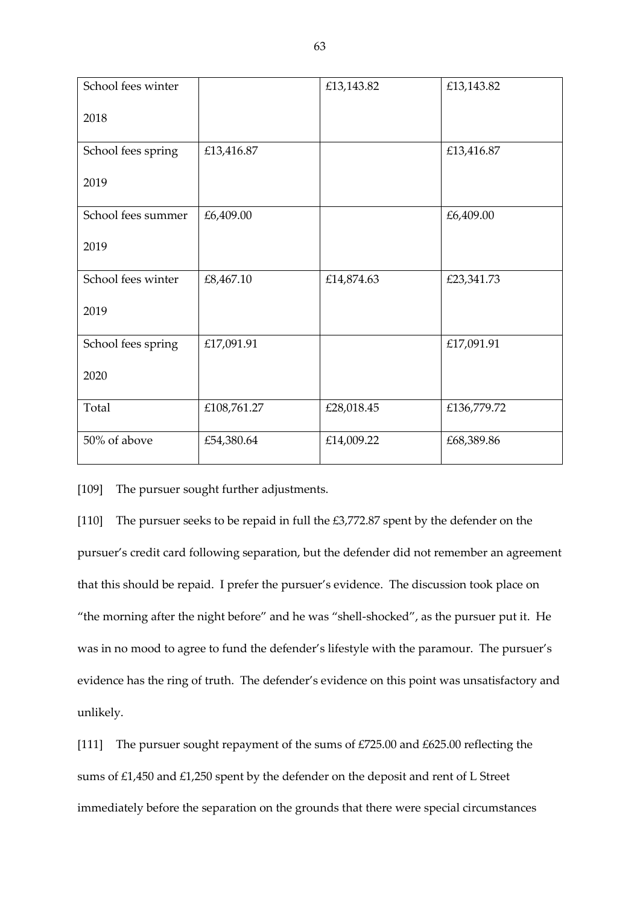| School fees winter |             | £13,143.82 | £13,143.82  |
|--------------------|-------------|------------|-------------|
| 2018               |             |            |             |
| School fees spring | £13,416.87  |            | £13,416.87  |
| 2019               |             |            |             |
| School fees summer | £6,409.00   |            | £6,409.00   |
| 2019               |             |            |             |
| School fees winter | £8,467.10   | £14,874.63 | £23,341.73  |
| 2019               |             |            |             |
| School fees spring | £17,091.91  |            | £17,091.91  |
| 2020               |             |            |             |
| Total              | £108,761.27 | £28,018.45 | £136,779.72 |
| 50% of above       | £54,380.64  | £14,009.22 | £68,389.86  |

[109] The pursuer sought further adjustments.

[110] The pursuer seeks to be repaid in full the £3,772.87 spent by the defender on the pursuer's credit card following separation, but the defender did not remember an agreement that this should be repaid. I prefer the pursuer's evidence. The discussion took place on "the morning after the night before" and he was "shell-shocked", as the pursuer put it. He was in no mood to agree to fund the defender's lifestyle with the paramour. The pursuer's evidence has the ring of truth. The defender's evidence on this point was unsatisfactory and unlikely.

[111] The pursuer sought repayment of the sums of £725.00 and £625.00 reflecting the sums of £1,450 and £1,250 spent by the defender on the deposit and rent of L Street immediately before the separation on the grounds that there were special circumstances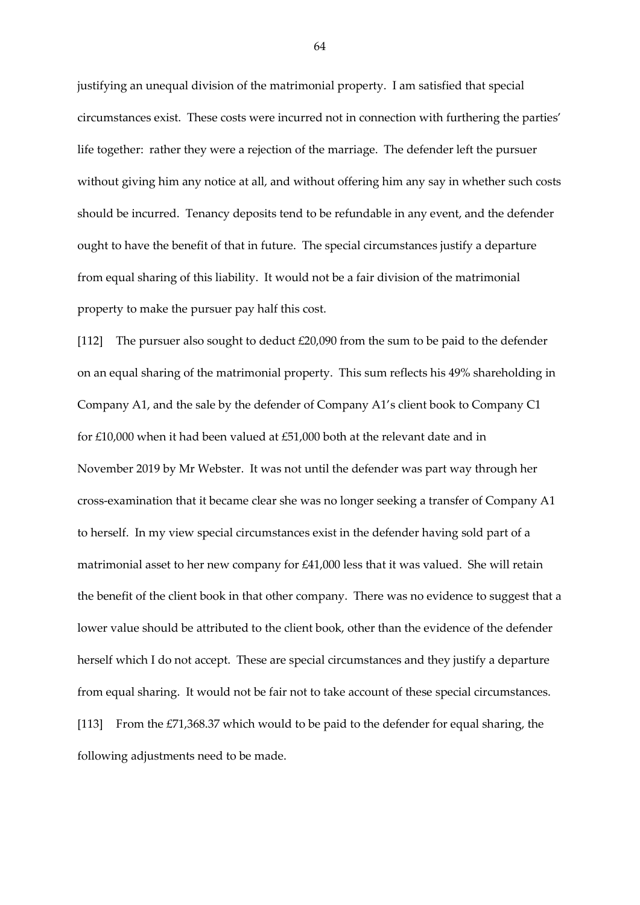justifying an unequal division of the matrimonial property. I am satisfied that special circumstances exist. These costs were incurred not in connection with furthering the parties' life together: rather they were a rejection of the marriage. The defender left the pursuer without giving him any notice at all, and without offering him any say in whether such costs should be incurred. Tenancy deposits tend to be refundable in any event, and the defender ought to have the benefit of that in future. The special circumstances justify a departure from equal sharing of this liability. It would not be a fair division of the matrimonial property to make the pursuer pay half this cost.

[112] The pursuer also sought to deduct £20,090 from the sum to be paid to the defender on an equal sharing of the matrimonial property. This sum reflects his 49% shareholding in Company A1, and the sale by the defender of Company A1's client book to Company C1 for £10,000 when it had been valued at £51,000 both at the relevant date and in November 2019 by Mr Webster. It was not until the defender was part way through her cross-examination that it became clear she was no longer seeking a transfer of Company A1 to herself. In my view special circumstances exist in the defender having sold part of a matrimonial asset to her new company for £41,000 less that it was valued. She will retain the benefit of the client book in that other company. There was no evidence to suggest that a lower value should be attributed to the client book, other than the evidence of the defender herself which I do not accept. These are special circumstances and they justify a departure from equal sharing. It would not be fair not to take account of these special circumstances. [113] From the £71,368.37 which would to be paid to the defender for equal sharing, the following adjustments need to be made.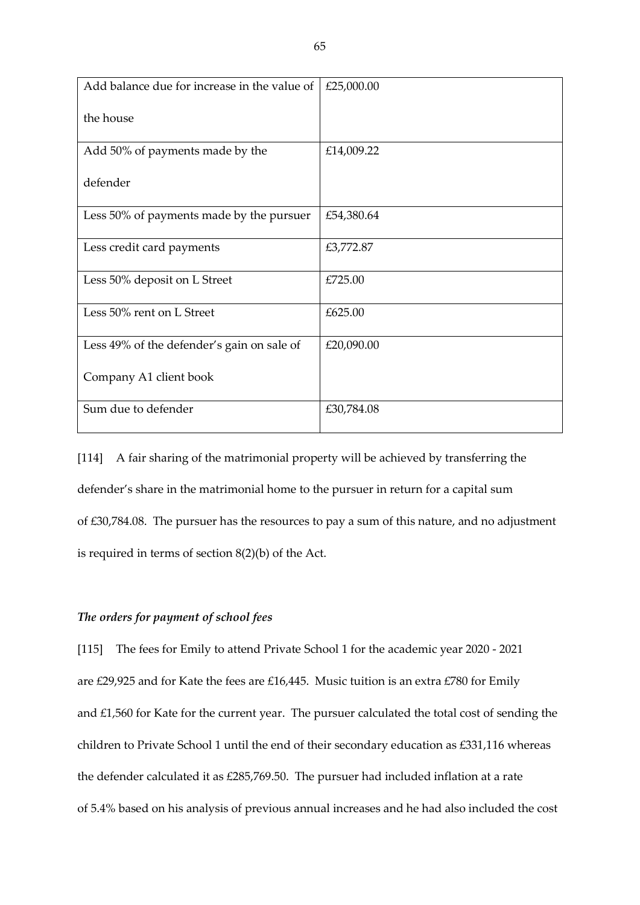| Add balance due for increase in the value of | £25,000.00 |
|----------------------------------------------|------------|
| the house                                    |            |
| Add 50% of payments made by the              | £14,009.22 |
| defender                                     |            |
| Less 50% of payments made by the pursuer     | £54,380.64 |
| Less credit card payments                    | £3,772.87  |
| Less 50% deposit on L Street                 | £725.00    |
| Less 50% rent on L Street                    | £625.00    |
| Less 49% of the defender's gain on sale of   | £20,090.00 |
| Company A1 client book                       |            |
| Sum due to defender                          | £30,784.08 |

[114] A fair sharing of the matrimonial property will be achieved by transferring the defender's share in the matrimonial home to the pursuer in return for a capital sum of £30,784.08. The pursuer has the resources to pay a sum of this nature, and no adjustment is required in terms of section 8(2)(b) of the Act.

# *The orders for payment of school fees*

[115] The fees for Emily to attend Private School 1 for the academic year 2020 - 2021 are £29,925 and for Kate the fees are £16,445. Music tuition is an extra £780 for Emily and £1,560 for Kate for the current year. The pursuer calculated the total cost of sending the children to Private School 1 until the end of their secondary education as £331,116 whereas the defender calculated it as £285,769.50. The pursuer had included inflation at a rate of 5.4% based on his analysis of previous annual increases and he had also included the cost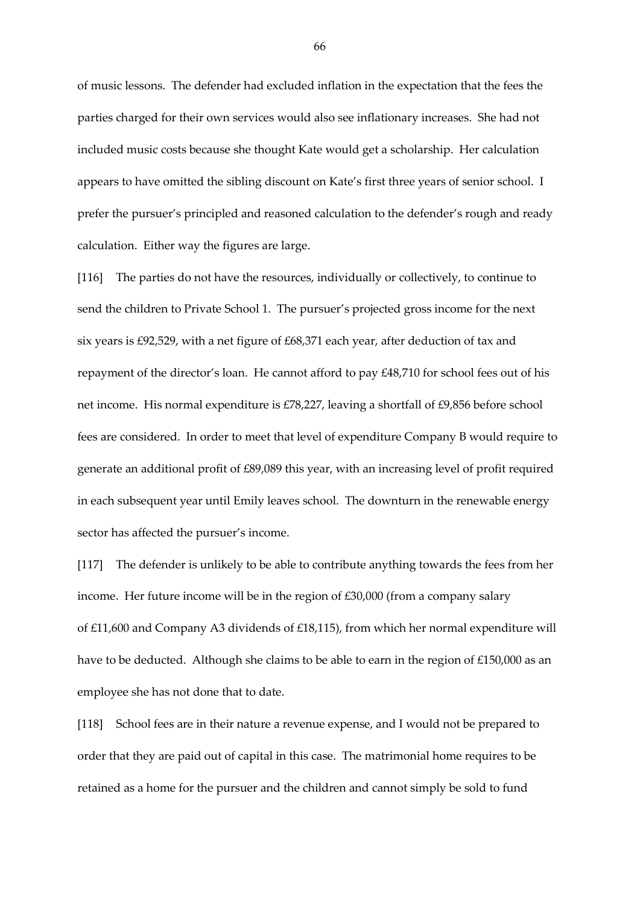of music lessons. The defender had excluded inflation in the expectation that the fees the parties charged for their own services would also see inflationary increases. She had not included music costs because she thought Kate would get a scholarship. Her calculation appears to have omitted the sibling discount on Kate's first three years of senior school. I prefer the pursuer's principled and reasoned calculation to the defender's rough and ready calculation. Either way the figures are large.

[116] The parties do not have the resources, individually or collectively, to continue to send the children to Private School 1. The pursuer's projected gross income for the next six years is £92,529, with a net figure of £68,371 each year, after deduction of tax and repayment of the director's loan. He cannot afford to pay £48,710 for school fees out of his net income. His normal expenditure is £78,227, leaving a shortfall of £9,856 before school fees are considered. In order to meet that level of expenditure Company B would require to generate an additional profit of £89,089 this year, with an increasing level of profit required in each subsequent year until Emily leaves school. The downturn in the renewable energy sector has affected the pursuer's income.

[117] The defender is unlikely to be able to contribute anything towards the fees from her income. Her future income will be in the region of £30,000 (from a company salary of £11,600 and Company A3 dividends of £18,115), from which her normal expenditure will have to be deducted. Although she claims to be able to earn in the region of £150,000 as an employee she has not done that to date.

[118] School fees are in their nature a revenue expense, and I would not be prepared to order that they are paid out of capital in this case. The matrimonial home requires to be retained as a home for the pursuer and the children and cannot simply be sold to fund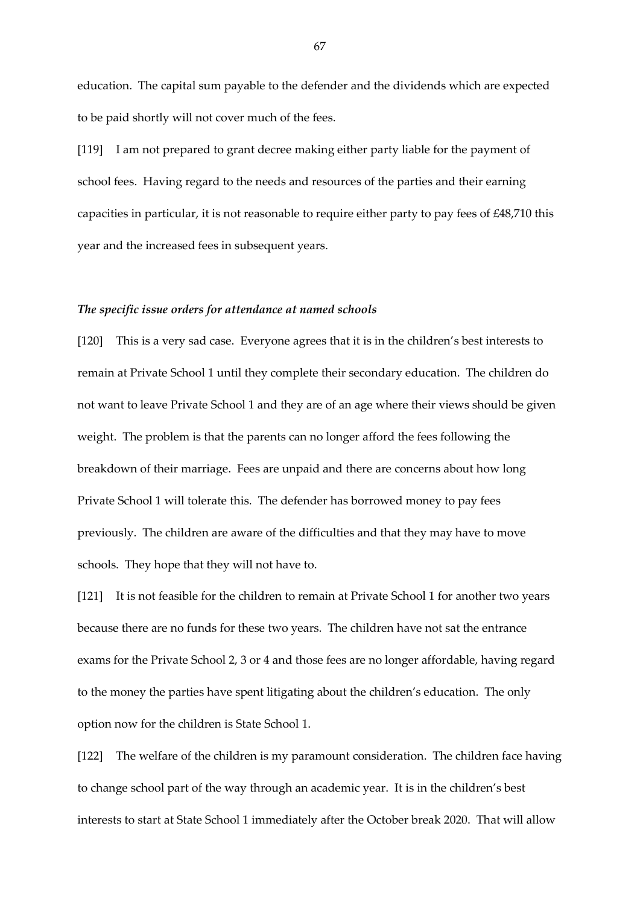education. The capital sum payable to the defender and the dividends which are expected to be paid shortly will not cover much of the fees.

[119] I am not prepared to grant decree making either party liable for the payment of school fees. Having regard to the needs and resources of the parties and their earning capacities in particular, it is not reasonable to require either party to pay fees of £48,710 this year and the increased fees in subsequent years.

#### *The specific issue orders for attendance at named schools*

[120] This is a very sad case. Everyone agrees that it is in the children's best interests to remain at Private School 1 until they complete their secondary education. The children do not want to leave Private School 1 and they are of an age where their views should be given weight. The problem is that the parents can no longer afford the fees following the breakdown of their marriage. Fees are unpaid and there are concerns about how long Private School 1 will tolerate this. The defender has borrowed money to pay fees previously. The children are aware of the difficulties and that they may have to move schools. They hope that they will not have to.

[121] It is not feasible for the children to remain at Private School 1 for another two years because there are no funds for these two years. The children have not sat the entrance exams for the Private School 2, 3 or 4 and those fees are no longer affordable, having regard to the money the parties have spent litigating about the children's education. The only option now for the children is State School 1.

[122] The welfare of the children is my paramount consideration. The children face having to change school part of the way through an academic year. It is in the children's best interests to start at State School 1 immediately after the October break 2020. That will allow